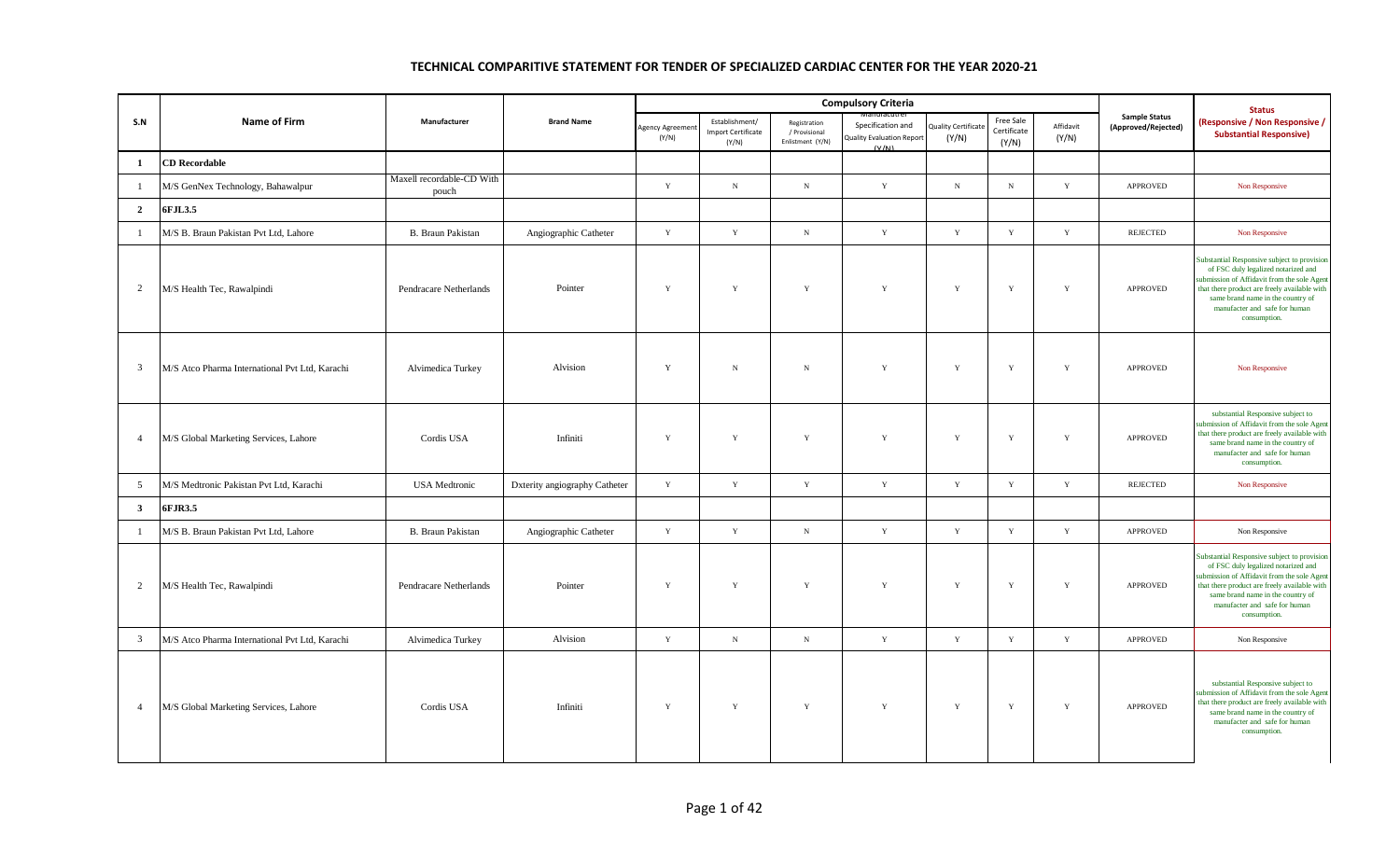|                |                                                |                                    |                               |                          |                                                      |                                                   | <b>Compulsory Criteria</b>                                     |                                    |                                          |                    |                                             | <b>Status</b>                                                                                                                                                                                                                                                           |
|----------------|------------------------------------------------|------------------------------------|-------------------------------|--------------------------|------------------------------------------------------|---------------------------------------------------|----------------------------------------------------------------|------------------------------------|------------------------------------------|--------------------|---------------------------------------------|-------------------------------------------------------------------------------------------------------------------------------------------------------------------------------------------------------------------------------------------------------------------------|
| S.N            | Name of Firm                                   | Manufacturer                       | <b>Brand Name</b>             | Agency Agreemen<br>(Y/N) | Establishment/<br><b>Import Certificate</b><br>(Y/N) | Registration<br>/ Provisional<br>Enlistment (Y/N) | Specification and<br><b>Quality Evaluation Report</b><br>(V/M) | <b>Quality Certificat</b><br>(Y/N) | <b>Free Sale</b><br>Certificate<br>(Y/N) | Affidavit<br>(Y/N) | <b>Sample Status</b><br>(Approved/Rejected) | (Responsive / Non Responsive /<br><b>Substantial Responsive)</b>                                                                                                                                                                                                        |
| -1             | <b>CD Recordable</b>                           |                                    |                               |                          |                                                      |                                                   |                                                                |                                    |                                          |                    |                                             |                                                                                                                                                                                                                                                                         |
| $\mathbf{1}$   | M/S GenNex Technology, Bahawalpur              | Maxell recordable-CD With<br>pouch |                               | Y                        | $_{\rm N}$                                           | $_{\rm N}$                                        | $\mathbf Y$                                                    | $\,$ N                             | $_{\rm N}$                               | $\mathbf Y$        | <b>APPROVED</b>                             | Non Responsive                                                                                                                                                                                                                                                          |
| $\overline{2}$ | 6FJL3.5                                        |                                    |                               |                          |                                                      |                                                   |                                                                |                                    |                                          |                    |                                             |                                                                                                                                                                                                                                                                         |
| $\mathbf{1}$   | M/S B. Braun Pakistan Pvt Ltd, Lahore          | B. Braun Pakistan                  | Angiographic Catheter         | $\mathbf Y$              | $\mathbf Y$                                          | ${\bf N}$                                         | $\mathbf Y$                                                    | Y                                  | $\mathbf Y$                              | $\mathbf Y$        | <b>REJECTED</b>                             | Non Responsive                                                                                                                                                                                                                                                          |
| $\overline{2}$ | M/S Health Tec, Rawalpindi                     | Pendracare Netherlands             | Pointer                       | Y                        | Y                                                    | $\mathbf Y$                                       | $\mathbf Y$                                                    | Y                                  | $\mathbf Y$                              | $\mathbf Y$        | <b>APPROVED</b>                             | Substantial Responsive subject to provision<br>of FSC duly legalized notarized and<br>submission of Affidavit from the sole Agent<br>that there product are freely available with<br>same brand name in the country of<br>manufacter and safe for human<br>consumption. |
| $\mathbf{3}$   | M/S Atco Pharma International Pvt Ltd, Karachi | Alvimedica Turkey                  | Alvision                      | Y                        | $_{\rm N}$                                           | ${\bf N}$                                         | Y                                                              | Y                                  | $\mathbf Y$                              | $\mathbf Y$        | <b>APPROVED</b>                             | Non Responsive                                                                                                                                                                                                                                                          |
| $\overline{4}$ | M/S Global Marketing Services, Lahore          | Cordis USA                         | Infiniti                      | $\mathbf Y$              | $\mathbf Y$                                          | $\mathbf Y$                                       | $\mathbf Y$                                                    | Y                                  | $\mathbf Y$                              | $\mathbf Y$        | APPROVED                                    | substantial Responsive subject to<br>submission of Affidavit from the sole Agent<br>that there product are freely available with<br>same brand name in the country of<br>manufacter and safe for human<br>consumption.                                                  |
| 5              | M/S Medtronic Pakistan Pvt Ltd, Karachi        | <b>USA</b> Medtronic               | Dxterity angiography Catheter | $\mathbf Y$              | $\mathbf Y$                                          | $\mathbf Y$                                       | Y                                                              | $\mathbf Y$                        | $\mathbf Y$                              | $\mathbf Y$        | <b>REJECTED</b>                             | Non Responsive                                                                                                                                                                                                                                                          |
| $\mathbf{3}$   | 6FJR3.5                                        |                                    |                               |                          |                                                      |                                                   |                                                                |                                    |                                          |                    |                                             |                                                                                                                                                                                                                                                                         |
| $\mathbf{1}$   | M/S B. Braun Pakistan Pvt Ltd, Lahore          | B. Braun Pakistan                  | Angiographic Catheter         | $\mathbf Y$              | $\mathbf Y$                                          | $\,$ N                                            | Y                                                              | Y                                  | $\mathbf Y$                              | $\mathbf Y$        | APPROVED                                    | Non Responsive                                                                                                                                                                                                                                                          |
| 2              | M/S Health Tec, Rawalpindi                     | Pendracare Netherlands             | Pointer                       | Y                        | Y                                                    | Y                                                 | Y                                                              | Y                                  | $\mathbf Y$                              | Y                  | <b>APPROVED</b>                             | Substantial Responsive subject to provision<br>of FSC duly legalized notarized and<br>submission of Affidavit from the sole Agent<br>that there product are freely available with<br>same brand name in the country of<br>manufacter and safe for human<br>consumption. |
| $\overline{3}$ | M/S Atco Pharma International Pvt Ltd, Karachi | Alvimedica Turkey                  | Alvision                      | Y                        | $_{\rm N}$                                           | $\,$ N                                            | Y                                                              | Y                                  | $\mathbf Y$                              | $\mathbf Y$        | <b>APPROVED</b>                             | Non Responsive                                                                                                                                                                                                                                                          |
| $\overline{4}$ | M/S Global Marketing Services, Lahore          | Cordis USA                         | Infiniti                      | Y                        | $\mathbf Y$                                          | $\mathbf Y$                                       | $\mathbf Y$                                                    | $\mathbf Y$                        | $\mathbf Y$                              | $\mathbf Y$        | <b>APPROVED</b>                             | substantial Responsive subject to<br>submission of Affidavit from the sole Agent<br>that there product are freely available with<br>same brand name in the country of<br>manufacter and safe for human<br>consumption.                                                  |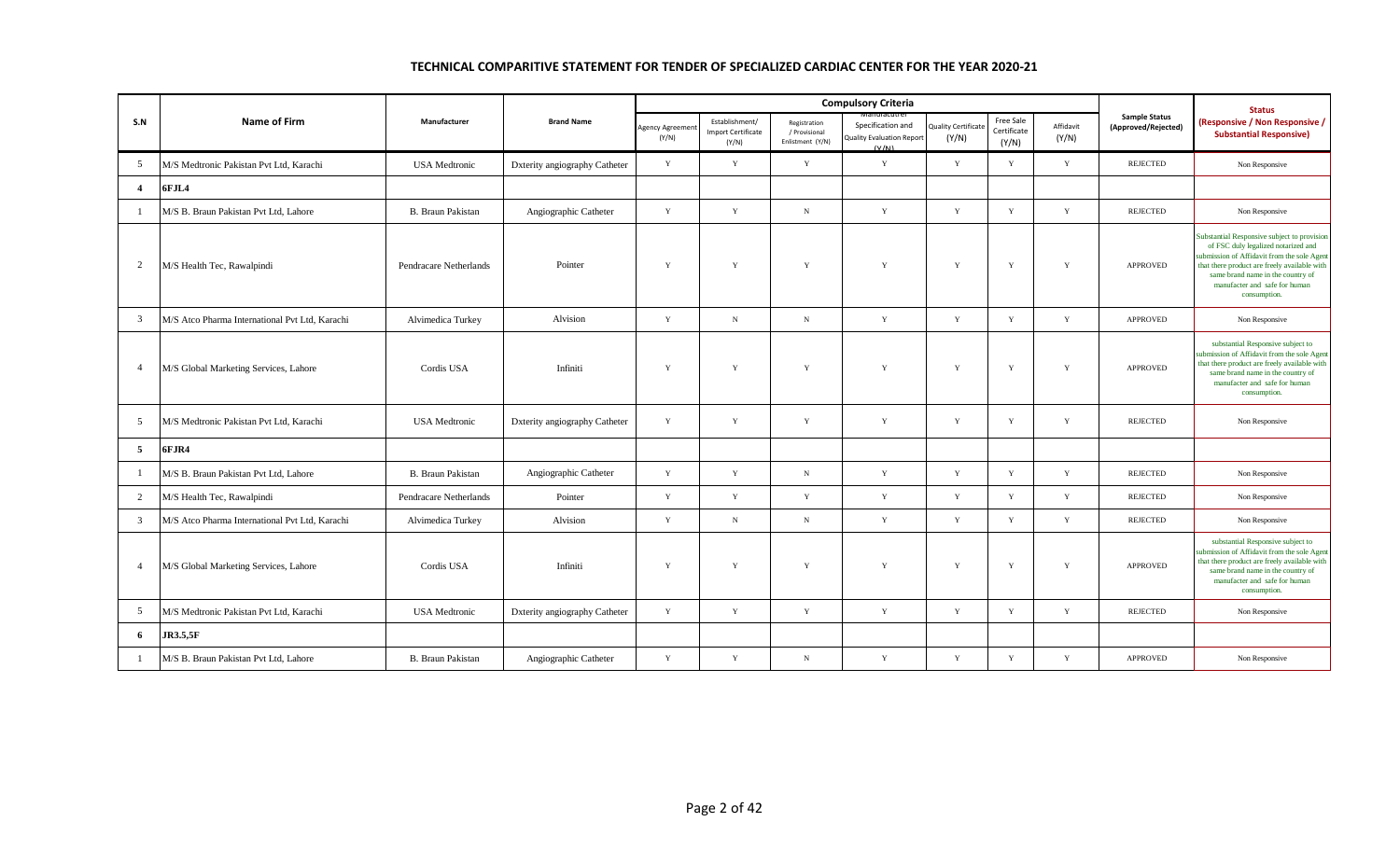|                |                                                |                          |                               |                          |                                                      |                                                   | <b>Compulsory Criteria</b>                                     |                                    |                                   |                    |                                             | <b>Status</b>                                                                                                                                                                                                                                                           |
|----------------|------------------------------------------------|--------------------------|-------------------------------|--------------------------|------------------------------------------------------|---------------------------------------------------|----------------------------------------------------------------|------------------------------------|-----------------------------------|--------------------|---------------------------------------------|-------------------------------------------------------------------------------------------------------------------------------------------------------------------------------------------------------------------------------------------------------------------------|
| S.N            | <b>Name of Firm</b>                            | Manufacturer             | <b>Brand Name</b>             | Agency Agreemen<br>(Y/N) | Establishment/<br><b>Import Certificate</b><br>(Y/N) | Registration<br>/ Provisional<br>Enlistment (Y/N) | Specification and<br><b>Quality Evaluation Report</b><br>(V/M) | <b>Quality Certificat</b><br>(Y/N) | Free Sale<br>Certificate<br>(Y/N) | Affidavit<br>(Y/N) | <b>Sample Status</b><br>(Approved/Rejected) | (Responsive / Non Responsive /<br><b>Substantial Responsive)</b>                                                                                                                                                                                                        |
| 5              | M/S Medtronic Pakistan Pvt Ltd, Karachi        | <b>USA</b> Medtronic     | Dxterity angiography Catheter | Y                        | Y                                                    | Y                                                 | Y                                                              | Y                                  | Y                                 | Y                  | <b>REJECTED</b>                             | Non Responsive                                                                                                                                                                                                                                                          |
| $\overline{4}$ | 6FJL4                                          |                          |                               |                          |                                                      |                                                   |                                                                |                                    |                                   |                    |                                             |                                                                                                                                                                                                                                                                         |
| -1             | M/S B. Braun Pakistan Pvt Ltd, Lahore          | <b>B.</b> Braun Pakistan | Angiographic Catheter         | Y                        | $\mathbf Y$                                          | $\,$ N                                            | Y                                                              | Y                                  | $\mathbf Y$                       | $\mathbf Y$        | <b>REJECTED</b>                             | Non Responsive                                                                                                                                                                                                                                                          |
| $\overline{2}$ | M/S Health Tec, Rawalpindi                     | Pendracare Netherlands   | Pointer                       | Y                        | $\mathbf Y$                                          | Y                                                 | Y                                                              | Y                                  | $\mathbf Y$                       | $\mathbf Y$        | <b>APPROVED</b>                             | Substantial Responsive subject to provision<br>of FSC duly legalized notarized and<br>submission of Affidavit from the sole Agent<br>that there product are freely available with<br>same brand name in the country of<br>manufacter and safe for human<br>consumption. |
| $\overline{3}$ | M/S Atco Pharma International Pvt Ltd, Karachi | Alvimedica Turkey        | Alvision                      | Y                        | $_{\rm N}$                                           | ${\bf N}$                                         | Y                                                              | Y                                  | Y                                 | Y                  | <b>APPROVED</b>                             | Non Responsive                                                                                                                                                                                                                                                          |
| $\overline{4}$ | M/S Global Marketing Services, Lahore          | Cordis USA               | Infiniti                      | Y                        | Y                                                    | Y                                                 | Y                                                              | Y                                  | Y                                 | Y                  | <b>APPROVED</b>                             | substantial Responsive subject to<br>submission of Affidavit from the sole Agent<br>that there product are freely available with<br>same brand name in the country of<br>manufacter and safe for human<br>consumption.                                                  |
| 5              | M/S Medtronic Pakistan Pvt Ltd. Karachi        | <b>USA</b> Medtronic     | Dxterity angiography Catheter | Y                        | Y                                                    | $\mathbf Y$                                       | $\mathbf Y$                                                    | $\mathbf Y$                        | Y                                 | $\mathbf Y$        | REJECTED                                    | Non Responsive                                                                                                                                                                                                                                                          |
| $\overline{5}$ | 6FJR4                                          |                          |                               |                          |                                                      |                                                   |                                                                |                                    |                                   |                    |                                             |                                                                                                                                                                                                                                                                         |
| -1             | M/S B. Braun Pakistan Pvt Ltd, Lahore          | B. Braun Pakistan        | Angiographic Catheter         | Y                        | $\mathbf Y$                                          | ${\bf N}$                                         | $\mathbf Y$                                                    | $\mathbf Y$                        | $\mathbf Y$                       | Y                  | <b>REJECTED</b>                             | Non Responsive                                                                                                                                                                                                                                                          |
| $\overline{2}$ | M/S Health Tec, Rawalpindi                     | Pendracare Netherlands   | Pointer                       | Y                        | Y                                                    | $\mathbf Y$                                       | Y                                                              | $\mathbf Y$                        | Y                                 | $\mathbf Y$        | REJECTED                                    | Non Responsive                                                                                                                                                                                                                                                          |
| $\overline{3}$ | M/S Atco Pharma International Pvt Ltd, Karachi | Alvimedica Turkey        | Alvision                      | Y                        | $_{\rm N}$                                           | ${\bf N}$                                         | Y                                                              | Y                                  | Y                                 | Y                  | <b>REJECTED</b>                             | Non Responsive                                                                                                                                                                                                                                                          |
| $\overline{4}$ | M/S Global Marketing Services, Lahore          | Cordis USA               | Infiniti                      | Y                        | Y                                                    | Y                                                 | Y                                                              | Y                                  | Y                                 | $\mathbf Y$        | <b>APPROVED</b>                             | substantial Responsive subject to<br>submission of Affidavit from the sole Agent<br>that there product are freely available with<br>same brand name in the country of<br>manufacter and safe for human<br>consumption.                                                  |
| 5              | M/S Medtronic Pakistan Pvt Ltd, Karachi        | <b>USA</b> Medtronic     | Dxterity angiography Catheter | Y                        | Y                                                    | $\mathbf Y$                                       | $\mathbf Y$                                                    | Y                                  | Y                                 | Y                  | <b>REJECTED</b>                             | Non Responsive                                                                                                                                                                                                                                                          |
| 6              | <b>JR3.5,5F</b>                                |                          |                               |                          |                                                      |                                                   |                                                                |                                    |                                   |                    |                                             |                                                                                                                                                                                                                                                                         |
| 1              | M/S B. Braun Pakistan Pvt Ltd, Lahore          | <b>B.</b> Braun Pakistan | Angiographic Catheter         | Y                        | Y                                                    | $_{\rm N}$                                        | Y                                                              | Y                                  | Y                                 | $\mathbf Y$        | <b>APPROVED</b>                             | Non Responsive                                                                                                                                                                                                                                                          |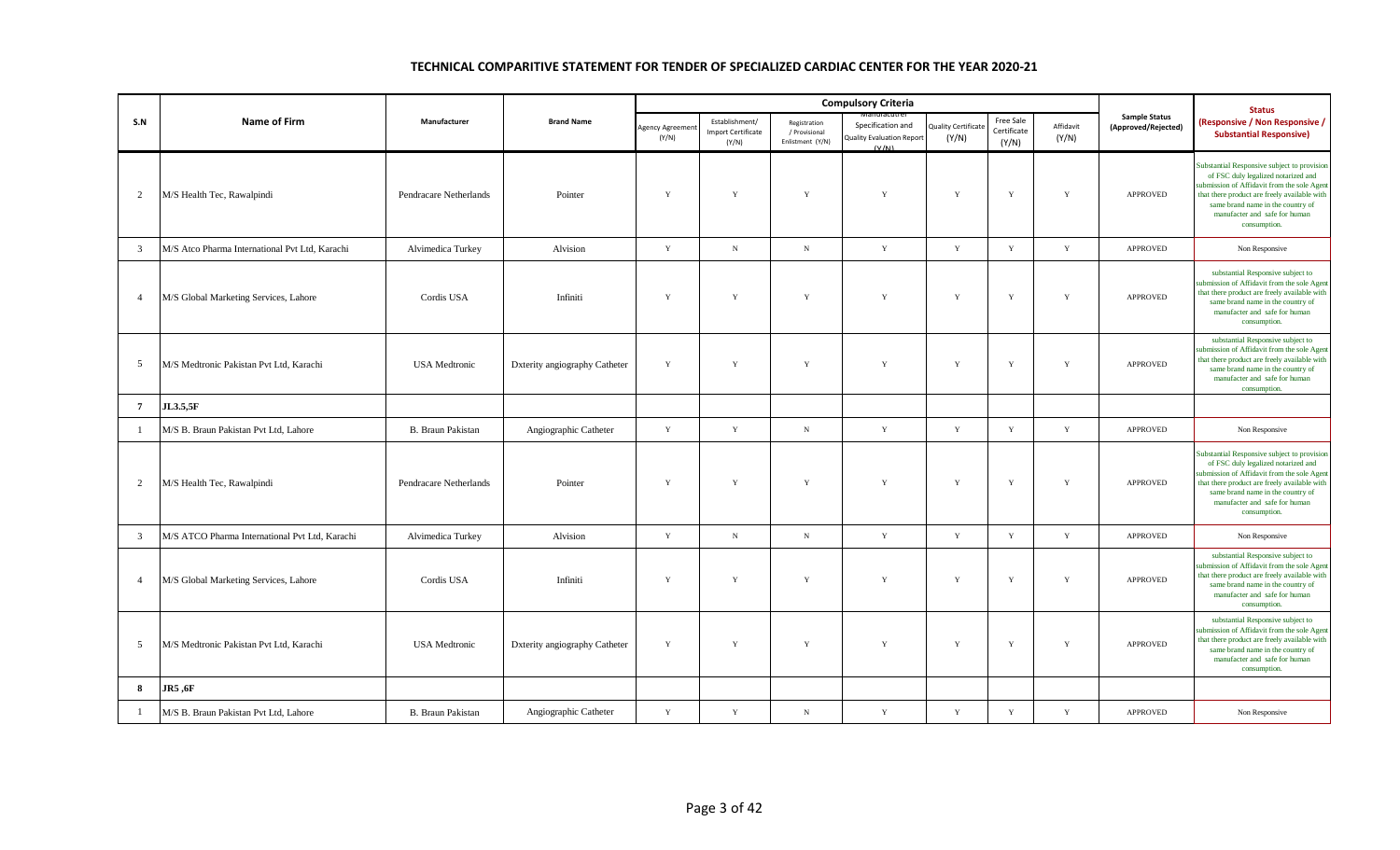|                |                                                |                          |                               |                         |                                                      |                                                   | <b>Compulsory Criteria</b>                                     |                            |                                   |                    |                                             | <b>Status</b>                                                                                                                                                                                                                                                           |
|----------------|------------------------------------------------|--------------------------|-------------------------------|-------------------------|------------------------------------------------------|---------------------------------------------------|----------------------------------------------------------------|----------------------------|-----------------------------------|--------------------|---------------------------------------------|-------------------------------------------------------------------------------------------------------------------------------------------------------------------------------------------------------------------------------------------------------------------------|
| S.N            | <b>Name of Firm</b>                            | Manufacturer             | <b>Brand Name</b>             | Agency Agreeme<br>(Y/N) | Establishment/<br><b>Import Certificate</b><br>(Y/N) | Registration<br>/ Provisional<br>Enlistment (Y/N) | Specification and<br><b>Quality Evaluation Report</b><br>(V/N) | uality Certificat<br>(Y/N) | Free Sale<br>Certificate<br>(Y/N) | Affidavit<br>(Y/N) | <b>Sample Status</b><br>(Approved/Rejected) | <b>Responsive / Non Responsive /</b><br><b>Substantial Responsive)</b>                                                                                                                                                                                                  |
| $\overline{2}$ | M/S Health Tec, Rawalpindi                     | Pendracare Netherlands   | Pointer                       | Y                       | $\mathbf Y$                                          | Y                                                 | Y                                                              | Y                          | $\mathbf Y$                       | Y                  | <b>APPROVED</b>                             | Substantial Responsive subject to provision<br>of FSC duly legalized notarized and<br>submission of Affidavit from the sole Agent<br>that there product are freely available with<br>same brand name in the country of<br>manufacter and safe for human<br>consumption. |
| 3              | M/S Atco Pharma International Pvt Ltd, Karachi | Alvimedica Turkey        | Alvision                      | $\mathbf Y$             | $_{\rm N}$                                           | $\,$ N                                            | $\mathbf Y$                                                    | Y                          | Y                                 | $\mathbf Y$        | APPROVED                                    | Non Responsive                                                                                                                                                                                                                                                          |
| $\overline{4}$ | M/S Global Marketing Services, Lahore          | Cordis USA               | Infiniti                      | Y                       | $\mathbf Y$                                          | Y                                                 | Y                                                              | Y                          | Y                                 | Y                  | APPROVED                                    | substantial Responsive subject to<br>submission of Affidavit from the sole Agent<br>that there product are freely available with<br>same brand name in the country of<br>manufacter and safe for human<br>consumption.                                                  |
| 5              | M/S Medtronic Pakistan Pvt Ltd, Karachi        | <b>USA</b> Medtronic     | Dxterity angiography Catheter | Y                       | $\mathbf Y$                                          | Y                                                 | Y                                                              | Y                          | $\mathbf Y$                       | Y                  | <b>APPROVED</b>                             | substantial Responsive subject to<br>submission of Affidavit from the sole Agent<br>that there product are freely available with<br>same brand name in the country of<br>manufacter and safe for human<br>consumption.                                                  |
| $\overline{7}$ | <b>JL3.5,5F</b>                                |                          |                               |                         |                                                      |                                                   |                                                                |                            |                                   |                    |                                             |                                                                                                                                                                                                                                                                         |
| -1             | M/S B. Braun Pakistan Pvt Ltd, Lahore          | <b>B.</b> Braun Pakistan | Angiographic Catheter         | $\mathbf Y$             | $\mathbf Y$                                          | ${\bf N}$                                         | $\mathbf Y$                                                    | $\mathbf Y$                | $\mathbf Y$                       | $\mathbf Y$        | <b>APPROVED</b>                             | Non Responsive                                                                                                                                                                                                                                                          |
| $\overline{2}$ | M/S Health Tec, Rawalpindi                     | Pendracare Netherlands   | Pointer                       | Y                       | Y                                                    | Y                                                 | Y                                                              | Y                          | Y                                 | Y                  | <b>APPROVED</b>                             | Substantial Responsive subject to provision<br>of FSC duly legalized notarized and<br>submission of Affidavit from the sole Agent<br>that there product are freely available with<br>same brand name in the country of<br>manufacter and safe for human<br>consumption. |
| 3              | M/S ATCO Pharma International Pvt Ltd, Karachi | Alvimedica Turkey        | Alvision                      | $\mathbf Y$             | $_{\rm N}$                                           | $\,$ N                                            | $\mathbf Y$                                                    | $\mathbf Y$                | Y                                 | $\mathbf Y$        | APPROVED                                    | Non Responsive                                                                                                                                                                                                                                                          |
| $\overline{4}$ | M/S Global Marketing Services, Lahore          | Cordis USA               | Infiniti                      | Y                       | Y                                                    | Y                                                 | Y                                                              | $\mathbf{Y}$               | Y                                 | Y                  | <b>APPROVED</b>                             | substantial Responsive subject to<br>submission of Affidavit from the sole Agent<br>that there product are freely available with<br>same brand name in the country of<br>manufacter and safe for human<br>consumption.                                                  |
| 5              | M/S Medtronic Pakistan Pvt Ltd, Karachi        | <b>USA</b> Medtronic     | Dxterity angiography Catheter | Y                       | $\mathbf Y$                                          | $\mathbf Y$                                       | $\mathbf Y$                                                    | $\mathbf Y$                | $\mathbf Y$                       | Y                  | APPROVED                                    | substantial Responsive subject to<br>submission of Affidavit from the sole Agent<br>that there product are freely available with<br>same brand name in the country of<br>manufacter and safe for human<br>consumption.                                                  |
| 8              | <b>JR5</b> , 6F                                |                          |                               |                         |                                                      |                                                   |                                                                |                            |                                   |                    |                                             |                                                                                                                                                                                                                                                                         |
| $\mathbf{1}$   | M/S B. Braun Pakistan Pvt Ltd, Lahore          | <b>B.</b> Braun Pakistan | Angiographic Catheter         | $\mathbf Y$             | $\mathbf Y$                                          | $_{\rm N}$                                        | $\mathbf Y$                                                    | $\mathbf Y$                | $\mathbf Y$                       | $\mathbf Y$        | <b>APPROVED</b>                             | Non Responsive                                                                                                                                                                                                                                                          |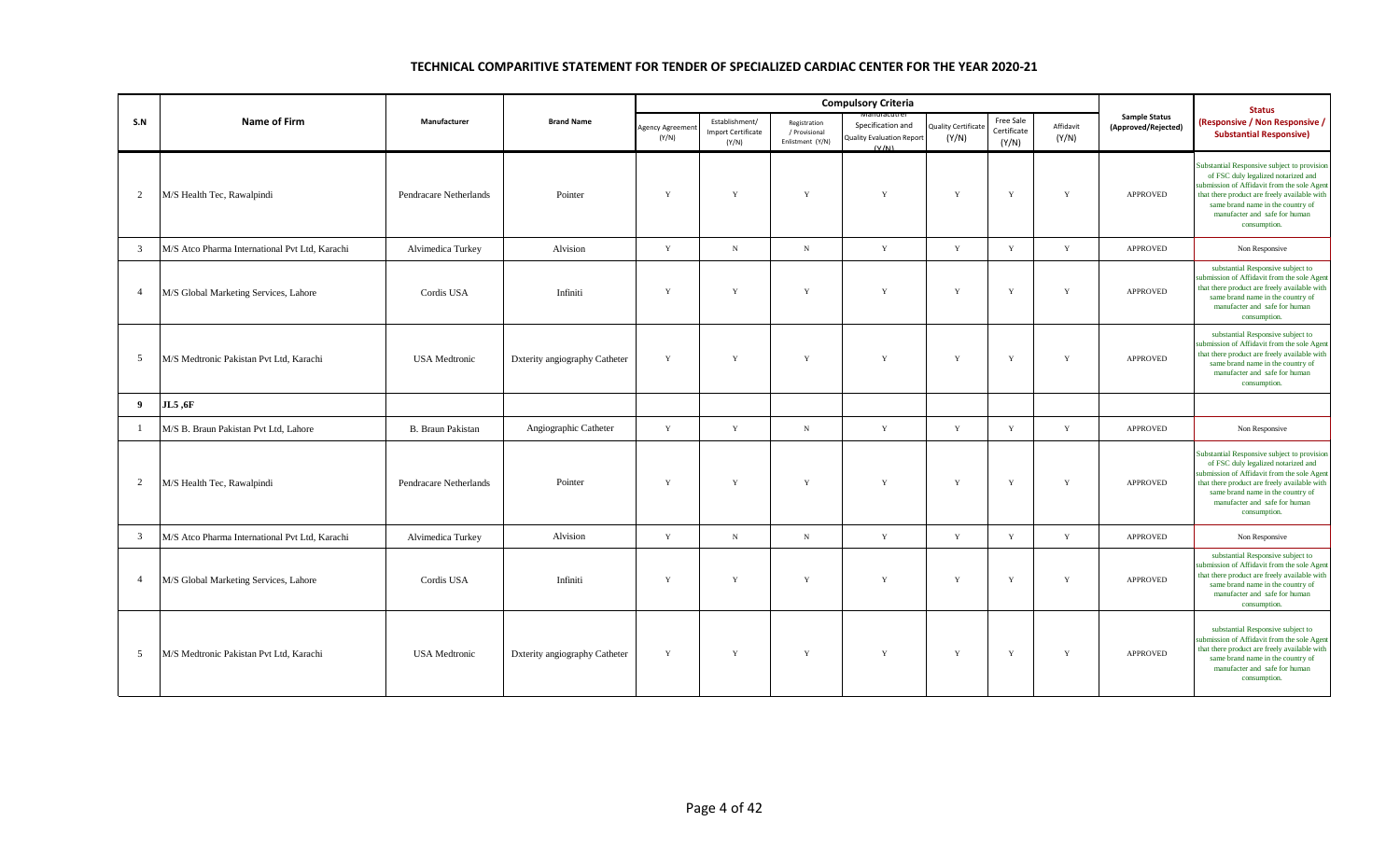|                |                                                |                        |                               |                         |                                                      |                                                   | <b>Compulsory Criteria</b>                                     |                                     |                                   |                    |                                             | <b>Status</b>                                                                                                                                                                                                                                                          |
|----------------|------------------------------------------------|------------------------|-------------------------------|-------------------------|------------------------------------------------------|---------------------------------------------------|----------------------------------------------------------------|-------------------------------------|-----------------------------------|--------------------|---------------------------------------------|------------------------------------------------------------------------------------------------------------------------------------------------------------------------------------------------------------------------------------------------------------------------|
| S.N            | Name of Firm                                   | Manufacturer           | <b>Brand Name</b>             | Agency Agreeme<br>(Y/N) | Establishment/<br><b>Import Certificate</b><br>(Y/N) | Registration<br>/ Provisional<br>Enlistment (Y/N) | Specification and<br><b>Quality Evaluation Report</b><br>(V/N) | <b>Quality Certificate</b><br>(Y/N) | Free Sale<br>Certificate<br>(Y/N) | Affidavit<br>(Y/N) | <b>Sample Status</b><br>(Approved/Rejected) | (Responsive / Non Responsive /<br><b>Substantial Responsive)</b>                                                                                                                                                                                                       |
| $\overline{2}$ | M/S Health Tec, Rawalpindi                     | Pendracare Netherlands | Pointer                       | $\mathbf Y$             | Y                                                    | Y                                                 | $\mathbf Y$                                                    | Y                                   | $\mathbf Y$                       | Y                  | <b>APPROVED</b>                             | Substantial Responsive subject to provision<br>of FSC duly legalized notarized and<br>ubmission of Affidavit from the sole Agent<br>that there product are freely available with<br>same brand name in the country of<br>manufacter and safe for human<br>consumption. |
| $\overline{3}$ | M/S Atco Pharma International Pvt Ltd, Karachi | Alvimedica Turkey      | Alvision                      | $\mathbf Y$             | $_{\rm N}$                                           | ${\bf N}$                                         | $\mathbf Y$                                                    | $\mathbf Y$                         | $\mathbf Y$                       | $\mathbf Y$        | APPROVED                                    | Non Responsive                                                                                                                                                                                                                                                         |
| $\overline{4}$ | M/S Global Marketing Services, Lahore          | Cordis USA             | Infiniti                      | Y                       | Y                                                    | Y                                                 | Y                                                              | Y                                   | Y                                 | Y                  | <b>APPROVED</b>                             | substantial Responsive subject to<br>ubmission of Affidavit from the sole Agent<br>that there product are freely available with<br>same brand name in the country of<br>manufacter and safe for human<br>consumption.                                                  |
| 5              | M/S Medtronic Pakistan Pvt Ltd, Karachi        | <b>USA</b> Medtronic   | Dxterity angiography Catheter | $\mathbf Y$             | Y                                                    | $\mathbf Y$                                       | $\mathbf Y$                                                    | $\mathbf Y$                         | $\mathbf Y$                       | $\mathbf Y$        | <b>APPROVED</b>                             | substantial Responsive subject to<br>abmission of Affidavit from the sole Agent<br>that there product are freely available with<br>same brand name in the country of<br>manufacter and safe for human<br>consumption.                                                  |
| 9              | JL5,6F                                         |                        |                               |                         |                                                      |                                                   |                                                                |                                     |                                   |                    |                                             |                                                                                                                                                                                                                                                                        |
| $\mathbf{1}$   | M/S B. Braun Pakistan Pvt Ltd, Lahore          | B. Braun Pakistan      | Angiographic Catheter         | Y                       | $\mathbf Y$                                          | ${\bf N}$                                         | $\mathbf Y$                                                    | $\mathbf Y$                         | $\mathbf Y$                       | $\mathbf Y$        | APPROVED                                    | Non Responsive                                                                                                                                                                                                                                                         |
| 2              | M/S Health Tec, Rawalpindi                     | Pendracare Netherlands | Pointer                       | Y                       | Y                                                    | Y                                                 | $\mathbf Y$                                                    | Y                                   | $\mathbf Y$                       | Y                  | <b>APPROVED</b>                             | Substantial Responsive subject to provision<br>of FSC duly legalized notarized and<br>abmission of Affidavit from the sole Agent<br>that there product are freely available with<br>same brand name in the country of<br>manufacter and safe for human<br>consumption. |
| $\overline{3}$ | M/S Atco Pharma International Pvt Ltd, Karachi | Alvimedica Turkey      | Alvision                      | Y                       | $_{\rm N}$                                           | $\,$ N $\,$                                       | $\mathbf Y$                                                    | Y                                   | Y                                 | Y                  | <b>APPROVED</b>                             | Non Responsive                                                                                                                                                                                                                                                         |
| $\overline{4}$ | M/S Global Marketing Services, Lahore          | Cordis USA             | Infiniti                      | $\mathbf Y$             | Y                                                    | Y                                                 | $\mathbf Y$                                                    | Y                                   | $\mathbf Y$                       | Y                  | <b>APPROVED</b>                             | substantial Responsive subject to<br>submission of Affidavit from the sole Agent<br>that there product are freely available with<br>same brand name in the country of<br>manufacter and safe for human<br>consumption.                                                 |
| 5              | M/S Medtronic Pakistan Pvt Ltd, Karachi        | <b>USA</b> Medtronic   | Dxterity angiography Catheter | $\mathbf Y$             | Y                                                    | $\mathbf Y$                                       | $\mathbf Y$                                                    | Y                                   | $\mathbf Y$                       | $\mathbf Y$        | APPROVED                                    | substantial Responsive subject to<br>submission of Affidavit from the sole Agent<br>that there product are freely available with<br>same brand name in the country of<br>manufacter and safe for human<br>consumption.                                                 |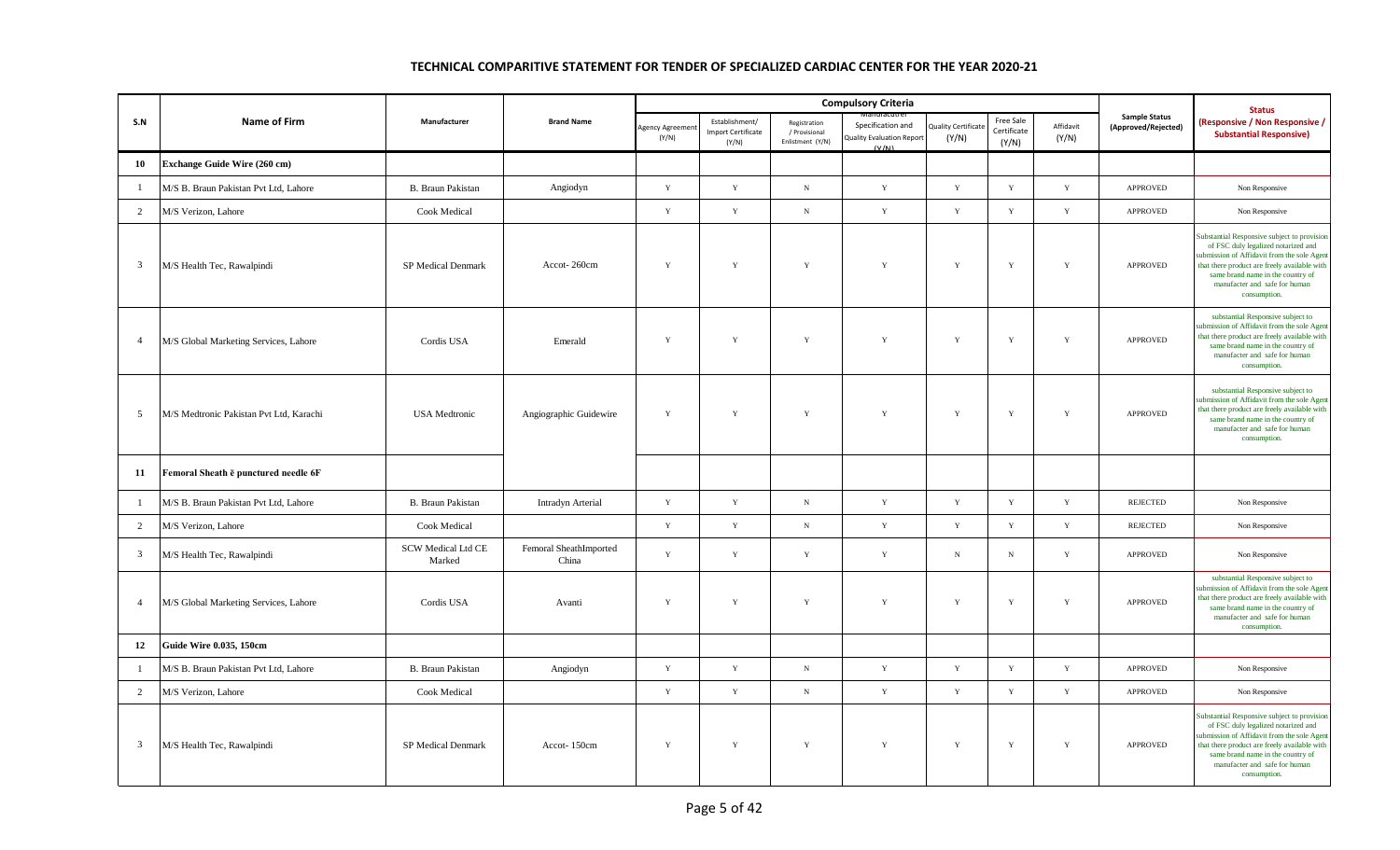|                |                                         |                                     |                                 |                         |                                                      |                                                   | <b>Compulsory Criteria</b>                              |                                    |                                   |                    |                                             | <b>Status</b>                                                                                                                                                                                                                                                           |
|----------------|-----------------------------------------|-------------------------------------|---------------------------------|-------------------------|------------------------------------------------------|---------------------------------------------------|---------------------------------------------------------|------------------------------------|-----------------------------------|--------------------|---------------------------------------------|-------------------------------------------------------------------------------------------------------------------------------------------------------------------------------------------------------------------------------------------------------------------------|
| S.N            | Name of Firm                            | Manufacturer                        | <b>Brand Name</b>               | Agency Agreeme<br>(Y/N) | Establishment/<br><b>Import Certificate</b><br>(Y/N) | Registration<br>/ Provisional<br>Enlistment (Y/N) | Specification and<br>Quality Evaluation Report<br>(V/M) | <b>Quality Certificat</b><br>(Y/N) | Free Sale<br>Certificate<br>(Y/N) | Affidavit<br>(Y/N) | <b>Sample Status</b><br>(Approved/Rejected) | (Responsive / Non Responsive /<br><b>Substantial Responsive)</b>                                                                                                                                                                                                        |
| 10             | Exchange Guide Wire (260 cm)            |                                     |                                 |                         |                                                      |                                                   |                                                         |                                    |                                   |                    |                                             |                                                                                                                                                                                                                                                                         |
| $\mathbf{1}$   | M/S B. Braun Pakistan Pvt Ltd, Lahore   | B. Braun Pakistan                   | Angiodyn                        | $\mathbf Y$             | $\mathbf Y$                                          | $_{\rm N}$                                        | $\mathbf Y$                                             | $\mathbf Y$                        | $\mathbf Y$                       | $\mathbf Y$        | APPROVED                                    | Non Responsive                                                                                                                                                                                                                                                          |
| 2              | M/S Verizon, Lahore                     | Cook Medical                        |                                 | Y                       | $\mathbf Y$                                          | $_{\rm N}$                                        | $\mathbf Y$                                             | Y                                  | $\mathbf Y$                       | $\mathbf Y$        | <b>APPROVED</b>                             | Non Responsive                                                                                                                                                                                                                                                          |
| $\mathbf{3}$   | M/S Health Tec, Rawalpindi              | SP Medical Denmark                  | Accot-260cm                     | Y                       | Y                                                    | $\mathbf Y$                                       | Y                                                       | $\mathbf Y$                        | $\mathbf Y$                       | $\mathbf Y$        | APPROVED                                    | Substantial Responsive subject to provision<br>of FSC duly legalized notarized and<br>ubmission of Affidavit from the sole Agen<br>that there product are freely available with<br>same brand name in the country of<br>manufacter and safe for human<br>consumption.   |
| $\overline{4}$ | M/S Global Marketing Services, Lahore   | Cordis USA                          | Emerald                         | Y                       | Y                                                    | $\mathbf Y$                                       | Y                                                       | $\mathbf Y$                        | $\mathbf Y$                       | $\mathbf Y$        | APPROVED                                    | substantial Responsive subject to<br>submission of Affidavit from the sole Agent<br>that there product are freely available with<br>same brand name in the country of<br>manufacter and safe for human<br>consumption.                                                  |
| 5              | M/S Medtronic Pakistan Pvt Ltd. Karachi | <b>USA</b> Medtronic                | Angiographic Guidewire          | Y                       | Y                                                    | Y                                                 | Y                                                       | Y                                  | $\mathbf Y$                       | $\mathbf Y$        | <b>APPROVED</b>                             | substantial Responsive subject to<br>ubmission of Affidavit from the sole Agent<br>that there product are freely available with<br>same brand name in the country of<br>manufacter and safe for human<br>consumption.                                                   |
| 11             | Femoral Sheath e punctured needle 6F    |                                     |                                 |                         |                                                      |                                                   |                                                         |                                    |                                   |                    |                                             |                                                                                                                                                                                                                                                                         |
| $\overline{1}$ | M/S B. Braun Pakistan Pvt Ltd, Lahore   | B. Braun Pakistan                   | Intradyn Arterial               | Y                       | Y                                                    | $_{\rm N}$                                        | $\mathbf Y$                                             | $\mathbf{Y}$                       | $\mathbf Y$                       | Y                  | REJECTED                                    | Non Responsive                                                                                                                                                                                                                                                          |
| $\overline{2}$ | M/S Verizon, Lahore                     | <b>Cook Medical</b>                 |                                 | $\mathbf{Y}$            | $\mathbf Y$                                          | $_{\rm N}$                                        | $\mathbf Y$                                             | $\mathbf Y$                        | $\mathbf Y$                       | $\mathbf Y$        | <b>REJECTED</b>                             | Non Responsive                                                                                                                                                                                                                                                          |
| $\overline{3}$ | M/S Health Tec, Rawalpindi              | <b>SCW Medical Ltd CE</b><br>Marked | Femoral SheathImported<br>China | Y                       | $\mathbf Y$                                          | $\mathbf Y$                                       | $\mathbf Y$                                             | $\,$ N                             | $_{\rm N}$                        | $\mathbf Y$        | APPROVED                                    | Non Responsive                                                                                                                                                                                                                                                          |
| $\overline{4}$ | M/S Global Marketing Services, Lahore   | Cordis USA                          | Avanti                          | Y                       | Y                                                    | Y                                                 | Y                                                       | Y                                  | Y                                 | Y                  | <b>APPROVED</b>                             | substantial Responsive subject to<br>abmission of Affidavit from the sole Agen<br>that there product are freely available with<br>same brand name in the country of<br>manufacter and safe for human<br>consumption.                                                    |
| 12             | <b>Guide Wire 0.035, 150cm</b>          |                                     |                                 |                         |                                                      |                                                   |                                                         |                                    |                                   |                    |                                             |                                                                                                                                                                                                                                                                         |
| -1             | M/S B. Braun Pakistan Pvt Ltd, Lahore   | <b>B.</b> Braun Pakistan            | Angiodyn                        | Y                       | Y                                                    | $_{\rm N}$                                        | Y                                                       | Y                                  | $\mathbf Y$                       | $\mathbf Y$        | APPROVED                                    | Non Responsive                                                                                                                                                                                                                                                          |
| 2              | M/S Verizon, Lahore                     | Cook Medical                        |                                 | $\mathbf Y$             | $\mathbf Y$                                          | ${\bf N}$                                         | $\mathbf Y$                                             | $\mathbf Y$                        | $\mathbf Y$                       | $\mathbf Y$        | APPROVED                                    | Non Responsive                                                                                                                                                                                                                                                          |
| $\overline{3}$ | M/S Health Tec, Rawalpindi              | SP Medical Denmark                  | Accot-150cm                     | $\mathbf Y$             | Y                                                    | $\mathbf Y$                                       | Y                                                       | $\mathbf Y$                        | $\mathbf Y$                       | $\mathbf Y$        | APPROVED                                    | Substantial Responsive subject to provision<br>of FSC duly legalized notarized and<br>submission of Affidavit from the sole Agent<br>that there product are freely available with<br>same brand name in the country of<br>manufacter and safe for human<br>consumption. |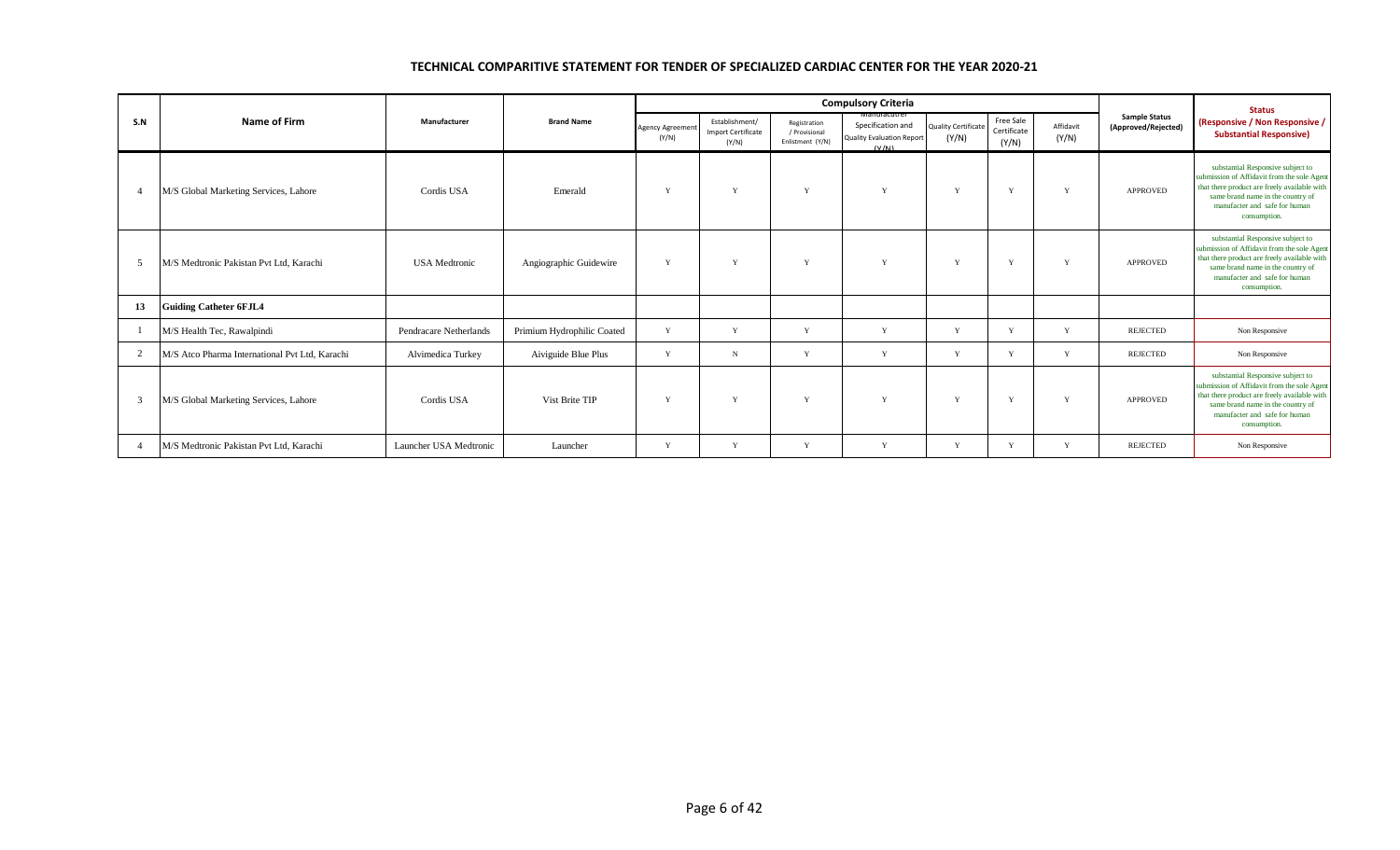|                |                                                |                        |                            |                                  |                                                      |                                                   | <b>Compulsory Criteria</b>                                                     |                                     |                                   |                    |                                             | <b>Status</b>                                                                                                                                                                                                          |
|----------------|------------------------------------------------|------------------------|----------------------------|----------------------------------|------------------------------------------------------|---------------------------------------------------|--------------------------------------------------------------------------------|-------------------------------------|-----------------------------------|--------------------|---------------------------------------------|------------------------------------------------------------------------------------------------------------------------------------------------------------------------------------------------------------------------|
| S.N            | <b>Name of Firm</b>                            | Manufacturer           | <b>Brand Name</b>          | <b>Agency Agreement</b><br>(Y/N) | Establishment/<br><b>Import Certificate</b><br>(Y/N) | Registration<br>/ Provisional<br>Enlistment (Y/N) | ivianufacutr<br>Specification and<br><b>Quality Evaluation Report</b><br>(V/M) | <b>Quality Certificate</b><br>(Y/N) | Free Sale<br>Certificate<br>(Y/N) | Affidavit<br>(Y/N) | <b>Sample Status</b><br>(Approved/Rejected) | (Responsive / Non Responsive /<br><b>Substantial Responsive)</b>                                                                                                                                                       |
| $\overline{4}$ | M/S Global Marketing Services, Lahore          | Cordis USA             | Emerald                    | V                                | v                                                    | $\mathbf{v}$                                      | Y                                                                              | Y                                   | V                                 | Y                  | <b>APPROVED</b>                             | substantial Responsive subject to<br>submission of Affidavit from the sole Agent<br>that there product are freely available with<br>same brand name in the country of<br>manufacter and safe for human<br>consumption. |
| -5             | M/S Medtronic Pakistan Pvt Ltd. Karachi        | <b>USA</b> Medtronic   | Angiographic Guidewire     | $\mathbf{v}$                     | $\mathbf{v}$                                         | $\mathbf{v}$                                      | V                                                                              | Y                                   | $\mathbf{v}$                      | v                  | <b>APPROVED</b>                             | substantial Responsive subject to<br>submission of Affidavit from the sole Agent<br>that there product are freely available with<br>same brand name in the country of<br>manufacter and safe for human<br>consumption. |
| 13             | <b>Guiding Catheter 6FJL4</b>                  |                        |                            |                                  |                                                      |                                                   |                                                                                |                                     |                                   |                    |                                             |                                                                                                                                                                                                                        |
|                | M/S Health Tec, Rawalpindi                     | Pendracare Netherlands | Primium Hydrophilic Coated | Y                                | Y                                                    | Y                                                 | Y                                                                              | Y                                   | V                                 | Y                  | REJECTED                                    | Non Responsive                                                                                                                                                                                                         |
| 2              | M/S Atco Pharma International Pvt Ltd. Karachi | Alvimedica Turkey      | Aiviguide Blue Plus        | Y                                | $_{\rm N}$                                           | $\mathbf{v}$                                      | Y                                                                              | Y                                   | v                                 | Y                  | <b>REJECTED</b>                             | Non Responsive                                                                                                                                                                                                         |
| 3              | M/S Global Marketing Services, Lahore          | Cordis USA             | Vist Brite TIP             | $\mathbf{v}$                     | $\mathbf{v}$                                         | $\mathbf{v}$                                      | $\mathbf{v}$                                                                   | Y                                   | $\mathbf{v}$                      | $\mathbf{v}$       | <b>APPROVED</b>                             | substantial Responsive subject to<br>submission of Affidavit from the sole Agent<br>that there product are freely available with<br>same brand name in the country of<br>manufacter and safe for human<br>consumption. |
| $\overline{4}$ | M/S Medtronic Pakistan Pvt Ltd, Karachi        | Launcher USA Medtronic | Launcher                   | V                                | v                                                    | $\mathbf{v}$                                      | Y                                                                              | Y                                   | $\mathbf{v}$                      | $\mathbf{v}$       | <b>REJECTED</b>                             | Non Responsive                                                                                                                                                                                                         |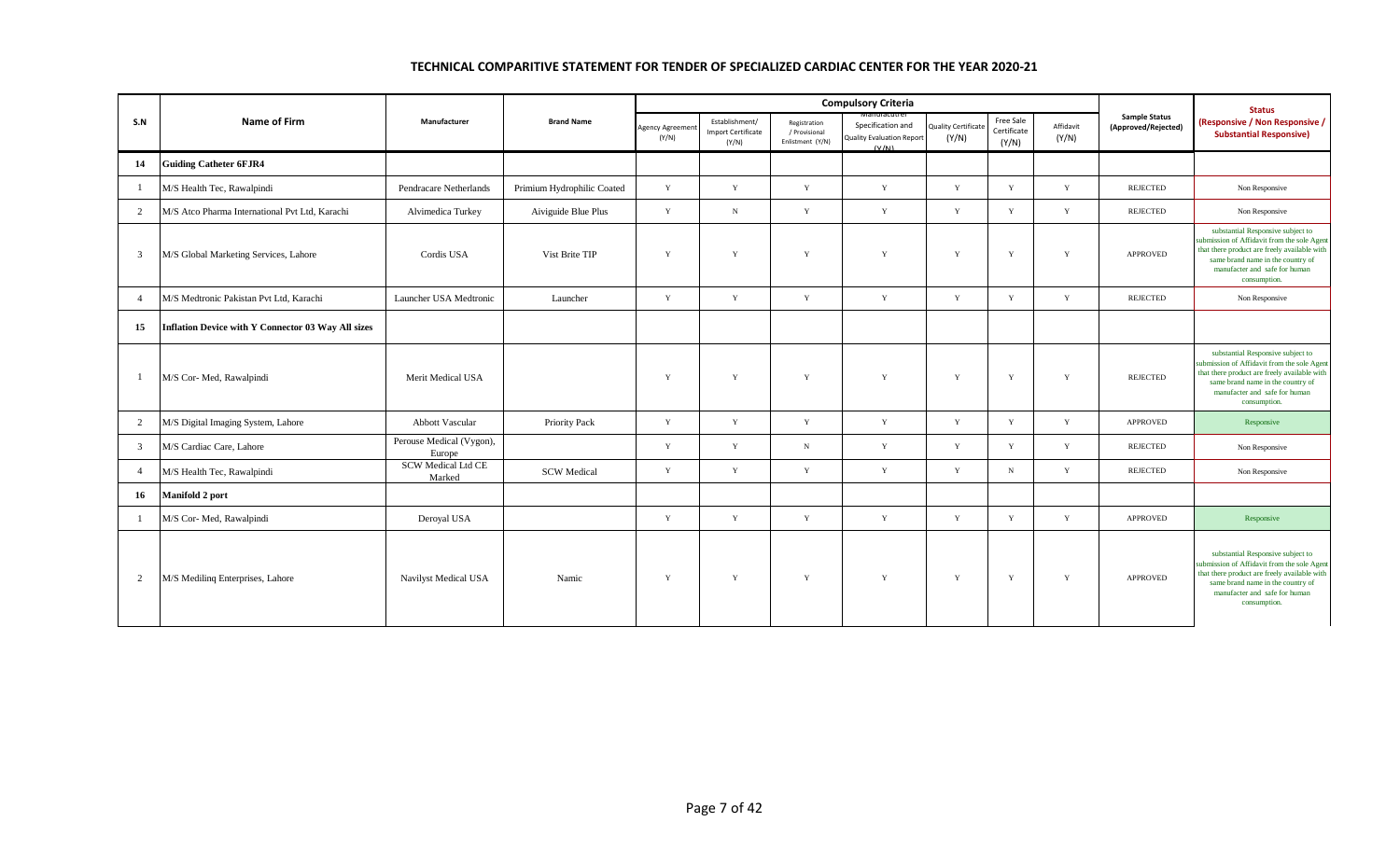|                |                                                    |                                     |                            |                          |                                                      |                                                   | <b>Compulsory Criteria</b>                                     |                                    |                                   |                    |                                             | <b>Status</b>                                                                                                                                                                                                          |
|----------------|----------------------------------------------------|-------------------------------------|----------------------------|--------------------------|------------------------------------------------------|---------------------------------------------------|----------------------------------------------------------------|------------------------------------|-----------------------------------|--------------------|---------------------------------------------|------------------------------------------------------------------------------------------------------------------------------------------------------------------------------------------------------------------------|
| S.N            | <b>Name of Firm</b>                                | Manufacturer                        | <b>Brand Name</b>          | Agency Agreemen<br>(Y/N) | Establishment/<br><b>Import Certificate</b><br>(Y/N) | Registration<br>/ Provisional<br>Enlistment (Y/N) | Specification and<br><b>Quality Evaluation Report</b><br>(V/N) | <b>Quality Certificat</b><br>(Y/N) | Free Sale<br>Certificate<br>(Y/N) | Affidavit<br>(Y/N) | <b>Sample Status</b><br>(Approved/Rejected) | (Responsive / Non Responsive /<br><b>Substantial Responsive)</b>                                                                                                                                                       |
| 14             | <b>Guiding Catheter 6FJR4</b>                      |                                     |                            |                          |                                                      |                                                   |                                                                |                                    |                                   |                    |                                             |                                                                                                                                                                                                                        |
| $\overline{1}$ | M/S Health Tec, Rawalpindi                         | Pendracare Netherlands              | Primium Hydrophilic Coated | Y                        | Y                                                    | Y                                                 | Y                                                              | Y                                  | Y                                 | Y                  | <b>REJECTED</b>                             | Non Responsive                                                                                                                                                                                                         |
| 2              | M/S Atco Pharma International Pvt Ltd, Karachi     | Alvimedica Turkey                   | Aiviguide Blue Plus        | Y                        | $_{\rm N}$                                           | $\mathbf Y$                                       | Y                                                              | Y                                  | Y                                 | $\mathbf Y$        | <b>REJECTED</b>                             | Non Responsive                                                                                                                                                                                                         |
| 3              | M/S Global Marketing Services, Lahore              | Cordis USA                          | Vist Brite TIP             | Y                        | Y                                                    | Y                                                 | Y                                                              | Y                                  | Y                                 | Y                  | <b>APPROVED</b>                             | substantial Responsive subject to<br>submission of Affidavit from the sole Agent<br>that there product are freely available with<br>same brand name in the country of<br>manufacter and safe for human<br>consumption. |
| $\overline{4}$ | M/S Medtronic Pakistan Pvt Ltd, Karachi            | Launcher USA Medtronic              | Launcher                   | Y                        | Y                                                    | Y                                                 | Y                                                              | Y                                  | Y                                 | Y                  | REJECTED                                    | Non Responsive                                                                                                                                                                                                         |
| 15             | Inflation Device with Y Connector 03 Way All sizes |                                     |                            |                          |                                                      |                                                   |                                                                |                                    |                                   |                    |                                             |                                                                                                                                                                                                                        |
| $\overline{1}$ | M/S Cor- Med, Rawalpindi                           | Merit Medical USA                   |                            | Y                        | Y                                                    | Y                                                 | Y                                                              | Y                                  | Y                                 | $\mathbf Y$        | <b>REJECTED</b>                             | substantial Responsive subject to<br>abmission of Affidavit from the sole Agent<br>that there product are freely available with<br>same brand name in the country of<br>manufacter and safe for human<br>consumption.  |
| $\overline{2}$ | M/S Digital Imaging System, Lahore                 | <b>Abbott Vascular</b>              | Priority Pack              | Y                        | Y                                                    | $\mathbf Y$                                       | Y                                                              | Y                                  | Y                                 | Y                  | APPROVED                                    | Responsive                                                                                                                                                                                                             |
| $\mathfrak{Z}$ | M/S Cardiac Care, Lahore                           | Perouse Medical (Vygon),<br>Europe  |                            | Y                        | Y                                                    | $_{\rm N}$                                        | $\mathbf Y$                                                    | Y                                  | $\mathbf Y$                       | $\mathbf Y$        | <b>REJECTED</b>                             | Non Responsive                                                                                                                                                                                                         |
| $\overline{4}$ | M/S Health Tec, Rawalpindi                         | <b>SCW Medical Ltd CE</b><br>Marked | <b>SCW</b> Medical         | Y                        | Y                                                    | $\mathbf Y$                                       | Y                                                              | Y                                  | N                                 | Y                  | REJECTED                                    | Non Responsive                                                                                                                                                                                                         |
| 16             | Manifold 2 port                                    |                                     |                            |                          |                                                      |                                                   |                                                                |                                    |                                   |                    |                                             |                                                                                                                                                                                                                        |
|                | M/S Cor- Med, Rawalpindi                           | Deroyal USA                         |                            | Y                        | Y                                                    | Y                                                 | $\mathbf Y$                                                    | $\mathbf Y$                        | $\mathbf Y$                       | $\mathbf Y$        | <b>APPROVED</b>                             | Responsive                                                                                                                                                                                                             |
| $\overline{2}$ | M/S Mediling Enterprises, Lahore                   | Navilyst Medical USA                | Namic                      | Y                        | Y                                                    | $\mathbf Y$                                       | $\mathbf Y$                                                    | Y                                  | $\mathbf Y$                       | $\mathbf Y$        | <b>APPROVED</b>                             | substantial Responsive subject to<br>abmission of Affidavit from the sole Agent<br>that there product are freely available with<br>same brand name in the country of<br>manufacter and safe for human<br>consumption.  |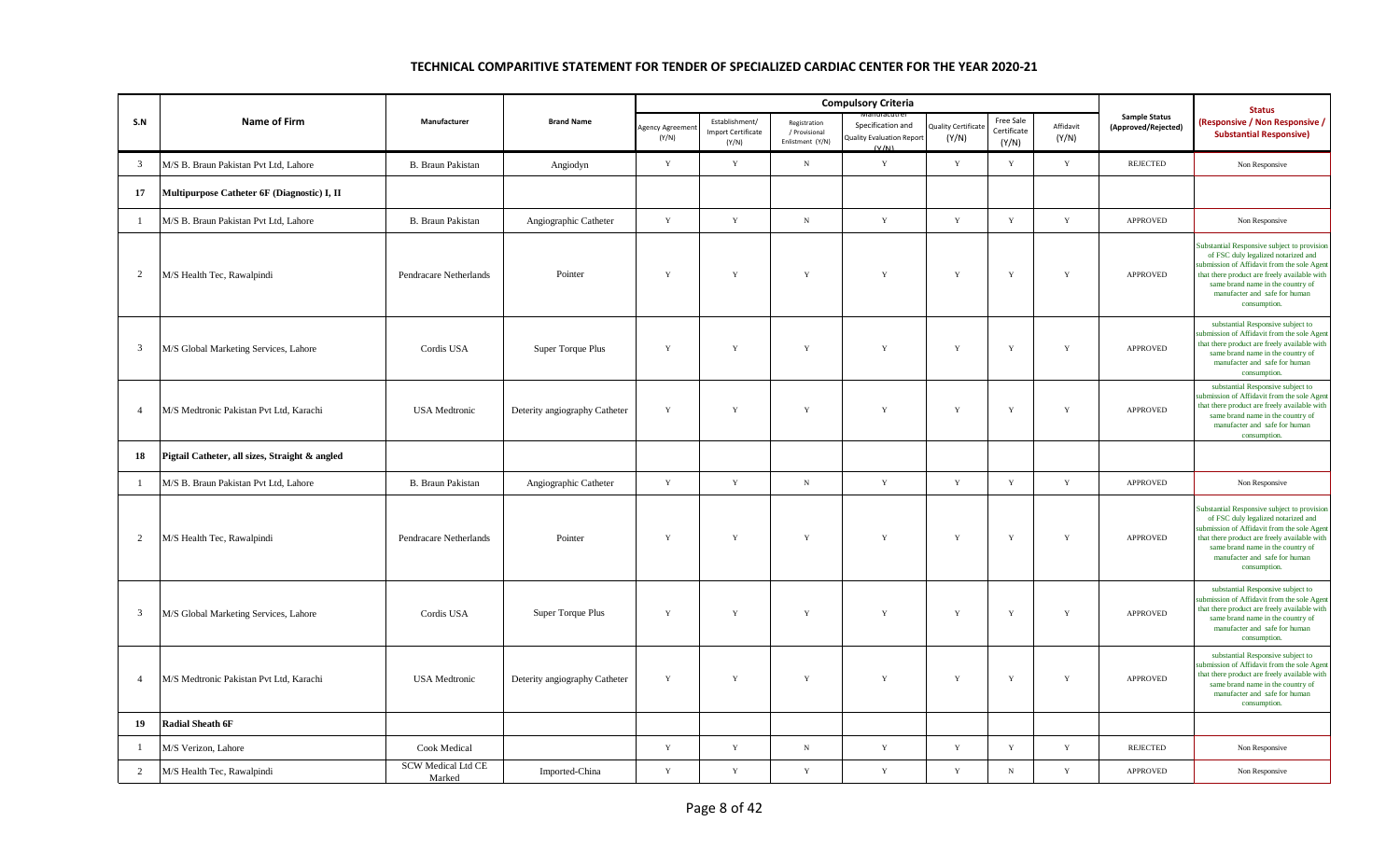|                         |                                                |                                     |                               |                        |                                                      |                                                   | <b>Compulsory Criteria</b>                                     |                                    |                                   |                    |                                             | <b>Status</b>                                                                                                                                                                                                                                                          |
|-------------------------|------------------------------------------------|-------------------------------------|-------------------------------|------------------------|------------------------------------------------------|---------------------------------------------------|----------------------------------------------------------------|------------------------------------|-----------------------------------|--------------------|---------------------------------------------|------------------------------------------------------------------------------------------------------------------------------------------------------------------------------------------------------------------------------------------------------------------------|
| S.N                     | <b>Name of Firm</b>                            | Manufacturer                        | <b>Brand Name</b>             | Agency Agreem<br>(Y/N) | Establishment/<br><b>Import Certificate</b><br>(Y/N) | Registration<br>/ Provisional<br>Enlistment (Y/N) | Specification and<br><b>Quality Evaluation Report</b><br>(V/M) | <b>Quality Certificat</b><br>(Y/N) | Free Sale<br>Certificate<br>(Y/N) | Affidavit<br>(Y/N) | <b>Sample Status</b><br>(Approved/Rejected) | (Responsive / Non Responsive /<br><b>Substantial Responsive)</b>                                                                                                                                                                                                       |
| $\mathbf{3}$            | M/S B. Braun Pakistan Pvt Ltd, Lahore          | <b>B.</b> Braun Pakistan            | Angiodyn                      | Y                      | $\mathbf Y$                                          | $\,$ N                                            | Y                                                              | Y                                  | $\mathbf Y$                       | $\mathbf Y$        | <b>REJECTED</b>                             | Non Responsive                                                                                                                                                                                                                                                         |
| 17                      | Multipurpose Catheter 6F (Diagnostic) I, II    |                                     |                               |                        |                                                      |                                                   |                                                                |                                    |                                   |                    |                                             |                                                                                                                                                                                                                                                                        |
| $\mathbf{1}$            | M/S B. Braun Pakistan Pvt Ltd, Lahore          | B. Braun Pakistan                   | Angiographic Catheter         | $\mathbf Y$            | $\mathbf Y$                                          | $_{\rm N}$                                        | $\mathbf Y$                                                    | $\mathbf Y$                        | $\mathbf Y$                       | $\mathbf Y$        | APPROVED                                    | Non Responsive                                                                                                                                                                                                                                                         |
| $\overline{2}$          | M/S Health Tec, Rawalpindi                     | Pendracare Netherlands              | Pointer                       | $\mathbf Y$            | Y                                                    | $\mathbf Y$                                       | Y                                                              | Y                                  | $\mathbf Y$                       | $\mathbf Y$        | <b>APPROVED</b>                             | Substantial Responsive subject to provision<br>of FSC duly legalized notarized and<br>ubmission of Affidavit from the sole Agent<br>that there product are freely available with<br>same brand name in the country of<br>manufacter and safe for human<br>consumption. |
| $\overline{\mathbf{3}}$ | M/S Global Marketing Services, Lahore          | Cordis USA                          | Super Torque Plus             | $\mathbf Y$            | Y                                                    | $\mathbf Y$                                       | Y                                                              | Y                                  | $\mathbf Y$                       | Y                  | <b>APPROVED</b>                             | substantial Responsive subject to<br>ubmission of Affidavit from the sole Agent<br>that there product are freely available with<br>same brand name in the country of<br>manufacter and safe for human<br>consumption.                                                  |
| $\overline{4}$          | M/S Medtronic Pakistan Pvt Ltd, Karachi        | <b>USA</b> Medtronic                | Deterity angiography Catheter | $\mathbf Y$            | $\mathbf Y$                                          | $\mathbf Y$                                       | $\mathbf Y$                                                    | $\mathbf Y$                        | $\mathbf Y$                       | Y                  | APPROVED                                    | substantial Responsive subject to<br>ubmission of Affidavit from the sole Agent<br>that there product are freely available with<br>same brand name in the country of<br>manufacter and safe for human<br>consumption.                                                  |
| 18                      | Pigtail Catheter, all sizes, Straight & angled |                                     |                               |                        |                                                      |                                                   |                                                                |                                    |                                   |                    |                                             |                                                                                                                                                                                                                                                                        |
| $\mathbf{1}$            | M/S B. Braun Pakistan Pvt Ltd, Lahore          | B. Braun Pakistan                   | Angiographic Catheter         | Y                      | Y                                                    | $\,$ N                                            | $\mathbf Y$                                                    | Y                                  | Y                                 | Y                  | APPROVED                                    | Non Responsive                                                                                                                                                                                                                                                         |
| $\overline{2}$          | M/S Health Tec, Rawalpindi                     | Pendracare Netherlands              | Pointer                       | $\mathbf Y$            | Y                                                    | Y                                                 | Y                                                              | Y                                  | $\mathbf Y$                       | Y                  | APPROVED                                    | Substantial Responsive subject to provision<br>of FSC duly legalized notarized and<br>ubmission of Affidavit from the sole Agent<br>that there product are freely available with<br>same brand name in the country of<br>manufacter and safe for human<br>consumption. |
| $\overline{3}$          | M/S Global Marketing Services, Lahore          | Cordis USA                          | Super Torque Plus             | Y                      | Y                                                    | $\mathbf Y$                                       | $\mathbf Y$                                                    | Y                                  | $\mathbf Y$                       | $\mathbf Y$        | APPROVED                                    | substantial Responsive subject to<br>ubmission of Affidavit from the sole Agent<br>that there product are freely available with<br>same brand name in the country of<br>manufacter and safe for human<br>consumption.                                                  |
| $\overline{4}$          | M/S Medtronic Pakistan Pvt Ltd, Karachi        | <b>USA</b> Medtronic                | Deterity angiography Catheter | $\mathbf Y$            | Y                                                    | $\mathbf Y$                                       | $\mathbf Y$                                                    | $\mathbf Y$                        | $\mathbf Y$                       | $\mathbf Y$        | <b>APPROVED</b>                             | substantial Responsive subject to<br>ubmission of Affidavit from the sole Agent<br>that there product are freely available with<br>same brand name in the country of<br>manufacter and safe for human<br>consumption.                                                  |
| 19                      | <b>Radial Sheath 6F</b>                        |                                     |                               |                        |                                                      |                                                   |                                                                |                                    |                                   |                    |                                             |                                                                                                                                                                                                                                                                        |
| -1                      | M/S Verizon, Lahore                            | Cook Medical                        |                               | Y                      | $\mathbf Y$                                          | ${\bf N}$                                         | $\mathbf Y$                                                    | Y                                  | Y                                 | $\mathbf Y$        | <b>REJECTED</b>                             | Non Responsive                                                                                                                                                                                                                                                         |
| $\overline{2}$          | M/S Health Tec, Rawalpindi                     | <b>SCW Medical Ltd CE</b><br>Marked | Imported-China                | $\mathbf Y$            | $\mathbf Y$                                          | $\mathbf Y$                                       | $\mathbf Y$                                                    | Y                                  | $_{\rm N}$                        | $\mathbf Y$        | APPROVED                                    | Non Responsive                                                                                                                                                                                                                                                         |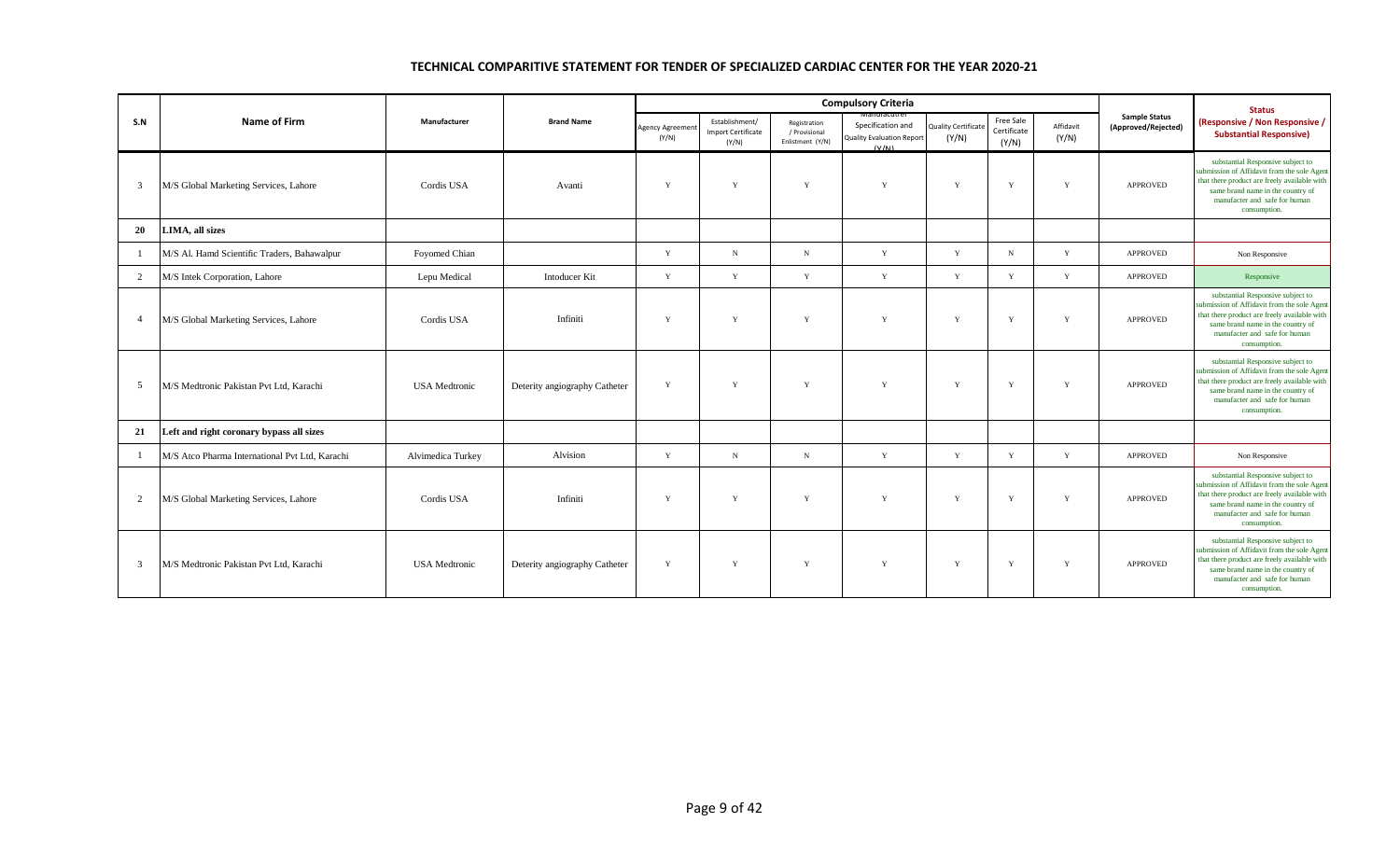|                 |                                                |                      |                               |                         |                                                      |                                                   | <b>Compulsory Criteria</b>                                     |                                    |                                   |                    |                                             | <b>Status</b>                                                                                                                                                                                                          |
|-----------------|------------------------------------------------|----------------------|-------------------------------|-------------------------|------------------------------------------------------|---------------------------------------------------|----------------------------------------------------------------|------------------------------------|-----------------------------------|--------------------|---------------------------------------------|------------------------------------------------------------------------------------------------------------------------------------------------------------------------------------------------------------------------|
| S.N             | <b>Name of Firm</b>                            | Manufacturer         | <b>Brand Name</b>             | Agency Agreeme<br>(Y/N) | Establishment/<br><b>Import Certificate</b><br>(Y/N) | Registration<br>/ Provisional<br>Enlistment (Y/N) | Specification and<br><b>Quality Evaluation Report</b><br>(V/N) | <b>Quality Certificat</b><br>(Y/N) | Free Sale<br>Certificate<br>(Y/N) | Affidavit<br>(Y/N) | <b>Sample Status</b><br>(Approved/Rejected) | (Responsive / Non Responsive /<br><b>Substantial Responsive)</b>                                                                                                                                                       |
| 3               | M/S Global Marketing Services, Lahore          | Cordis USA           | Avanti                        | Y                       | Y                                                    | Y                                                 | Y                                                              | Y                                  | Y                                 | Y                  | <b>APPROVED</b>                             | substantial Responsive subject to<br>submission of Affidavit from the sole Agent<br>that there product are freely available with<br>same brand name in the country of<br>manufacter and safe for human<br>consumption. |
| 20              | LIMA, all sizes                                |                      |                               |                         |                                                      |                                                   |                                                                |                                    |                                   |                    |                                             |                                                                                                                                                                                                                        |
| $\overline{1}$  | M/S Al. Hamd Scientific Traders, Bahawalpur    | Foyomed Chian        |                               | Y                       | $_{\rm N}$                                           | N                                                 | Y                                                              | Y                                  | N                                 | Y                  | <b>APPROVED</b>                             | Non Responsive                                                                                                                                                                                                         |
| $\overline{2}$  | M/S Intek Corporation, Lahore                  | Lepu Medical         | <b>Intoducer Kit</b>          | Y                       | Y                                                    | Y                                                 | Y                                                              | Y                                  | Y                                 | Y                  | APPROVED                                    | Responsive                                                                                                                                                                                                             |
| $\overline{4}$  | M/S Global Marketing Services, Lahore          | Cordis USA           | Infiniti                      | Y                       | Y                                                    | Y                                                 | Y                                                              | Y                                  | $\mathbf{Y}$                      | Y                  | <b>APPROVED</b>                             | substantial Responsive subject to<br>submission of Affidavit from the sole Agent<br>that there product are freely available with<br>same brand name in the country of<br>manufacter and safe for human<br>consumption. |
| $5\overline{)}$ | M/S Medtronic Pakistan Pvt Ltd, Karachi        | <b>USA</b> Medtronic | Deterity angiography Catheter | Y                       | Y                                                    | Y                                                 | Y                                                              | Y                                  | Y                                 | Y                  | <b>APPROVED</b>                             | substantial Responsive subject to<br>submission of Affidavit from the sole Agent<br>that there product are freely available with<br>same brand name in the country of<br>manufacter and safe for human<br>consumption. |
| 21              | Left and right coronary bypass all sizes       |                      |                               |                         |                                                      |                                                   |                                                                |                                    |                                   |                    |                                             |                                                                                                                                                                                                                        |
|                 | M/S Atco Pharma International Pvt Ltd, Karachi | Alvimedica Turkey    | Alvision                      | Y                       | $_{\rm N}$                                           | ${\bf N}$                                         | Y                                                              | Y                                  | Y                                 | Y                  | APPROVED                                    | Non Responsive                                                                                                                                                                                                         |
| $\overline{2}$  | M/S Global Marketing Services, Lahore          | Cordis USA           | Infiniti                      | Y                       | Y                                                    | Y                                                 | Y                                                              | Y                                  | Y                                 | Y                  | <b>APPROVED</b>                             | substantial Responsive subject to<br>submission of Affidavit from the sole Agent<br>that there product are freely available with<br>same brand name in the country of<br>manufacter and safe for human<br>consumption. |
| 3               | M/S Medtronic Pakistan Pvt Ltd, Karachi        | <b>USA</b> Medtronic | Deterity angiography Catheter | Y                       | Y                                                    | $\mathbf Y$                                       | Y                                                              | Y                                  | Y                                 | Y                  | <b>APPROVED</b>                             | substantial Responsive subject to<br>submission of Affidavit from the sole Agent<br>that there product are freely available with<br>same brand name in the country of<br>manufacter and safe for human<br>consumption. |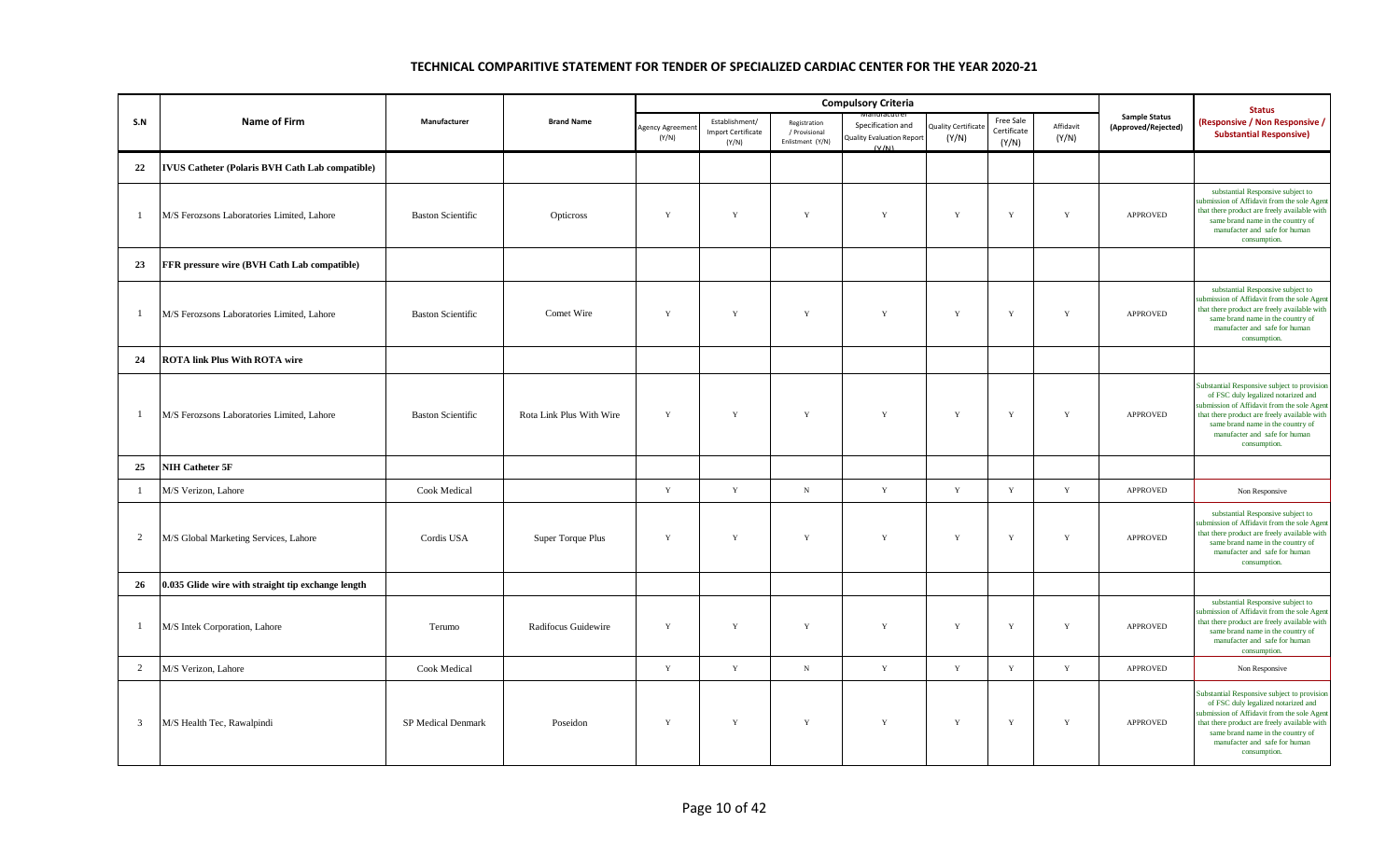|                |                                                        |                          |                          |                                |                                                      |                                                   | <b>Compulsory Criteria</b>                                     |                                    |                                   |                    |                                             | <b>Status</b>                                                                                                                                                                                                                                                          |
|----------------|--------------------------------------------------------|--------------------------|--------------------------|--------------------------------|------------------------------------------------------|---------------------------------------------------|----------------------------------------------------------------|------------------------------------|-----------------------------------|--------------------|---------------------------------------------|------------------------------------------------------------------------------------------------------------------------------------------------------------------------------------------------------------------------------------------------------------------------|
| S.N            | Name of Firm                                           | Manufacturer             | <b>Brand Name</b>        | <b>Agency Agreeme</b><br>(Y/N) | Establishment/<br><b>Import Certificate</b><br>(Y/N) | Registration<br>/ Provisional<br>Enlistment (Y/N) | Specification and<br><b>Quality Evaluation Report</b><br>(V/N) | <b>Quality Certificat</b><br>(Y/N) | Free Sale<br>Certificate<br>(Y/N) | Affidavit<br>(Y/N) | <b>Sample Status</b><br>(Approved/Rejected) | (Responsive / Non Responsive /<br><b>Substantial Responsive)</b>                                                                                                                                                                                                       |
| 22             | <b>IVUS Catheter (Polaris BVH Cath Lab compatible)</b> |                          |                          |                                |                                                      |                                                   |                                                                |                                    |                                   |                    |                                             |                                                                                                                                                                                                                                                                        |
| $\mathbf{1}$   | M/S Ferozsons Laboratories Limited, Lahore             | <b>Baston Scientific</b> | Opticross                | Y                              | Y                                                    | $\mathbf Y$                                       | Y                                                              | $\mathbf Y$                        | $\mathbf Y$                       | Y                  | <b>APPROVED</b>                             | substantial Responsive subject to<br>ubmission of Affidavit from the sole Agent<br>that there product are freely available with<br>same brand name in the country of<br>manufacter and safe for human<br>consumption.                                                  |
| 23             | FFR pressure wire (BVH Cath Lab compatible)            |                          |                          |                                |                                                      |                                                   |                                                                |                                    |                                   |                    |                                             |                                                                                                                                                                                                                                                                        |
| -1             | M/S Ferozsons Laboratories Limited, Lahore             | <b>Baston Scientific</b> | Comet Wire               | $\mathbf Y$                    | $\mathbf Y$                                          | $\mathbf Y$                                       | $\mathbf Y$                                                    | $\mathbf Y$                        | $\mathbf Y$                       | $\mathbf Y$        | APPROVED                                    | substantial Responsive subject to<br>ubmission of Affidavit from the sole Agent<br>that there product are freely available with<br>same brand name in the country of<br>manufacter and safe for human<br>consumption.                                                  |
| 24             | <b>ROTA link Plus With ROTA wire</b>                   |                          |                          |                                |                                                      |                                                   |                                                                |                                    |                                   |                    |                                             |                                                                                                                                                                                                                                                                        |
| -1             | M/S Ferozsons Laboratories Limited, Lahore             | <b>Baston Scientific</b> | Rota Link Plus With Wire | Y                              | $\mathbf Y$                                          | $\mathbf Y$                                       | $\mathbf Y$                                                    | $\mathbf Y$                        | $\mathbf Y$                       | $\mathbf Y$        | APPROVED                                    | Substantial Responsive subject to provision<br>of FSC duly legalized notarized and<br>ubmission of Affidavit from the sole Agent<br>that there product are freely available with<br>same brand name in the country of<br>manufacter and safe for human<br>consumption. |
| 25             | NIH Catheter 5F                                        |                          |                          |                                |                                                      |                                                   |                                                                |                                    |                                   |                    |                                             |                                                                                                                                                                                                                                                                        |
| $\mathbf{1}$   | M/S Verizon, Lahore                                    | <b>Cook Medical</b>      |                          | $\mathbf Y$                    | $\mathbf Y$                                          | $_{\rm N}$                                        | $\mathbf Y$                                                    | $\mathbf Y$                        | $\mathbf Y$                       | $\mathbf Y$        | APPROVED                                    | Non Responsive                                                                                                                                                                                                                                                         |
| $\overline{2}$ | M/S Global Marketing Services, Lahore                  | Cordis USA               | Super Torque Plus        | Y                              | $\mathbf Y$                                          | $\mathbf Y$                                       | $\mathbf Y$                                                    | $\mathbf Y$                        | $\mathbf Y$                       | $\mathbf Y$        | <b>APPROVED</b>                             | substantial Responsive subject to<br>ubmission of Affidavit from the sole Agent<br>that there product are freely available with<br>same brand name in the country of<br>manufacter and safe for human<br>consumption.                                                  |
| 26             | 0.035 Glide wire with straight tip exchange length     |                          |                          |                                |                                                      |                                                   |                                                                |                                    |                                   |                    |                                             |                                                                                                                                                                                                                                                                        |
| $\mathbf{1}$   | M/S Intek Corporation, Lahore                          | Terumo                   | Radifocus Guidewire      | $\mathbf Y$                    | Y                                                    | $\mathbf Y$                                       | $\mathbf Y$                                                    | $\mathbf Y$                        | $\mathbf Y$                       | $\mathbf Y$        | <b>APPROVED</b>                             | substantial Responsive subject to<br>ubmission of Affidavit from the sole Agent<br>that there product are freely available with<br>same brand name in the country of<br>manufacter and safe for human<br>consumption.                                                  |
| 2              | M/S Verizon, Lahore                                    | Cook Medical             |                          | $\mathbf Y$                    | $\mathbf Y$                                          | $\,$ N                                            | $\mathbf Y$                                                    | $\mathbf Y$                        | $\mathbf Y$                       | $\mathbf Y$        | APPROVED                                    | Non Responsive                                                                                                                                                                                                                                                         |
| $\mathbf{3}$   | M/S Health Tec, Rawalpindi                             | SP Medical Denmark       | Poseidon                 | Y                              | $\mathbf Y$                                          | $\mathbf Y$                                       | $\mathbf Y$                                                    | $\mathbf Y$                        | $\mathbf Y$                       | $\mathbf Y$        | <b>APPROVED</b>                             | Substantial Responsive subject to provision<br>of FSC duly legalized notarized and<br>ubmission of Affidavit from the sole Agent<br>that there product are freely available with<br>same brand name in the country of<br>manufacter and safe for human<br>consumption. |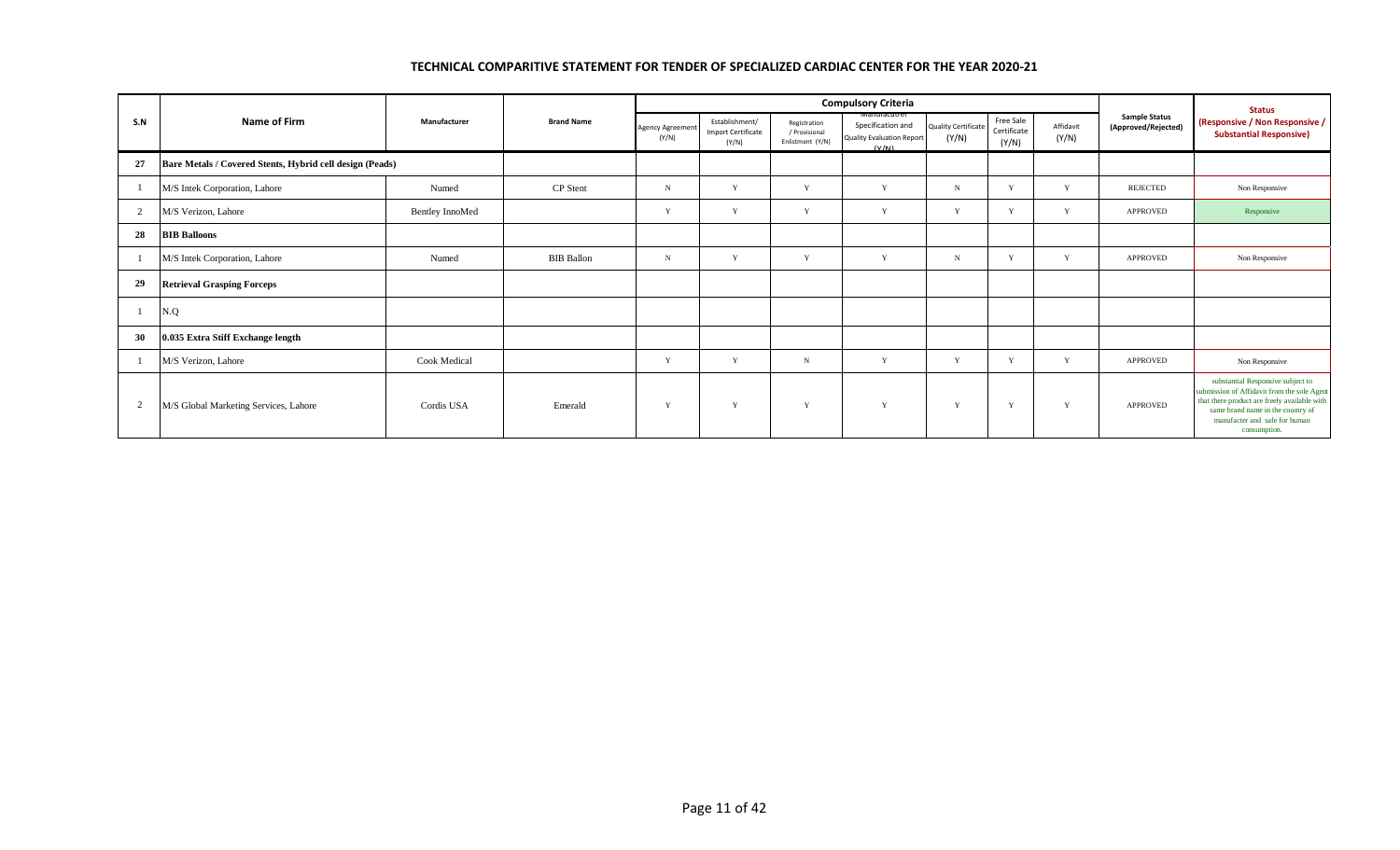|                |                                                          |                 |                   |                                  |                                                      |                                                   | <b>Compulsory Criteria</b>                                                            |                                     |                                   |                    |                                             | <b>Status</b>                                                                                                                                                                                                          |
|----------------|----------------------------------------------------------|-----------------|-------------------|----------------------------------|------------------------------------------------------|---------------------------------------------------|---------------------------------------------------------------------------------------|-------------------------------------|-----------------------------------|--------------------|---------------------------------------------|------------------------------------------------------------------------------------------------------------------------------------------------------------------------------------------------------------------------|
| S.N            | Name of Firm                                             | Manufacturer    | <b>Brand Name</b> | <b>Agency Agreement</b><br>(Y/N) | Establishment/<br><b>Import Certificate</b><br>(Y/N) | Registration<br>/ Provisional<br>Enlistment (Y/N) | <b>Manufacutrer</b><br>Specification and<br><b>Quality Evaluation Report</b><br>(V/N) | <b>Quality Certificate</b><br>(Y/N) | Free Sale<br>Certificate<br>(Y/N) | Affidavit<br>(Y/N) | <b>Sample Status</b><br>(Approved/Rejected) | (Responsive / Non Responsive /<br><b>Substantial Responsive)</b>                                                                                                                                                       |
| 27             | Bare Metals / Covered Stents, Hybrid cell design (Peads) |                 |                   |                                  |                                                      |                                                   |                                                                                       |                                     |                                   |                    |                                             |                                                                                                                                                                                                                        |
|                | M/S Intek Corporation, Lahore                            | Numed           | CP Stent          | $\mathbf N$                      | Y                                                    | Y                                                 | Y                                                                                     | N                                   | v                                 | Y                  | <b>REJECTED</b>                             | Non Responsive                                                                                                                                                                                                         |
| 2              | M/S Verizon, Lahore                                      | Bentley InnoMed |                   | $\mathbf{v}$                     | Y                                                    | $\mathbf{v}$                                      | Y                                                                                     | V                                   | Y                                 | Y                  | <b>APPROVED</b>                             | Responsive                                                                                                                                                                                                             |
| 28             | <b>BIB Balloons</b>                                      |                 |                   |                                  |                                                      |                                                   |                                                                                       |                                     |                                   |                    |                                             |                                                                                                                                                                                                                        |
|                | M/S Intek Corporation, Lahore                            | Numed           | <b>BIB</b> Ballon | $_{\rm N}$                       | Y                                                    | $\mathbf{v}$                                      | Y                                                                                     | $\mathbf N$                         | v                                 | Y                  | <b>APPROVED</b>                             | Non Responsive                                                                                                                                                                                                         |
| 29             | <b>Retrieval Grasping Forceps</b>                        |                 |                   |                                  |                                                      |                                                   |                                                                                       |                                     |                                   |                    |                                             |                                                                                                                                                                                                                        |
| -1             | N.Q                                                      |                 |                   |                                  |                                                      |                                                   |                                                                                       |                                     |                                   |                    |                                             |                                                                                                                                                                                                                        |
| 30             | 0.035 Extra Stiff Exchange length                        |                 |                   |                                  |                                                      |                                                   |                                                                                       |                                     |                                   |                    |                                             |                                                                                                                                                                                                                        |
|                | M/S Verizon, Lahore                                      | Cook Medical    |                   |                                  | Y                                                    | $_{\rm N}$                                        | Y                                                                                     |                                     | $\mathbf{v}$                      | Y                  | <b>APPROVED</b>                             | Non Responsive                                                                                                                                                                                                         |
| $\overline{2}$ | M/S Global Marketing Services, Lahore                    | Cordis USA      | Emerald           | $\mathbf{v}$                     | Y                                                    | Y                                                 | Y                                                                                     | $\mathbf{Y}$                        | Y                                 | Y                  | <b>APPROVED</b>                             | substantial Responsive subject to<br>submission of Affidavit from the sole Agent<br>that there product are freely available with<br>same brand name in the country of<br>manufacter and safe for human<br>consumption. |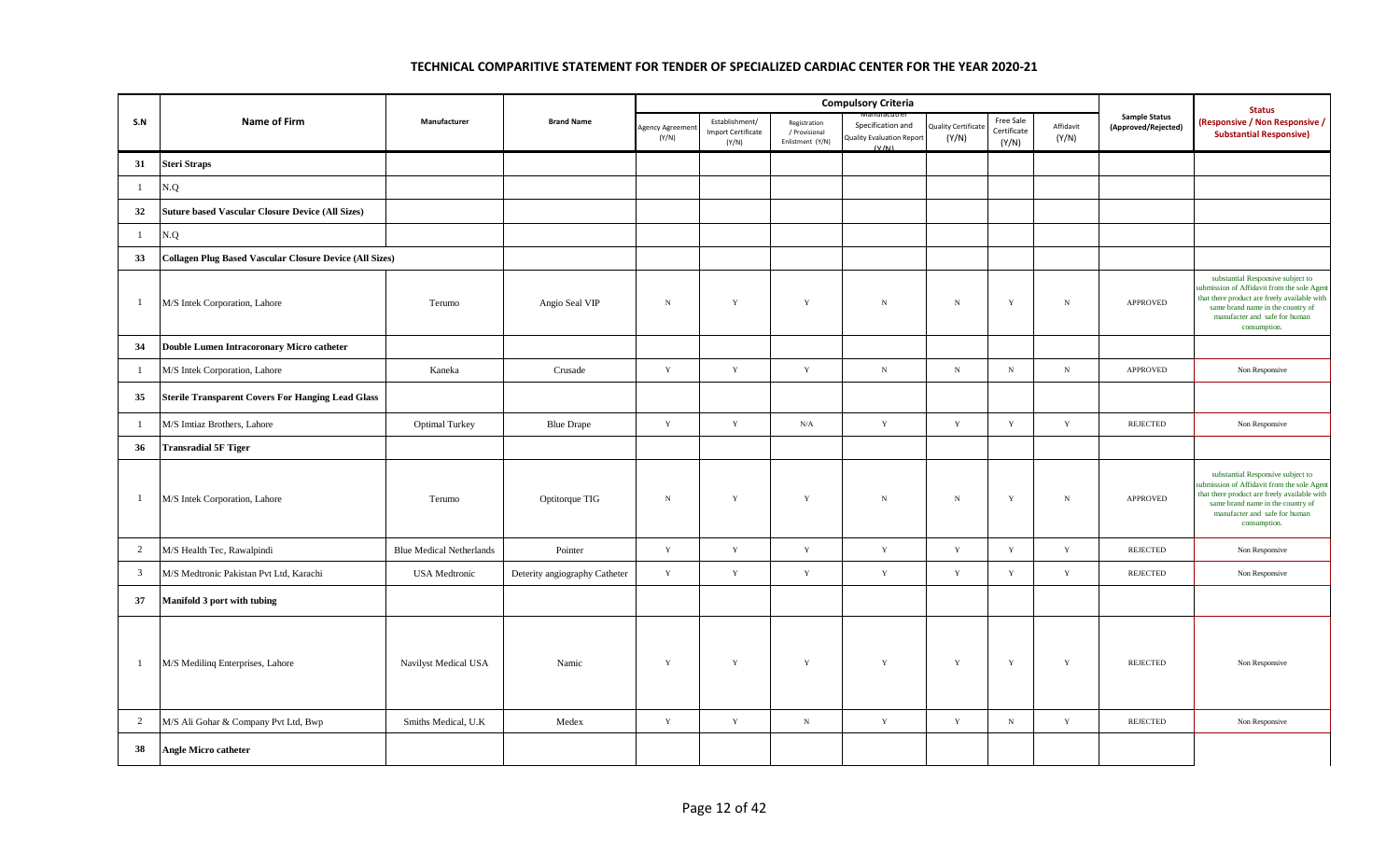|                |                                                                |                                 |                               |                        |                                                      |                                                   | <b>Compulsory Criteria</b>                                     |                                    |                                   |                    |                                             | <b>Status</b>                                                                                                                                                                                                          |
|----------------|----------------------------------------------------------------|---------------------------------|-------------------------------|------------------------|------------------------------------------------------|---------------------------------------------------|----------------------------------------------------------------|------------------------------------|-----------------------------------|--------------------|---------------------------------------------|------------------------------------------------------------------------------------------------------------------------------------------------------------------------------------------------------------------------|
| S.N            | <b>Name of Firm</b>                                            | Manufacturer                    | <b>Brand Name</b>             | Agency Agreem<br>(Y/N) | Establishment/<br><b>Import Certificate</b><br>(Y/N) | Registration<br>/ Provisional<br>Enlistment (Y/N) | Specification and<br><b>Quality Evaluation Report</b><br>(V/M) | <b>Quality Certificat</b><br>(Y/N) | Free Sale<br>Certificate<br>(Y/N) | Affidavit<br>(Y/N) | <b>Sample Status</b><br>(Approved/Rejected) | <b>Responsive / Non Responsive /</b><br><b>Substantial Responsive)</b>                                                                                                                                                 |
| 31             | <b>Steri Straps</b>                                            |                                 |                               |                        |                                                      |                                                   |                                                                |                                    |                                   |                    |                                             |                                                                                                                                                                                                                        |
| $\mathbf{1}$   | N.Q                                                            |                                 |                               |                        |                                                      |                                                   |                                                                |                                    |                                   |                    |                                             |                                                                                                                                                                                                                        |
| 32             | <b>Suture based Vascular Closure Device (All Sizes)</b>        |                                 |                               |                        |                                                      |                                                   |                                                                |                                    |                                   |                    |                                             |                                                                                                                                                                                                                        |
| $\mathbf{1}$   | N.Q                                                            |                                 |                               |                        |                                                      |                                                   |                                                                |                                    |                                   |                    |                                             |                                                                                                                                                                                                                        |
| 33             | <b>Collagen Plug Based Vascular Closure Device (All Sizes)</b> |                                 |                               |                        |                                                      |                                                   |                                                                |                                    |                                   |                    |                                             |                                                                                                                                                                                                                        |
| $\mathbf{1}$   | M/S Intek Corporation, Lahore                                  | Terumo                          | Angio Seal VIP                | $\,$ N                 | $\mathbf Y$                                          | $\mathbf Y$                                       | N                                                              | $\mathbf N$                        | $\mathbf Y$                       | $_{\rm N}$         | APPROVED                                    | substantial Responsive subject to<br>submission of Affidavit from the sole Agent<br>that there product are freely available with<br>same brand name in the country of<br>manufacter and safe for human<br>consumption. |
| 34             | Double Lumen Intracoronary Micro catheter                      |                                 |                               |                        |                                                      |                                                   |                                                                |                                    |                                   |                    |                                             |                                                                                                                                                                                                                        |
| $\mathbf{1}$   | M/S Intek Corporation, Lahore                                  | Kaneka                          | Crusade                       | $\mathbf Y$            | $\mathbf Y$                                          | $\mathbf Y$                                       | $\mathbf N$                                                    | N                                  | $_{\rm N}$                        | ${\bf N}$          | APPROVED                                    | Non Responsive                                                                                                                                                                                                         |
| 35             | <b>Sterile Transparent Covers For Hanging Lead Glass</b>       |                                 |                               |                        |                                                      |                                                   |                                                                |                                    |                                   |                    |                                             |                                                                                                                                                                                                                        |
| $\mathbf{1}$   | M/S Imtiaz Brothers, Lahore                                    | <b>Optimal Turkey</b>           | <b>Blue Drape</b>             | $\mathbf Y$            | $\mathbf Y$                                          | N/A                                               | $\mathbf Y$                                                    | $\mathbf Y$                        | $\mathbf Y$                       | $\mathbf Y$        | <b>REJECTED</b>                             | Non Responsive                                                                                                                                                                                                         |
| 36             | <b>Transradial 5F Tiger</b>                                    |                                 |                               |                        |                                                      |                                                   |                                                                |                                    |                                   |                    |                                             |                                                                                                                                                                                                                        |
| $\mathbf{1}$   | M/S Intek Corporation, Lahore                                  | Terumo                          | Optitorque TIG                | ${\bf N}$              | $\mathbf Y$                                          | Y                                                 | $\mathbf N$                                                    | $_{\rm N}$                         | $\mathbf Y$                       | $_{\rm N}$         | APPROVED                                    | substantial Responsive subject to<br>ubmission of Affidavit from the sole Agent<br>that there product are freely available with<br>same brand name in the country of<br>manufacter and safe for human<br>consumption.  |
| $\overline{2}$ | M/S Health Tec, Rawalpindi                                     | <b>Blue Medical Netherlands</b> | Pointer                       | $\mathbf Y$            | $\mathbf Y$                                          | $\mathbf Y$                                       | $\mathbf Y$                                                    | $\mathbf Y$                        | $\mathbf Y$                       | $\mathbf Y$        | <b>REJECTED</b>                             | Non Responsive                                                                                                                                                                                                         |
| $\overline{3}$ | M/S Medtronic Pakistan Pvt Ltd, Karachi                        | <b>USA</b> Medtronic            | Deterity angiography Catheter | $\mathbf Y$            | $\mathbf Y$                                          | $\mathbf Y$                                       | $\mathbf Y$                                                    | $\mathbf Y$                        | $\mathbf Y$                       | $\mathbf Y$        | <b>REJECTED</b>                             | Non Responsive                                                                                                                                                                                                         |
| 37             | Manifold 3 port with tubing                                    |                                 |                               |                        |                                                      |                                                   |                                                                |                                    |                                   |                    |                                             |                                                                                                                                                                                                                        |
| $\mathbf{1}$   | M/S Medilinq Enterprises, Lahore                               | Navilyst Medical USA            | Namic                         | $\mathbf Y$            | $\mathbf Y$                                          | $\mathbf Y$                                       | $\mathbf Y$                                                    | $\mathbf Y$                        | $\mathbf Y$                       | $\mathbf Y$        | <b>REJECTED</b>                             | Non Responsive                                                                                                                                                                                                         |
| $\overline{2}$ | M/S Ali Gohar & Company Pvt Ltd, Bwp                           | Smiths Medical, U.K.            | Medex                         | Y                      | $\mathbf Y$                                          | ${\bf N}$                                         | $\mathbf Y$                                                    | $\mathbf Y$                        | $_{\rm N}$                        | $\mathbf Y$        | <b>REJECTED</b>                             | Non Responsive                                                                                                                                                                                                         |
| 38             | <b>Angle Micro catheter</b>                                    |                                 |                               |                        |                                                      |                                                   |                                                                |                                    |                                   |                    |                                             |                                                                                                                                                                                                                        |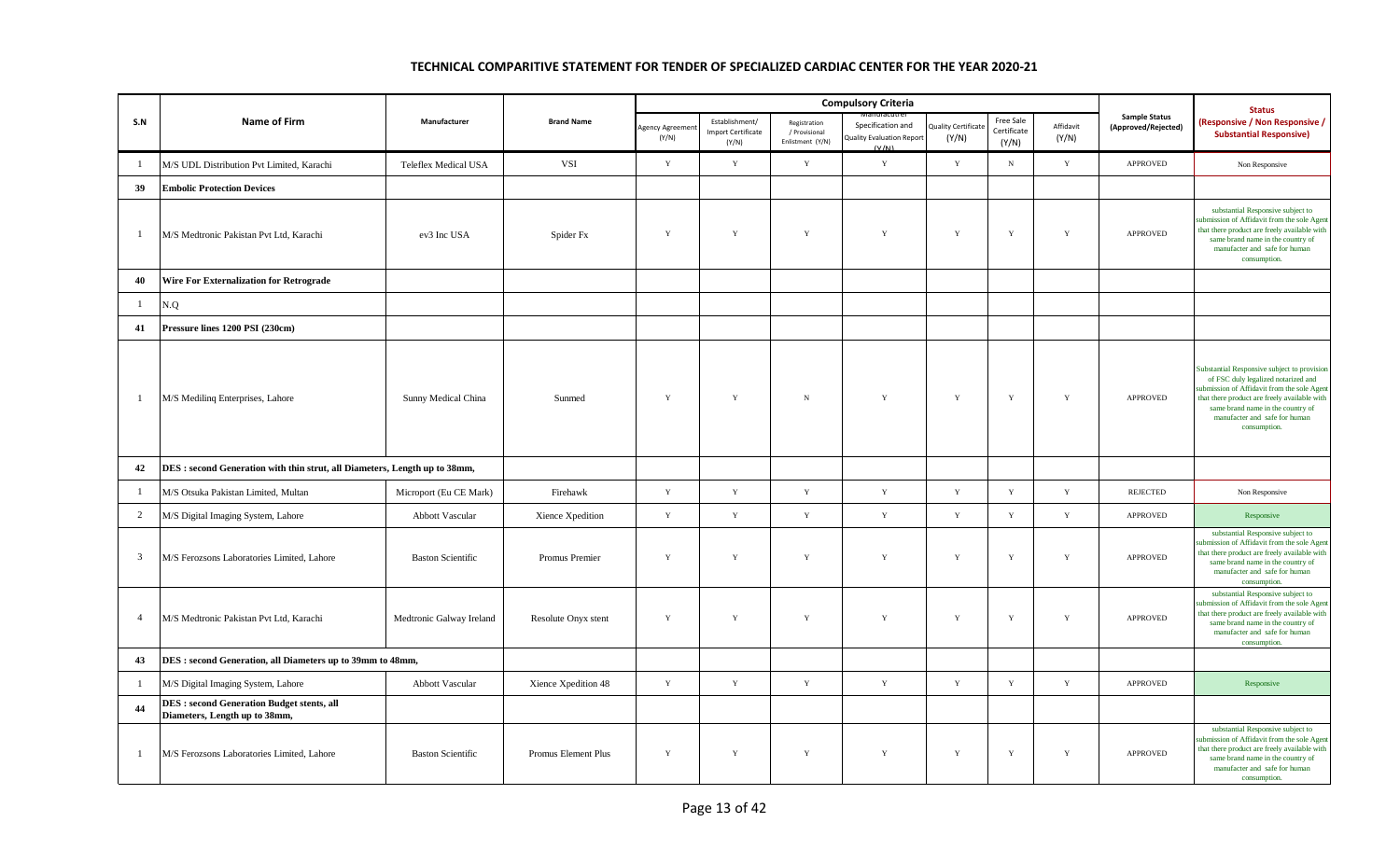|                |                                                                                    |                             |                     |                         |                                                      |                                                   | <b>Compulsory Criteria</b>                                     |                             |                                   |                    |                                             | <b>Status</b>                                                                                                                                                                                                                                                          |
|----------------|------------------------------------------------------------------------------------|-----------------------------|---------------------|-------------------------|------------------------------------------------------|---------------------------------------------------|----------------------------------------------------------------|-----------------------------|-----------------------------------|--------------------|---------------------------------------------|------------------------------------------------------------------------------------------------------------------------------------------------------------------------------------------------------------------------------------------------------------------------|
| S.N            | Name of Firm                                                                       | Manufacturer                | <b>Brand Name</b>   | Agency Agreeme<br>(Y/N) | Establishment/<br><b>Import Certificate</b><br>(Y/N) | Registration<br>/ Provisional<br>Enlistment (Y/N) | Specification and<br><b>Quality Evaluation Report</b><br>(V/N) | Quality Certificat<br>(Y/N) | Free Sale<br>Certificate<br>(Y/N) | Affidavit<br>(Y/N) | <b>Sample Status</b><br>(Approved/Rejected) | <b>Responsive / Non Responsive /</b><br><b>Substantial Responsive)</b>                                                                                                                                                                                                 |
| -1             | M/S UDL Distribution Pvt Limited, Karachi                                          | <b>Teleflex Medical USA</b> | <b>VSI</b>          | Y                       | $\mathbf Y$                                          | $\mathbf Y$                                       | $\mathbf Y$                                                    | Y                           | ${\bf N}$                         | $\mathbf Y$        | APPROVED                                    | Non Responsive                                                                                                                                                                                                                                                         |
| 39             | <b>Embolic Protection Devices</b>                                                  |                             |                     |                         |                                                      |                                                   |                                                                |                             |                                   |                    |                                             |                                                                                                                                                                                                                                                                        |
| -1             | M/S Medtronic Pakistan Pvt Ltd, Karachi                                            | ev3 Inc USA                 | Spider Fx           | $\mathbf Y$             | $\mathbf Y$                                          | $\mathbf Y$                                       | $\mathbf Y$                                                    | $\mathbf Y$                 | $\mathbf Y$                       | $\mathbf Y$        | APPROVED                                    | substantial Responsive subject to<br>submission of Affidavit from the sole Agent<br>that there product are freely available with<br>same brand name in the country of<br>manufacter and safe for human<br>consumption.                                                 |
| 40             | Wire For Externalization for Retrograde                                            |                             |                     |                         |                                                      |                                                   |                                                                |                             |                                   |                    |                                             |                                                                                                                                                                                                                                                                        |
| -1             | N.Q                                                                                |                             |                     |                         |                                                      |                                                   |                                                                |                             |                                   |                    |                                             |                                                                                                                                                                                                                                                                        |
| 41             | Pressure lines 1200 PSI (230cm)                                                    |                             |                     |                         |                                                      |                                                   |                                                                |                             |                                   |                    |                                             |                                                                                                                                                                                                                                                                        |
| $\mathbf{1}$   | M/S Mediling Enterprises, Lahore                                                   | Sunny Medical China         | Sunmed              | $\mathbf Y$             | $\mathbf Y$                                          | $\,$ N                                            | $\mathbf Y$                                                    | $\mathbf Y$                 | $\mathbf Y$                       | $\mathbf Y$        | APPROVED                                    | Substantial Responsive subject to provision<br>of FSC duly legalized notarized and<br>abmission of Affidavit from the sole Agent<br>that there product are freely available with<br>same brand name in the country of<br>manufacter and safe for human<br>consumption. |
| 42             | DES : second Generation with thin strut, all Diameters, Length up to 38mm,         |                             |                     |                         |                                                      |                                                   |                                                                |                             |                                   |                    |                                             |                                                                                                                                                                                                                                                                        |
| 1              | M/S Otsuka Pakistan Limited, Multan                                                | Microport (Eu CE Mark)      | Firehawk            | $\mathbf Y$             | $\mathbf Y$                                          | $\mathbf Y$                                       | $\mathbf Y$                                                    | $\mathbf Y$                 | $\mathbf Y$                       | $\mathbf Y$        | <b>REJECTED</b>                             | Non Responsive                                                                                                                                                                                                                                                         |
| 2              | M/S Digital Imaging System, Lahore                                                 | Abbott Vascular             | Xience Xpedition    | Y                       | $\mathbf Y$                                          | $\mathbf Y$                                       | Y                                                              | Y                           | Y                                 | Y                  | <b>APPROVED</b>                             | Responsive                                                                                                                                                                                                                                                             |
| $\mathfrak{Z}$ | M/S Ferozsons Laboratories Limited, Lahore                                         | <b>Baston Scientific</b>    | Promus Premier      | $\mathbf Y$             | Y                                                    | $\mathbf Y$                                       | $\mathbf Y$                                                    | $\mathbf Y$                 | Y                                 | Y                  | APPROVED                                    | substantial Responsive subject to<br>ubmission of Affidavit from the sole Agent<br>that there product are freely available with<br>same brand name in the country of<br>manufacter and safe for human<br>consumption.                                                  |
| $\overline{4}$ | M/S Medtronic Pakistan Pvt Ltd, Karachi                                            | Medtronic Galway Ireland    | Resolute Onyx stent | $\mathbf Y$             | $\mathbf Y$                                          | $\mathbf Y$                                       | $\mathbf Y$                                                    | $\mathbf Y$                 | $\mathbf Y$                       | $\mathbf Y$        | APPROVED                                    | substantial Responsive subject to<br>submission of Affidavit from the sole Agent<br>that there product are freely available with<br>same brand name in the country of<br>manufacter and safe for human<br>consumption.                                                 |
| 43             | DES : second Generation, all Diameters up to 39mm to 48mm,                         |                             |                     |                         |                                                      |                                                   |                                                                |                             |                                   |                    |                                             |                                                                                                                                                                                                                                                                        |
| -1             | M/S Digital Imaging System, Lahore                                                 | Abbott Vascular             | Xience Xpedition 48 | $\mathbf Y$             | Y                                                    | $\mathbf Y$                                       | $\mathbf Y$                                                    | $\mathbf Y$                 | $\mathbf Y$                       | $\mathbf Y$        | <b>APPROVED</b>                             | Responsive                                                                                                                                                                                                                                                             |
| 44             | <b>DES</b> : second Generation Budget stents, all<br>Diameters, Length up to 38mm, |                             |                     |                         |                                                      |                                                   |                                                                |                             |                                   |                    |                                             |                                                                                                                                                                                                                                                                        |
| $\mathbf{1}$   | M/S Ferozsons Laboratories Limited, Lahore                                         | <b>Baston Scientific</b>    | Promus Element Plus | Y                       | $\mathbf Y$                                          | Y                                                 | Y                                                              | $\mathbf Y$                 | Y                                 | $\mathbf Y$        | <b>APPROVED</b>                             | substantial Responsive subject to<br>abmission of Affidavit from the sole Agent<br>that there product are freely available with<br>same brand name in the country of<br>manufacter and safe for human<br>consumption.                                                  |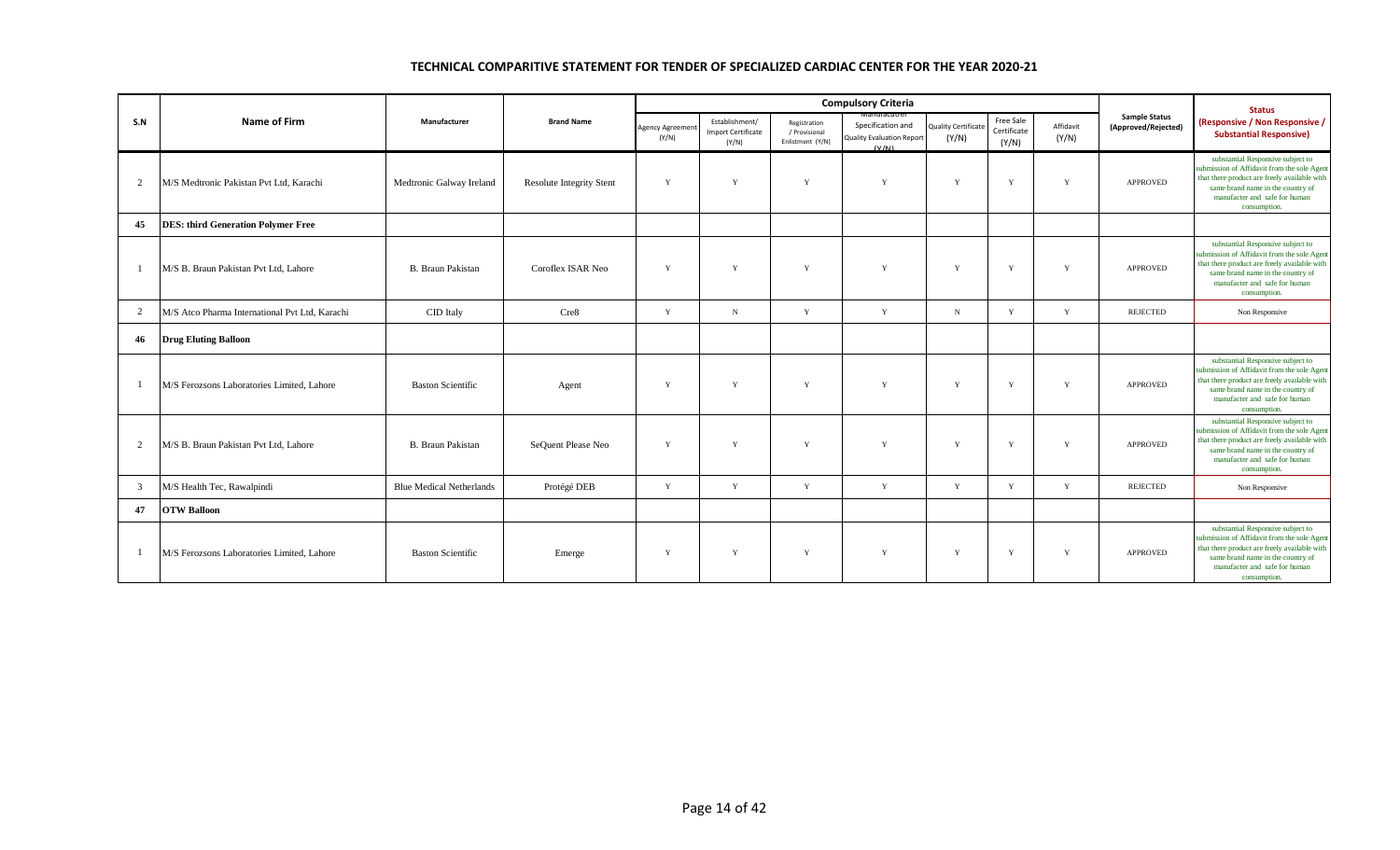|     |                                                |                                 |                                 |                                 |                                                      |                                                   | <b>Compulsory Criteria</b>                                                   |                                     |                                   |                    |                                             | <b>Status</b>                                                                                                                                                                                                          |
|-----|------------------------------------------------|---------------------------------|---------------------------------|---------------------------------|------------------------------------------------------|---------------------------------------------------|------------------------------------------------------------------------------|-------------------------------------|-----------------------------------|--------------------|---------------------------------------------|------------------------------------------------------------------------------------------------------------------------------------------------------------------------------------------------------------------------|
| S.N | Name of Firm                                   | Manufacturer                    | <b>Brand Name</b>               | <b>Agency Agreemer</b><br>(Y/N) | Establishment/<br><b>Import Certificate</b><br>(Y/N) | Registration<br>/ Provisional<br>Enlistment (Y/N) | wanuracuri<br>Specification and<br><b>Quality Evaluation Report</b><br>(V/M) | <b>Quality Certificate</b><br>(Y/N) | Free Sale<br>Certificate<br>(Y/N) | Affidavit<br>(Y/N) | <b>Sample Status</b><br>(Approved/Rejected) | (Responsive / Non Responsive /<br><b>Substantial Responsive)</b>                                                                                                                                                       |
| 2   | M/S Medtronic Pakistan Pvt Ltd, Karachi        | Medtronic Galway Ireland        | <b>Resolute Integrity Stent</b> | Y                               | Y                                                    | Y                                                 | Y                                                                            | Y                                   | Y                                 | Y                  | <b>APPROVED</b>                             | substantial Responsive subject to<br>submission of Affidavit from the sole Agent<br>that there product are freely available with<br>same brand name in the country of<br>manufacter and safe for human<br>consumption. |
| 45  | <b>DES: third Generation Polymer Free</b>      |                                 |                                 |                                 |                                                      |                                                   |                                                                              |                                     |                                   |                    |                                             |                                                                                                                                                                                                                        |
|     | M/S B. Braun Pakistan Pvt Ltd, Lahore          | <b>B.</b> Braun Pakistan        | Coroflex ISAR Neo               | Y                               | Y                                                    | Y                                                 | Y                                                                            | Y                                   | Y                                 | Y                  | <b>APPROVED</b>                             | substantial Responsive subject to<br>submission of Affidavit from the sole Agent<br>that there product are freely available with<br>same brand name in the country of<br>manufacter and safe for human<br>consumption. |
| 2   | M/S Atco Pharma International Pvt Ltd, Karachi | CID Italy                       | Cre8                            | Y                               | $_{\rm N}$                                           | Y                                                 | Y                                                                            | N                                   | Y                                 | Y                  | REJECTED                                    | Non Responsive                                                                                                                                                                                                         |
| 46  | <b>Drug Eluting Balloon</b>                    |                                 |                                 |                                 |                                                      |                                                   |                                                                              |                                     |                                   |                    |                                             |                                                                                                                                                                                                                        |
|     | M/S Ferozsons Laboratories Limited, Lahore     | <b>Baston Scientific</b>        | Agent                           | Y                               | $\mathbf{v}$                                         | Y                                                 | Y                                                                            | $\mathbf{v}$                        | Y                                 | Y                  | <b>APPROVED</b>                             | substantial Responsive subject to<br>submission of Affidavit from the sole Agent<br>that there product are freely available with<br>same brand name in the country of<br>manufacter and safe for human<br>consumption. |
| 2   | M/S B. Braun Pakistan Pvt Ltd, Lahore          | <b>B.</b> Braun Pakistan        | SeQuent Please Neo              | Y                               | Y                                                    | Y                                                 | Y                                                                            | Y                                   | Y                                 | Y                  | <b>APPROVED</b>                             | substantial Responsive subject to<br>submission of Affidavit from the sole Agent<br>that there product are freely available with<br>same brand name in the country of<br>manufacter and safe for human<br>consumption. |
| 3   | M/S Health Tec, Rawalpindi                     | <b>Blue Medical Netherlands</b> | Protégé DEB                     | Y                               | Y                                                    | Y                                                 | Y                                                                            | Y                                   | Y                                 | Y                  | <b>REJECTED</b>                             | Non Responsive                                                                                                                                                                                                         |
| 47  | <b>OTW Balloon</b>                             |                                 |                                 |                                 |                                                      |                                                   |                                                                              |                                     |                                   |                    |                                             |                                                                                                                                                                                                                        |
|     | M/S Ferozsons Laboratories Limited, Lahore     | <b>Baston Scientific</b>        | Emerge                          | Y                               | Y                                                    | Y                                                 | Y                                                                            | Y                                   | Y                                 | Y                  | <b>APPROVED</b>                             | substantial Responsive subject to<br>submission of Affidavit from the sole Agent<br>that there product are freely available with<br>same brand name in the country of<br>manufacter and safe for human<br>consumption. |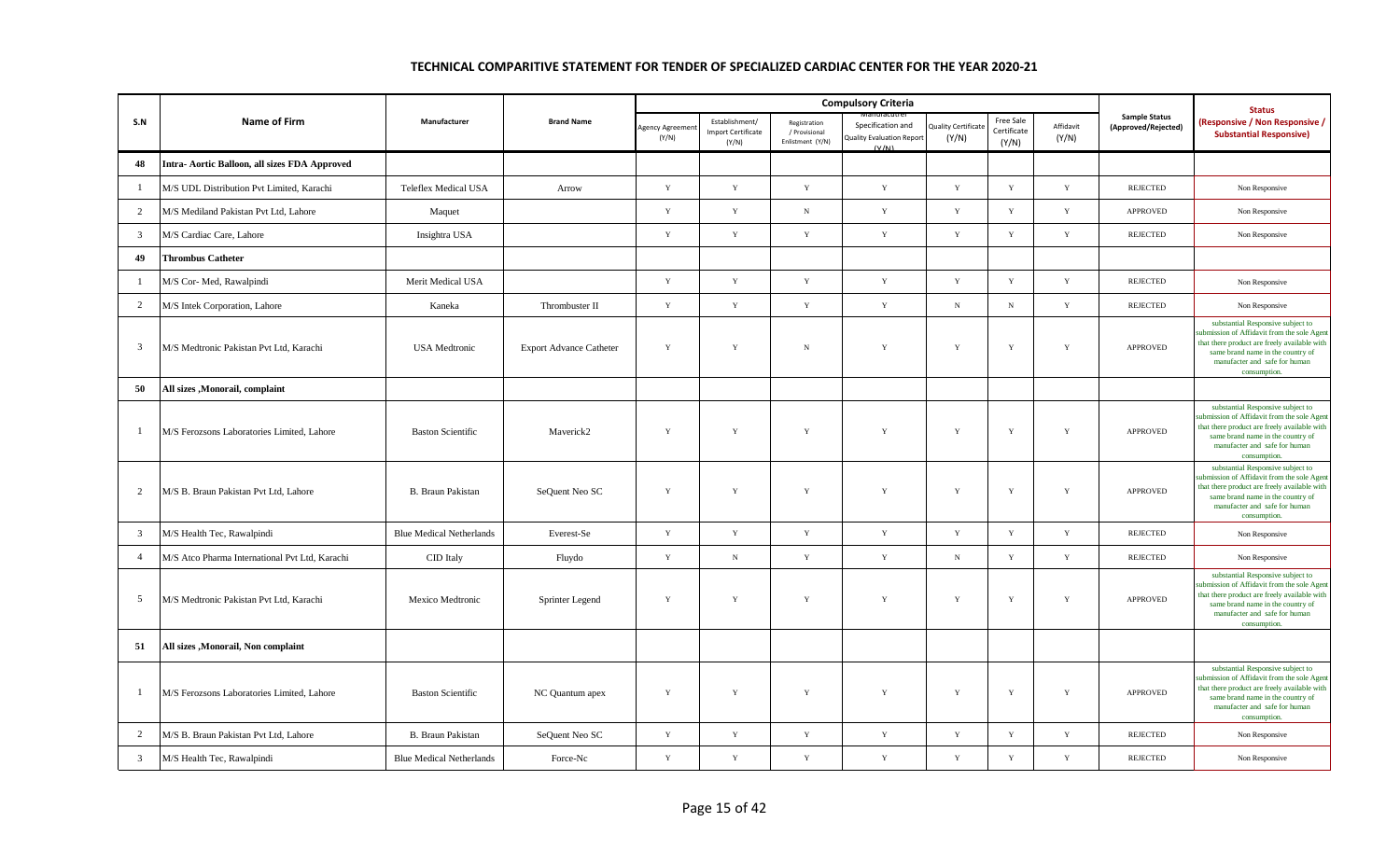|                |                                                |                                 |                                |                          |                                                      |                                                   | <b>Compulsory Criteria</b>                                     |                                    |                                   |                    |                                             | <b>Status</b>                                                                                                                                                                                                          |
|----------------|------------------------------------------------|---------------------------------|--------------------------------|--------------------------|------------------------------------------------------|---------------------------------------------------|----------------------------------------------------------------|------------------------------------|-----------------------------------|--------------------|---------------------------------------------|------------------------------------------------------------------------------------------------------------------------------------------------------------------------------------------------------------------------|
| S.N            | Name of Firm                                   | Manufacturer                    | <b>Brand Name</b>              | Agency Agreemer<br>(Y/N) | Establishment/<br><b>Import Certificate</b><br>(Y/N) | Registration<br>/ Provisional<br>Enlistment (Y/N) | Specification and<br><b>Quality Evaluation Report</b><br>(V/M) | <b>Quality Certificat</b><br>(Y/N) | Free Sale<br>Certificate<br>(Y/N) | Affidavit<br>(Y/N) | <b>Sample Status</b><br>(Approved/Rejected) | (Responsive / Non Responsive /<br><b>Substantial Responsive)</b>                                                                                                                                                       |
| 48             | Intra- Aortic Balloon, all sizes FDA Approved  |                                 |                                |                          |                                                      |                                                   |                                                                |                                    |                                   |                    |                                             |                                                                                                                                                                                                                        |
| $\mathbf{1}$   | M/S UDL Distribution Pvt Limited, Karachi      | <b>Teleflex Medical USA</b>     | Arrow                          | $\mathbf{Y}$             | $\mathbf Y$                                          | $\mathbf{Y}$                                      | $\mathbf Y$                                                    | Y                                  | $\mathbf Y$                       | $\mathbf Y$        | <b>REJECTED</b>                             | Non Responsive                                                                                                                                                                                                         |
| 2              | M/S Mediland Pakistan Pvt Ltd. Lahore          | Maquet                          |                                | $\mathbf{Y}$             | $\mathbf Y$                                          | ${\bf N}$                                         | Y                                                              | $\mathbf{Y}$                       | Y                                 | $\mathbf Y$        | <b>APPROVED</b>                             | Non Responsive                                                                                                                                                                                                         |
| $\mathbf{3}$   | M/S Cardiac Care, Lahore                       | Insightra USA                   |                                | $\mathbf{Y}$             | $\mathbf Y$                                          | $\mathbf Y$                                       | Y                                                              | $\mathbf{Y}$                       | $\mathbf Y$                       | $\mathbf Y$        | <b>REJECTED</b>                             | Non Responsive                                                                                                                                                                                                         |
| 49             | <b>Thrombus Catheter</b>                       |                                 |                                |                          |                                                      |                                                   |                                                                |                                    |                                   |                    |                                             |                                                                                                                                                                                                                        |
| $\mathbf{1}$   | M/S Cor- Med, Rawalpindi                       | Merit Medical USA               |                                | Y                        | $\mathbf Y$                                          | $\mathbf Y$                                       | Y                                                              | $\mathbf{Y}$                       | $\mathbf Y$                       | Y                  | <b>REJECTED</b>                             | Non Responsive                                                                                                                                                                                                         |
| $\overline{2}$ | M/S Intek Corporation, Lahore                  | Kaneka                          | Thrombuster II                 | $\mathbf Y$              | $\mathbf Y$                                          | $\mathbf Y$                                       | $\mathbf Y$                                                    | ${\bf N}$                          | ${\bf N}$                         | $\mathbf Y$        | <b>REJECTED</b>                             | Non Responsive                                                                                                                                                                                                         |
| $\mathbf{3}$   | M/S Medtronic Pakistan Pvt Ltd, Karachi        | <b>USA</b> Medtronic            | <b>Export Advance Catheter</b> | $\mathbf{Y}$             | $\mathbf Y$                                          | $\, {\rm N}$                                      | Y                                                              | $\mathbf{Y}$                       | $\mathbf Y$                       | Y                  | <b>APPROVED</b>                             | substantial Responsive subject to<br>submission of Affidavit from the sole Agent<br>that there product are freely available with<br>same brand name in the country of<br>manufacter and safe for human<br>consumption. |
| 50             | All sizes , Monorail, complaint                |                                 |                                |                          |                                                      |                                                   |                                                                |                                    |                                   |                    |                                             |                                                                                                                                                                                                                        |
| $\mathbf{1}$   | M/S Ferozsons Laboratories Limited, Lahore     | <b>Baston Scientific</b>        | Maverick2                      | $\mathbf Y$              | Y                                                    | $\mathbf Y$                                       | Y                                                              | Y                                  | $\mathbf Y$                       | $\mathbf Y$        | APPROVED                                    | substantial Responsive subject to<br>submission of Affidavit from the sole Agen<br>that there product are freely available with<br>same brand name in the country of<br>manufacter and safe for human<br>consumption.  |
| $\overline{2}$ | M/S B. Braun Pakistan Pvt Ltd, Lahore          | B. Braun Pakistan               | SeQuent Neo SC                 | Y                        | $\mathbf Y$                                          | $\mathbf Y$                                       | Y                                                              | Y                                  | $\mathbf Y$                       | $\mathbf Y$        | <b>APPROVED</b>                             | substantial Responsive subject to<br>submission of Affidavit from the sole Agent<br>that there product are freely available with<br>same brand name in the country of<br>manufacter and safe for human<br>consumption. |
| 3              | M/S Health Tec, Rawalpindi                     | <b>Blue Medical Netherlands</b> | Everest-Se                     | Y                        | $\mathbf Y$                                          | $\mathbf Y$                                       | $\mathbf Y$                                                    | Y                                  | $\mathbf Y$                       | $\mathbf Y$        | <b>REJECTED</b>                             | Non Responsive                                                                                                                                                                                                         |
| $\overline{4}$ | M/S Atco Pharma International Pvt Ltd, Karachi | CID Italy                       | Fluydo                         | $\mathbf Y$              | ${\bf N}$                                            | $\mathbf Y$                                       | $\mathbf Y$                                                    | $\,$ N                             | $\mathbf Y$                       | $\mathbf Y$        | <b>REJECTED</b>                             | Non Responsive                                                                                                                                                                                                         |
| 5              | M/S Medtronic Pakistan Pvt Ltd. Karachi        | Mexico Medtronic                | Sprinter Legend                | $\mathbf Y$              | $\mathbf Y$                                          | $\mathbf Y$                                       | $\mathbf Y$                                                    | Y                                  | $\mathbf Y$                       | $\mathbf Y$        | <b>APPROVED</b>                             | substantial Responsive subject to<br>submission of Affidavit from the sole Agent<br>that there product are freely available with<br>same brand name in the country of<br>manufacter and safe for human<br>consumption. |
| 51             | All sizes , Monorail, Non complaint            |                                 |                                |                          |                                                      |                                                   |                                                                |                                    |                                   |                    |                                             |                                                                                                                                                                                                                        |
| $\mathbf{1}$   | M/S Ferozsons Laboratories Limited, Lahore     | <b>Baston Scientific</b>        | NC Quantum apex                | Y                        | Y                                                    | $\mathbf Y$                                       | Y                                                              | Y                                  | $\mathbf Y$                       | $\mathbf Y$        | <b>APPROVED</b>                             | substantial Responsive subject to<br>ubmission of Affidavit from the sole Agen<br>that there product are freely available with<br>same brand name in the country of<br>manufacter and safe for human<br>consumption.   |
| $\overline{2}$ | M/S B. Braun Pakistan Pvt Ltd, Lahore          | B. Braun Pakistan               | SeQuent Neo SC                 | Y                        | $\mathbf Y$                                          | $\mathbf Y$                                       | Y                                                              | Y                                  | Y                                 | Y                  | <b>REJECTED</b>                             | Non Responsive                                                                                                                                                                                                         |
| $\overline{3}$ | M/S Health Tec, Rawalpindi                     | <b>Blue Medical Netherlands</b> | Force-Nc                       | $\mathbf Y$              | $\mathbf Y$                                          | $\mathbf Y$                                       | $\mathbf Y$                                                    | $\mathbf{Y}$                       | $\mathbf Y$                       | $\mathbf Y$        | <b>REJECTED</b>                             | Non Responsive                                                                                                                                                                                                         |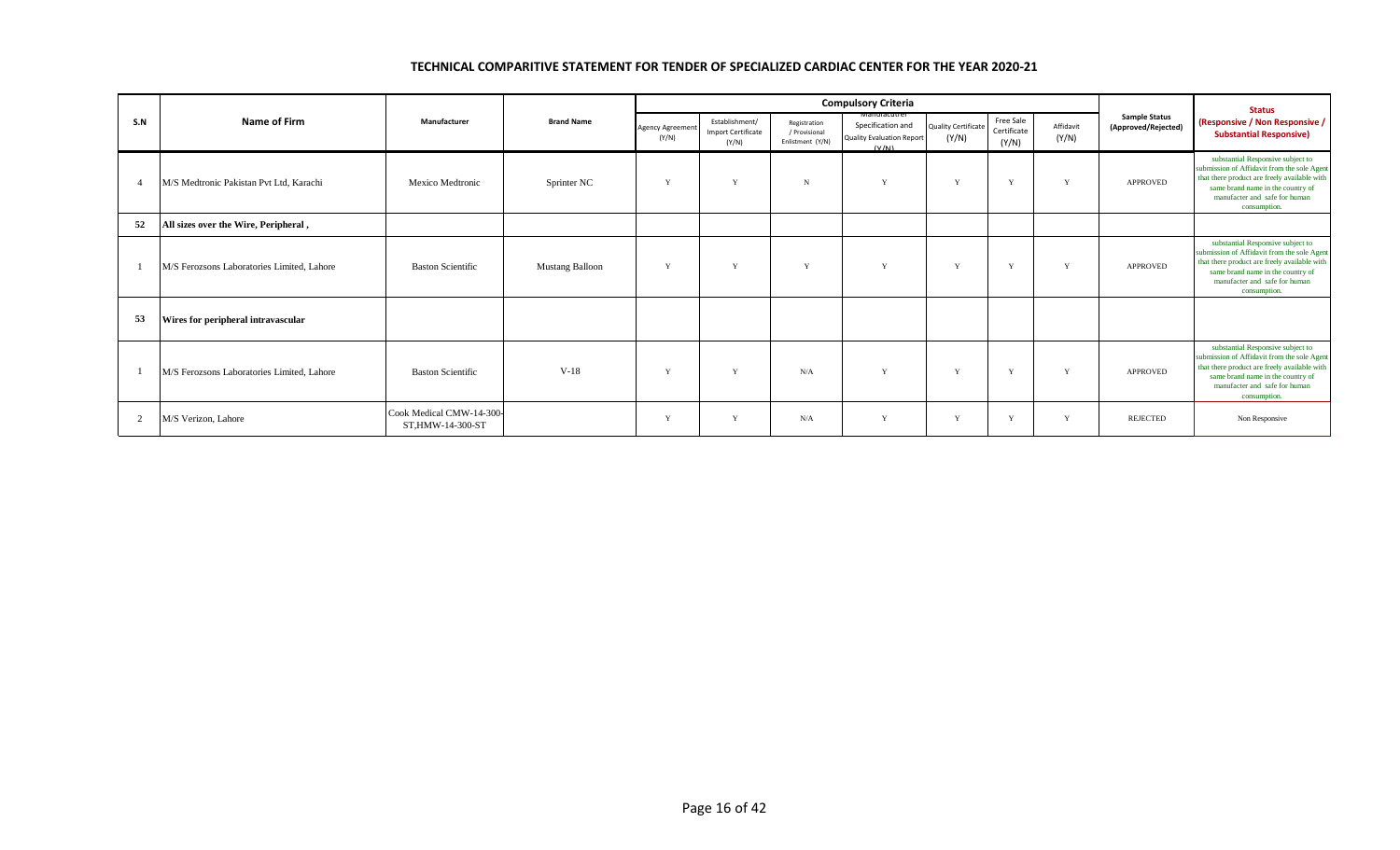|                |                                            |                                              |                        |                                  |                                               |                                                   | <b>Compulsory Criteria</b>                                                      |                                     |                                   |                    |                                             | <b>Status</b>                                                                                                                                                                                                          |
|----------------|--------------------------------------------|----------------------------------------------|------------------------|----------------------------------|-----------------------------------------------|---------------------------------------------------|---------------------------------------------------------------------------------|-------------------------------------|-----------------------------------|--------------------|---------------------------------------------|------------------------------------------------------------------------------------------------------------------------------------------------------------------------------------------------------------------------|
| S.N            | Name of Firm                               | Manufacturer                                 | <b>Brand Name</b>      | <b>Agency Agreement</b><br>(Y/N) | Establishment/<br>Import Certificate<br>(Y/N) | Registration<br>/ Provisional<br>Enlistment (Y/N) | ivianuracutre<br>Specification and<br><b>Quality Evaluation Report</b><br>(V/N) | <b>Quality Certificate</b><br>(Y/N) | Free Sale<br>Certificate<br>(Y/N) | Affidavit<br>(Y/N) | <b>Sample Status</b><br>(Approved/Rejected) | (Responsive / Non Responsive /<br><b>Substantial Responsive)</b>                                                                                                                                                       |
| $\overline{4}$ | M/S Medtronic Pakistan Pvt Ltd. Karachi    | Mexico Medtronic                             | Sprinter NC            | Y                                | $\bf{v}$                                      | $\mathbf N$                                       | Y                                                                               | Y                                   | Y                                 | Y                  | <b>APPROVED</b>                             | substantial Responsive subject to<br>submission of Affidavit from the sole Agent<br>that there product are freely available with<br>same brand name in the country of<br>manufacter and safe for human<br>consumption. |
| 52             | All sizes over the Wire, Peripheral,       |                                              |                        |                                  |                                               |                                                   |                                                                                 |                                     |                                   |                    |                                             |                                                                                                                                                                                                                        |
|                | M/S Ferozsons Laboratories Limited, Lahore | <b>Baston Scientific</b>                     | <b>Mustang Balloon</b> | $\mathbf{v}$                     | $\mathbf{v}$                                  | $\mathbf{v}$                                      | Y                                                                               | Y                                   | $\mathbf{v}$                      | Y                  | <b>APPROVED</b>                             | substantial Responsive subject to<br>submission of Affidavit from the sole Agent<br>that there product are freely available with<br>same brand name in the country of<br>manufacter and safe for human<br>consumption. |
| 53             | Wires for peripheral intravascular         |                                              |                        |                                  |                                               |                                                   |                                                                                 |                                     |                                   |                    |                                             |                                                                                                                                                                                                                        |
|                | M/S Ferozsons Laboratories Limited, Lahore | <b>Baston Scientific</b>                     | $V-18$                 | $\mathbf{v}$                     | Y                                             | N/A                                               | Y                                                                               | $\mathbf{v}$                        | v                                 | Y                  | <b>APPROVED</b>                             | substantial Responsive subject to<br>submission of Affidavit from the sole Agent<br>that there product are freely available with<br>same brand name in the country of<br>manufacter and safe for human<br>consumption. |
| 2              | M/S Verizon, Lahore                        | Cook Medical CMW-14-300-<br>ST.HMW-14-300-ST |                        | Y                                | Y                                             | N/A                                               | Y                                                                               | v                                   | $\mathbf{v}$                      | Y                  | <b>REJECTED</b>                             | Non Responsive                                                                                                                                                                                                         |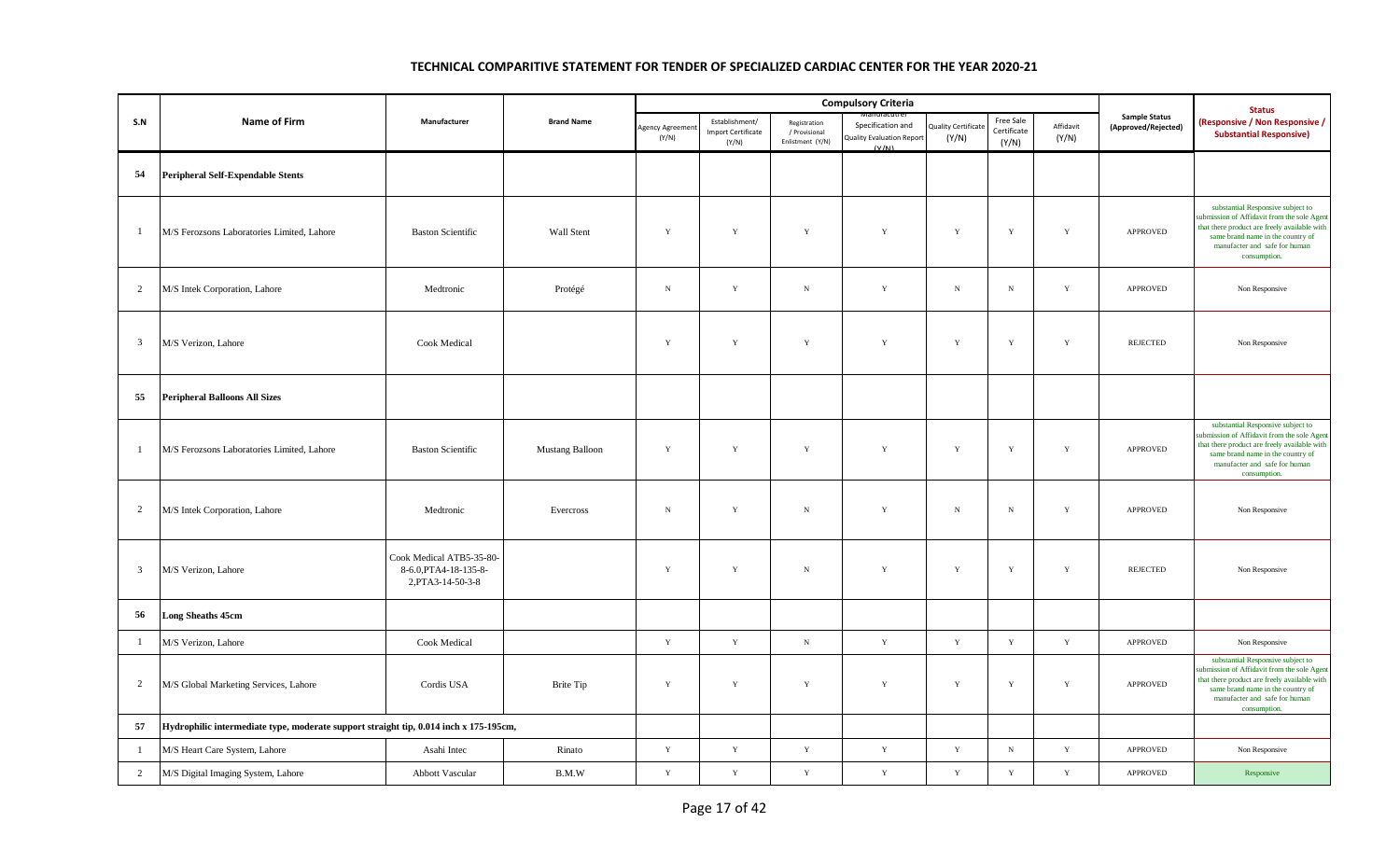|                         |                                                                                       |                                                                        |                        |                          |                                                      |                                                   | <b>Compulsory Criteria</b>                              |                                     |                                   |                    |                                             | <b>Status</b>                                                                                                                                                                                                          |
|-------------------------|---------------------------------------------------------------------------------------|------------------------------------------------------------------------|------------------------|--------------------------|------------------------------------------------------|---------------------------------------------------|---------------------------------------------------------|-------------------------------------|-----------------------------------|--------------------|---------------------------------------------|------------------------------------------------------------------------------------------------------------------------------------------------------------------------------------------------------------------------|
| S.N                     | <b>Name of Firm</b>                                                                   | Manufacturer                                                           | <b>Brand Name</b>      | Agency Agreemen<br>(Y/N) | Establishment/<br><b>Import Certificate</b><br>(Y/N) | Registration<br>/ Provisional<br>Enlistment (Y/N) | Specification and<br>Quality Evaluation Report<br>(V/M) | <b>Quality Certificate</b><br>(Y/N) | Free Sale<br>Certificate<br>(Y/N) | Affidavit<br>(Y/N) | <b>Sample Status</b><br>(Approved/Rejected) | (Responsive / Non Responsive /<br><b>Substantial Responsive)</b>                                                                                                                                                       |
| 54                      | <b>Peripheral Self-Expendable Stents</b>                                              |                                                                        |                        |                          |                                                      |                                                   |                                                         |                                     |                                   |                    |                                             |                                                                                                                                                                                                                        |
| $\mathbf{1}$            | M/S Ferozsons Laboratories Limited, Lahore                                            | <b>Baston Scientific</b>                                               | Wall Stent             | Y                        | Y                                                    | $\mathbf Y$                                       | $\mathbf Y$                                             | $\mathbf Y$                         | $\mathbf Y$                       | $\mathbf Y$        | APPROVED                                    | substantial Responsive subject to<br>submission of Affidavit from the sole Agent<br>that there product are freely available with<br>same brand name in the country of<br>manufacter and safe for human<br>consumption. |
| 2                       | M/S Intek Corporation, Lahore                                                         | Medtronic                                                              | Protégé                | $\mathbf N$              | $\mathbf Y$                                          | $_{\rm N}$                                        | $\mathbf Y$                                             | $\,$ N                              | ${\bf N}$                         | Y                  | <b>APPROVED</b>                             | Non Responsive                                                                                                                                                                                                         |
| $\overline{3}$          | M/S Verizon, Lahore                                                                   | Cook Medical                                                           |                        | Y                        | Y                                                    | $\mathbf Y$                                       | $\mathbf Y$                                             | $\mathbf Y$                         | $\mathbf Y$                       | $\mathbf Y$        | <b>REJECTED</b>                             | Non Responsive                                                                                                                                                                                                         |
| 55                      | <b>Peripheral Balloons All Sizes</b>                                                  |                                                                        |                        |                          |                                                      |                                                   |                                                         |                                     |                                   |                    |                                             |                                                                                                                                                                                                                        |
| $\mathbf{1}$            | M/S Ferozsons Laboratories Limited, Lahore                                            | <b>Baston Scientific</b>                                               | <b>Mustang Balloon</b> | Y                        | $\mathbf Y$                                          | $\mathbf Y$                                       | $\mathbf Y$                                             | Y                                   | $\mathbf Y$                       | $\mathbf Y$        | APPROVED                                    | substantial Responsive subject to<br>submission of Affidavit from the sole Agent<br>that there product are freely available with<br>same brand name in the country of<br>manufacter and safe for human<br>consumption. |
| 2                       | M/S Intek Corporation, Lahore                                                         | Medtronic                                                              | Evercross              | $\,$ N                   | Y                                                    | ${\rm N}$                                         | $\mathbf Y$                                             | $\,$ N                              | $\,$ N                            | $\mathbf Y$        | <b>APPROVED</b>                             | Non Responsive                                                                                                                                                                                                         |
| $\overline{\mathbf{3}}$ | M/S Verizon, Lahore                                                                   | Cook Medical ATB5-35-80-<br>8-6.0, PTA4-18-135-8-<br>2, PTA3-14-50-3-8 |                        | Y                        | Y                                                    | ${\bf N}$                                         | $\mathbf Y$                                             | Y                                   | $\mathbf Y$                       | $\mathbf Y$        | <b>REJECTED</b>                             | Non Responsive                                                                                                                                                                                                         |
| 56                      | <b>Long Sheaths 45cm</b>                                                              |                                                                        |                        |                          |                                                      |                                                   |                                                         |                                     |                                   |                    |                                             |                                                                                                                                                                                                                        |
| $\mathbf{1}$            | M/S Verizon, Lahore                                                                   | Cook Medical                                                           |                        | Y                        | $\mathbf Y$                                          | $\, {\bf N} \,$                                   | $\mathbf Y$                                             | $\mathbf Y$                         | $\mathbf Y$                       | $\mathbf Y$        | APPROVED                                    | Non Responsive                                                                                                                                                                                                         |
| $\overline{2}$          | M/S Global Marketing Services, Lahore                                                 | Cordis USA                                                             | <b>Brite Tip</b>       | Y                        | $\mathbf Y$                                          | $\mathbf Y$                                       | $\mathbf Y$                                             | $\mathbf Y$                         | $\mathbf Y$                       | $\mathbf Y$        | <b>APPROVED</b>                             | substantial Responsive subject to<br>submission of Affidavit from the sole Agent<br>that there product are freely available with<br>same brand name in the country of<br>manufacter and safe for human<br>consumption. |
| 57                      | Hydrophilic intermediate type, moderate support straight tip, 0.014 inch x 175-195cm, |                                                                        |                        |                          |                                                      |                                                   |                                                         |                                     |                                   |                    |                                             |                                                                                                                                                                                                                        |
| $\mathbf{1}$            | M/S Heart Care System, Lahore                                                         | Asahi Intec                                                            | Rinato                 | $\mathbf Y$              | $\mathbf Y$                                          | $\mathbf Y$                                       | $\mathbf Y$                                             | $\mathbf Y$                         | ${\bf N}$                         | $\mathbf Y$        | APPROVED                                    | Non Responsive                                                                                                                                                                                                         |
| $\overline{2}$          | M/S Digital Imaging System, Lahore                                                    | Abbott Vascular                                                        | B.M.W                  | $\mathbf Y$              | $\mathbf Y$                                          | $\mathbf Y$                                       | $\mathbf Y$                                             | $\mathbf Y$                         | $\mathbf Y$                       | $\mathbf Y$        | APPROVED                                    | Responsive                                                                                                                                                                                                             |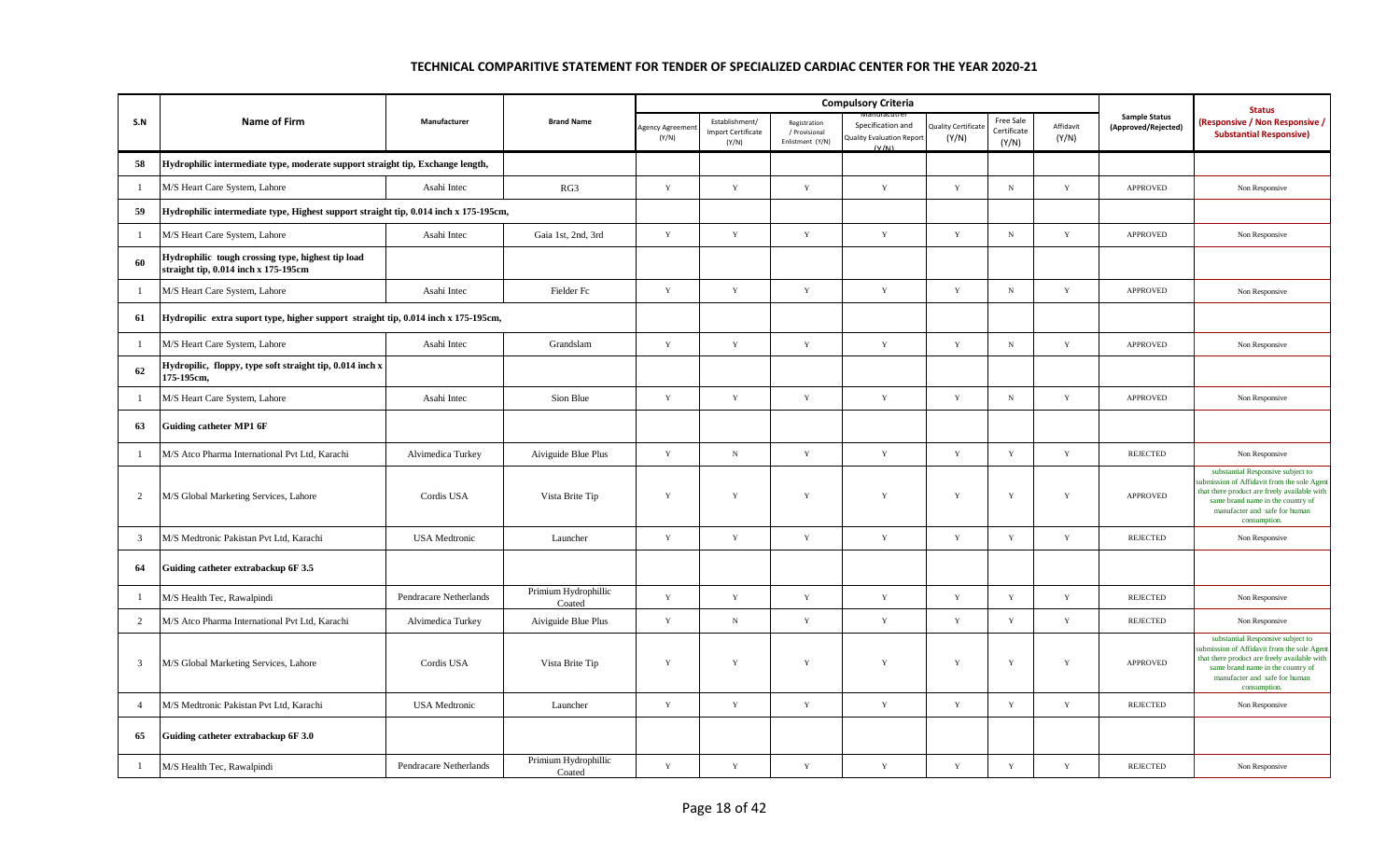|                |                                                                                           |                        |                                |                          |                                                      |                                                   | <b>Compulsory Criteria</b>                                     |                             |                                   |                    |                                             | <b>Status</b>                                                                                                                                                                                                          |
|----------------|-------------------------------------------------------------------------------------------|------------------------|--------------------------------|--------------------------|------------------------------------------------------|---------------------------------------------------|----------------------------------------------------------------|-----------------------------|-----------------------------------|--------------------|---------------------------------------------|------------------------------------------------------------------------------------------------------------------------------------------------------------------------------------------------------------------------|
| S.N            | <b>Name of Firm</b>                                                                       | Manufacturer           | <b>Brand Name</b>              | Agency Agreemer<br>(Y/N) | Establishment/<br><b>Import Certificate</b><br>(Y/N) | Registration<br>/ Provisional<br>Enlistment (Y/N) | Specification and<br><b>Quality Evaluation Report</b><br>(V/M) | Quality Certificat<br>(Y/N) | Free Sale<br>Certificate<br>(Y/N) | Affidavit<br>(Y/N) | <b>Sample Status</b><br>(Approved/Rejected) | <b>Responsive / Non Responsive /</b><br><b>Substantial Responsive)</b>                                                                                                                                                 |
| 58             | Hydrophilic intermediate type, moderate support straight tip, Exchange length,            |                        |                                |                          |                                                      |                                                   |                                                                |                             |                                   |                    |                                             |                                                                                                                                                                                                                        |
| $\mathbf{1}$   | M/S Heart Care System, Lahore                                                             | Asahi Intec            | RG3                            | Y                        | $\mathbf Y$                                          | $\mathbf Y$                                       | $\mathbf Y$                                                    | $\mathbf Y$                 | $_{\rm N}$                        | $\mathbf Y$        | APPROVED                                    | Non Responsive                                                                                                                                                                                                         |
| 59             | Hydrophilic intermediate type, Highest support straight tip, 0.014 inch x 175-195cm,      |                        |                                |                          |                                                      |                                                   |                                                                |                             |                                   |                    |                                             |                                                                                                                                                                                                                        |
| $\mathbf{1}$   | M/S Heart Care System, Lahore                                                             | Asahi Intec            | Gaia 1st, 2nd, 3rd             | $\mathbf Y$              | $\mathbf Y$                                          | $\mathbf Y$                                       | $\mathbf Y$                                                    | $\mathbf Y$                 | ${\bf N}$                         | $\mathbf Y$        | APPROVED                                    | Non Responsive                                                                                                                                                                                                         |
| 60             | Hydrophilic tough crossing type, highest tip load<br>straight tip, 0.014 inch x 175-195cm |                        |                                |                          |                                                      |                                                   |                                                                |                             |                                   |                    |                                             |                                                                                                                                                                                                                        |
| $\mathbf{1}$   | M/S Heart Care System, Lahore                                                             | Asahi Intec            | Fielder Fc                     | Y                        | $\mathbf Y$                                          | $\mathbf Y$                                       | $\mathbf Y$                                                    | $\mathbf Y$                 | ${\bf N}$                         | $\mathbf Y$        | <b>APPROVED</b>                             | Non Responsive                                                                                                                                                                                                         |
| 61             | Hydropilic extra suport type, higher support straight tip, 0.014 inch x 175-195cm,        |                        |                                |                          |                                                      |                                                   |                                                                |                             |                                   |                    |                                             |                                                                                                                                                                                                                        |
| $\mathbf{1}$   | M/S Heart Care System, Lahore                                                             | Asahi Intec            | Grandslam                      | $\mathbf Y$              | $\mathbf Y$                                          | $\mathbf Y$                                       | $\mathbf Y$                                                    | $\mathbf Y$                 | ${\bf N}$                         | $\mathbf Y$        | APPROVED                                    | Non Responsive                                                                                                                                                                                                         |
| 62             | Hydropilic, floppy, type soft straight tip, 0.014 inch x<br>175-195cm,                    |                        |                                |                          |                                                      |                                                   |                                                                |                             |                                   |                    |                                             |                                                                                                                                                                                                                        |
| -1             | M/S Heart Care System, Lahore                                                             | Asahi Intec            | Sion Blue                      | Y                        | $\mathbf Y$                                          | Y                                                 | Y                                                              | $\mathbf Y$                 | ${\bf N}$                         | Y                  | <b>APPROVED</b>                             | Non Responsive                                                                                                                                                                                                         |
| 63             | <b>Guiding catheter MP1 6F</b>                                                            |                        |                                |                          |                                                      |                                                   |                                                                |                             |                                   |                    |                                             |                                                                                                                                                                                                                        |
| $\mathbf{1}$   | M/S Atco Pharma International Pvt Ltd, Karachi                                            | Alvimedica Turkey      | Aiviguide Blue Plus            | $\mathbf Y$              | $_{\rm N}$                                           | $\mathbf Y$                                       | $\mathbf Y$                                                    | $\mathbf Y$                 | $\mathbf Y$                       | $\mathbf Y$        | <b>REJECTED</b>                             | Non Responsive                                                                                                                                                                                                         |
| $\overline{2}$ | M/S Global Marketing Services, Lahore                                                     | Cordis USA             | Vista Brite Tip                | Y                        | $\mathbf Y$                                          | $\mathbf Y$                                       | $\mathbf Y$                                                    | Y                           | $\mathbf Y$                       | $\mathbf Y$        | <b>APPROVED</b>                             | substantial Responsive subject to<br>submission of Affidavit from the sole Agent<br>that there product are freely available with<br>same brand name in the country of<br>manufacter and safe for human<br>consumption. |
| $\mathbf{3}$   | M/S Medtronic Pakistan Pvt Ltd, Karachi                                                   | <b>USA</b> Medtronic   | Launcher                       | Y                        | $\mathbf Y$                                          | $\mathbf Y$                                       | $\mathbf Y$                                                    | Y                           | Y                                 | $\mathbf Y$        | <b>REJECTED</b>                             | Non Responsive                                                                                                                                                                                                         |
| 64             | Guiding catheter extrabackup 6F 3.5                                                       |                        |                                |                          |                                                      |                                                   |                                                                |                             |                                   |                    |                                             |                                                                                                                                                                                                                        |
| $\mathbf{1}$   | M/S Health Tec, Rawalpindi                                                                | Pendracare Netherlands | Primium Hydrophillic<br>Coated | Y                        | Y                                                    | $\mathbf Y$                                       | Y                                                              | Y                           | Y                                 | Y                  | <b>REJECTED</b>                             | Non Responsive                                                                                                                                                                                                         |
| $\overline{2}$ | M/S Atco Pharma International Pvt Ltd, Karachi                                            | Alvimedica Turkey      | Aiviguide Blue Plus            | Y                        | ${\bf N}$                                            | $\mathbf Y$                                       | $\mathbf Y$                                                    | $\mathbf Y$                 | $\mathbf Y$                       | $\mathbf Y$        | <b>REJECTED</b>                             | Non Responsive                                                                                                                                                                                                         |
| 3              | M/S Global Marketing Services, Lahore                                                     | Cordis USA             | Vista Brite Tip                | $\mathbf Y$              | $\mathbf Y$                                          | $\mathbf Y$                                       | Y                                                              | Y                           | $\mathbf Y$                       | $\mathbf Y$        | <b>APPROVED</b>                             | substantial Responsive subject to<br>ubmission of Affidavit from the sole Agen<br>that there product are freely available with<br>same brand name in the country of<br>manufacter and safe for human<br>consumption.   |
| $\overline{4}$ | M/S Medtronic Pakistan Pvt Ltd, Karachi                                                   | <b>USA</b> Medtronic   | Launcher                       | Y                        | $\mathbf Y$                                          | $\mathbf Y$                                       | Y                                                              | $\mathbf Y$                 | $\mathbf Y$                       | $\mathbf Y$        | <b>REJECTED</b>                             | Non Responsive                                                                                                                                                                                                         |
| 65             | Guiding catheter extrabackup 6F 3.0                                                       |                        |                                |                          |                                                      |                                                   |                                                                |                             |                                   |                    |                                             |                                                                                                                                                                                                                        |
| $\mathbf{1}$   | M/S Health Tec, Rawalpindi                                                                | Pendracare Netherlands | Primium Hydrophillic<br>Coated | $\mathbf Y$              | $\mathbf Y$                                          | $\mathbf Y$                                       | $\mathbf Y$                                                    | $\mathbf Y$                 | $\mathbf Y$                       | $\mathbf Y$        | <b>REJECTED</b>                             | Non Responsive                                                                                                                                                                                                         |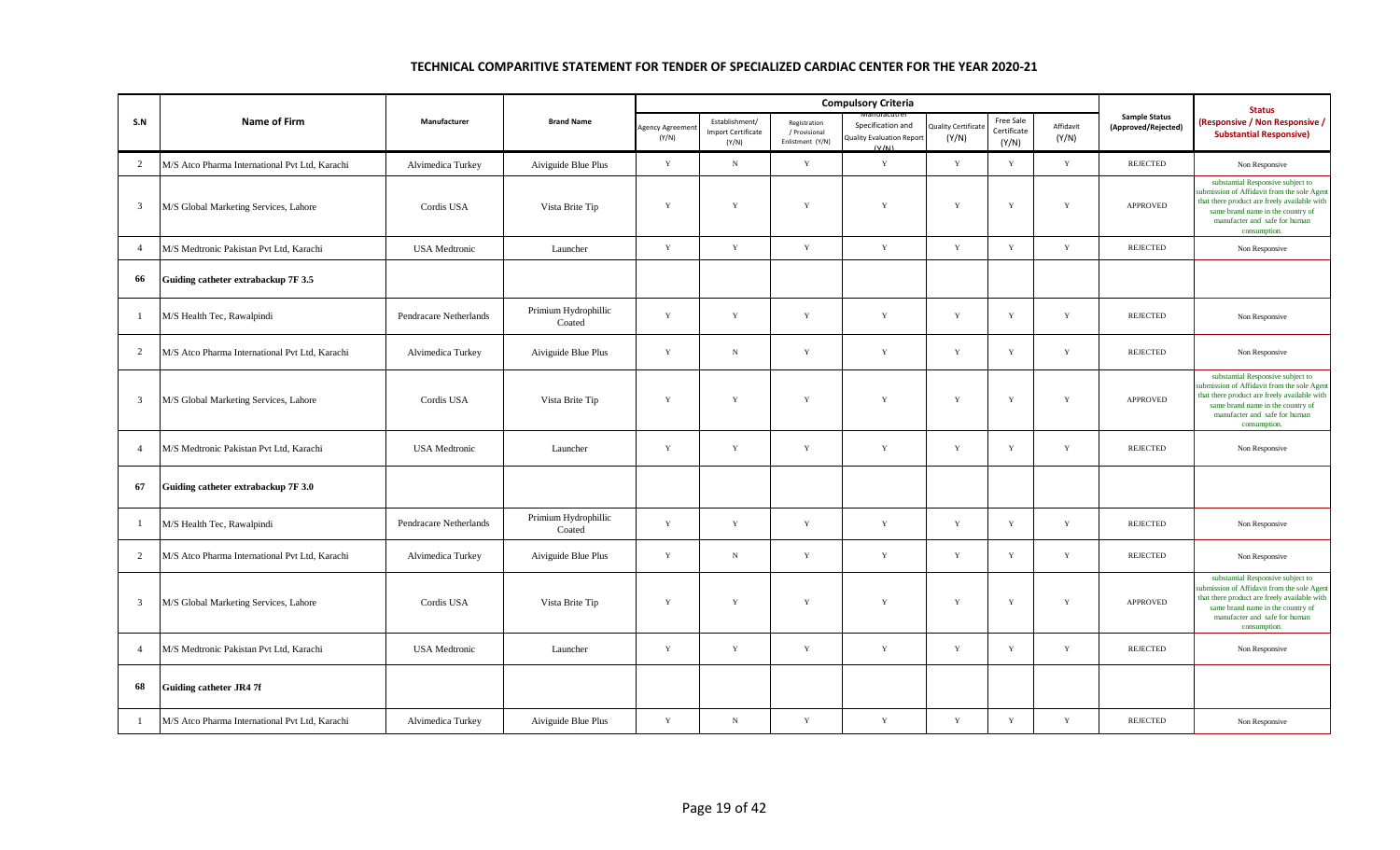|                |                                                |                        |                                |                          |                                                      |                                                   | <b>Compulsory Criteria</b>                                     |                                    |                                   |                    |                                             | <b>Status</b>                                                                                                                                                                                                         |
|----------------|------------------------------------------------|------------------------|--------------------------------|--------------------------|------------------------------------------------------|---------------------------------------------------|----------------------------------------------------------------|------------------------------------|-----------------------------------|--------------------|---------------------------------------------|-----------------------------------------------------------------------------------------------------------------------------------------------------------------------------------------------------------------------|
| S.N            | Name of Firm                                   | Manufacturer           | <b>Brand Name</b>              | Agency Agreemer<br>(Y/N) | Establishment/<br><b>Import Certificate</b><br>(Y/N) | Registration<br>/ Provisional<br>Enlistment (Y/N) | Specification and<br><b>Quality Evaluation Report</b><br>(V/M) | <b>Quality Certificat</b><br>(Y/N) | Free Sale<br>Certificate<br>(Y/N) | Affidavit<br>(Y/N) | <b>Sample Status</b><br>(Approved/Rejected) | (Responsive / Non Responsive /<br><b>Substantial Responsive)</b>                                                                                                                                                      |
| $\overline{2}$ | M/S Atco Pharma International Pvt Ltd. Karachi | Alvimedica Turkey      | Aiviguide Blue Plus            | $\mathbf Y$              | $_{\rm N}$                                           | $\mathbf Y$                                       | $\mathbf Y$                                                    | $\mathbf Y$                        | $\mathbf Y$                       | $\mathbf Y$        | <b>REJECTED</b>                             | Non Responsive                                                                                                                                                                                                        |
| 3              | M/S Global Marketing Services, Lahore          | Cordis USA             | Vista Brite Tip                | Y                        | Y                                                    | Y                                                 | Y                                                              | Y                                  | Y                                 | Y                  | <b>APPROVED</b>                             | substantial Responsive subject to<br>abmission of Affidavit from the sole Agent<br>that there product are freely available with<br>same brand name in the country of<br>manufacter and safe for human<br>consumption. |
| $\overline{4}$ | M/S Medtronic Pakistan Pvt Ltd, Karachi        | <b>USA</b> Medtronic   | Launcher                       | Y                        | Y                                                    | Y                                                 | $\mathbf Y$                                                    | Y                                  | $\mathbf{Y}$                      | Y                  | <b>REJECTED</b>                             | Non Responsive                                                                                                                                                                                                        |
| 66             | Guiding catheter extrabackup 7F 3.5            |                        |                                |                          |                                                      |                                                   |                                                                |                                    |                                   |                    |                                             |                                                                                                                                                                                                                       |
| -1             | M/S Health Tec, Rawalpindi                     | Pendracare Netherlands | Primium Hydrophillic<br>Coated | Y                        | $\mathbf Y$                                          | Y                                                 | Y                                                              | Y                                  | Y                                 | Y                  | <b>REJECTED</b>                             | Non Responsive                                                                                                                                                                                                        |
| $\overline{2}$ | M/S Atco Pharma International Pvt Ltd, Karachi | Alvimedica Turkey      | Aiviguide Blue Plus            | $\mathbf Y$              | $_{\rm N}$                                           | $\mathbf Y$                                       | $\mathbf Y$                                                    | $\mathbf Y$                        | $\mathbf Y$                       | $\mathbf Y$        | <b>REJECTED</b>                             | Non Responsive                                                                                                                                                                                                        |
| 3              | M/S Global Marketing Services, Lahore          | Cordis USA             | Vista Brite Tip                | Y                        | Y                                                    | $\mathbf Y$                                       | $\mathbf Y$                                                    | $\mathbf Y$                        | Y                                 | Y                  | <b>APPROVED</b>                             | substantial Responsive subject to<br>abmission of Affidavit from the sole Agent<br>that there product are freely available with<br>same brand name in the country of<br>manufacter and safe for human<br>consumption. |
| $\overline{4}$ | M/S Medtronic Pakistan Pvt Ltd, Karachi        | <b>USA</b> Medtronic   | Launcher                       | $\mathbf Y$              | $\mathbf Y$                                          | $\mathbf Y$                                       | $\mathbf Y$                                                    | $\mathbf Y$                        | $\mathbf Y$                       | Y                  | <b>REJECTED</b>                             | Non Responsive                                                                                                                                                                                                        |
| 67             | Guiding catheter extrabackup 7F 3.0            |                        |                                |                          |                                                      |                                                   |                                                                |                                    |                                   |                    |                                             |                                                                                                                                                                                                                       |
| -1             | M/S Health Tec, Rawalpindi                     | Pendracare Netherlands | Primium Hydrophillic<br>Coated | Y                        | $\mathbf Y$                                          | $\mathbf Y$                                       | $\mathbf Y$                                                    | Y                                  | Y                                 | $\mathbf Y$        | <b>REJECTED</b>                             | Non Responsive                                                                                                                                                                                                        |
| $\mathcal{D}$  | M/S Atco Pharma International Pvt Ltd, Karachi | Alvimedica Turkey      | Aiviguide Blue Plus            | $\mathbf Y$              | $_{\rm N}$                                           | $\mathbf Y$                                       | $\mathbf Y$                                                    | $\mathbf Y$                        | $\mathbf Y$                       | $\mathbf Y$        | <b>REJECTED</b>                             | Non Responsive                                                                                                                                                                                                        |
| 3              | M/S Global Marketing Services, Lahore          | Cordis USA             | Vista Brite Tip                | $\mathbf Y$              | Y                                                    | $\mathbf Y$                                       | $\mathbf Y$                                                    | $\mathbf Y$                        | $\mathbf Y$                       | $\mathbf Y$        | <b>APPROVED</b>                             | substantial Responsive subject to<br>ubmission of Affidavit from the sole Agent<br>that there product are freely available with<br>same brand name in the country of<br>manufacter and safe for human<br>consumption. |
| $\overline{4}$ | M/S Medtronic Pakistan Pvt Ltd. Karachi        | <b>USA</b> Medtronic   | Launcher                       | $\mathbf Y$              | Y                                                    | $\mathbf Y$                                       | $\mathbf Y$                                                    | Y                                  | Y                                 | $\mathbf Y$        | <b>REJECTED</b>                             | Non Responsive                                                                                                                                                                                                        |
| 68             | <b>Guiding catheter JR4 7f</b>                 |                        |                                |                          |                                                      |                                                   |                                                                |                                    |                                   |                    |                                             |                                                                                                                                                                                                                       |
| -1             | M/S Atco Pharma International Pvt Ltd, Karachi | Alvimedica Turkey      | Aiviguide Blue Plus            | Y                        | N                                                    | Y                                                 | $\mathbf Y$                                                    | $\mathbf Y$                        | $\mathbf Y$                       | $\mathbf Y$        | <b>REJECTED</b>                             | Non Responsive                                                                                                                                                                                                        |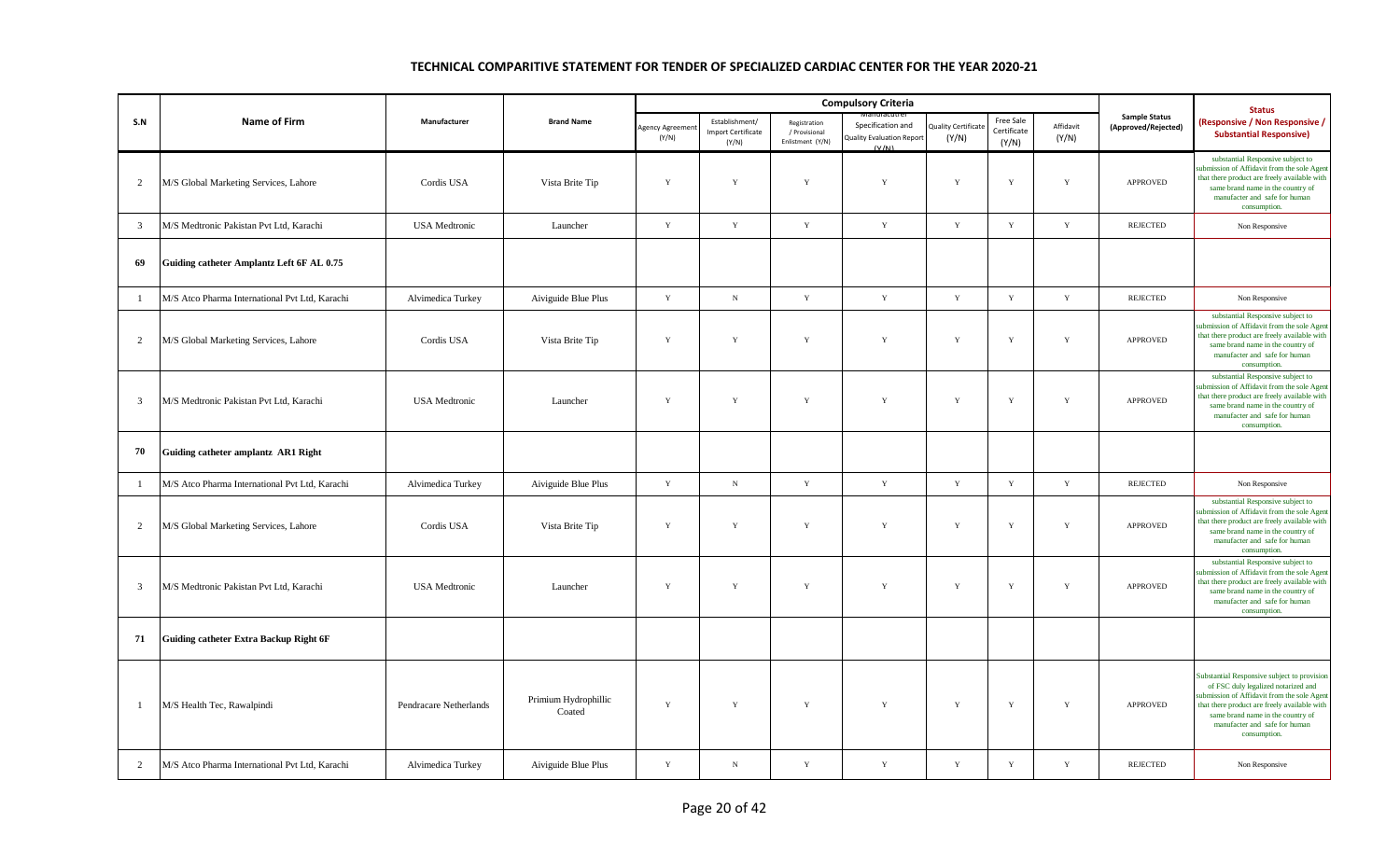|                |                                                |                        |                                |                         |                                                      |                                                   | <b>Compulsory Criteria</b>                                     |                                    |                                   |                    |                                             | <b>Status</b>                                                                                                                                                                                                                                                           |
|----------------|------------------------------------------------|------------------------|--------------------------------|-------------------------|------------------------------------------------------|---------------------------------------------------|----------------------------------------------------------------|------------------------------------|-----------------------------------|--------------------|---------------------------------------------|-------------------------------------------------------------------------------------------------------------------------------------------------------------------------------------------------------------------------------------------------------------------------|
| S.N            | Name of Firm                                   | Manufacturer           | <b>Brand Name</b>              | Agency Agreeme<br>(Y/N) | Establishment/<br><b>Import Certificate</b><br>(Y/N) | Registration<br>/ Provisional<br>Enlistment (Y/N) | Specification and<br><b>Quality Evaluation Report</b><br>(V/N) | <b>Luality Certificat</b><br>(Y/N) | Free Sale<br>Certificate<br>(Y/N) | Affidavit<br>(Y/N) | <b>Sample Status</b><br>(Approved/Rejected) | (Responsive / Non Responsive /<br><b>Substantial Responsive)</b>                                                                                                                                                                                                        |
| $\overline{c}$ | M/S Global Marketing Services, Lahore          | Cordis USA             | Vista Brite Tip                | Y                       | $\mathbf Y$                                          | $\mathbf Y$                                       | $\mathbf Y$                                                    | $\mathbf Y$                        | $\mathbf Y$                       | $\mathbf Y$        | <b>APPROVED</b>                             | substantial Responsive subject to<br>submission of Affidavit from the sole Agent<br>that there product are freely available with<br>same brand name in the country of<br>manufacter and safe for human<br>consumption.                                                  |
| $\overline{3}$ | M/S Medtronic Pakistan Pvt Ltd, Karachi        | <b>USA</b> Medtronic   | Launcher                       | $\mathbf Y$             | $\mathbf Y$                                          | $\mathbf Y$                                       | $\mathbf Y$                                                    | $\mathbf Y$                        | $\mathbf Y$                       | $\mathbf Y$        | <b>REJECTED</b>                             | Non Responsive                                                                                                                                                                                                                                                          |
| 69             | Guiding catheter Amplantz Left 6F AL 0.75      |                        |                                |                         |                                                      |                                                   |                                                                |                                    |                                   |                    |                                             |                                                                                                                                                                                                                                                                         |
| $\mathbf{1}$   | M/S Atco Pharma International Pvt Ltd, Karachi | Alvimedica Turkey      | Aiviguide Blue Plus            | $\mathbf Y$             | $_{\rm N}$                                           | $\mathbf Y$                                       | $\mathbf Y$                                                    | $\mathbf Y$                        | $\mathbf Y$                       | $\mathbf Y$        | <b>REJECTED</b>                             | Non Responsive                                                                                                                                                                                                                                                          |
| $\overline{c}$ | M/S Global Marketing Services, Lahore          | Cordis USA             | Vista Brite Tip                | $\mathbf Y$             | $\mathbf Y$                                          | Y                                                 | $\mathbf Y$                                                    | $\mathbf Y$                        | $\mathbf Y$                       | Y                  | <b>APPROVED</b>                             | substantial Responsive subject to<br>submission of Affidavit from the sole Agen<br>that there product are freely available with<br>same brand name in the country of<br>manufacter and safe for human<br>consumption.                                                   |
| $\overline{3}$ | M/S Medtronic Pakistan Pvt Ltd, Karachi        | <b>USA</b> Medtronic   | Launcher                       | $\mathbf Y$             | $\mathbf Y$                                          | $\mathbf Y$                                       | $\mathbf Y$                                                    | $\mathbf Y$                        | $\mathbf Y$                       | Y                  | APPROVED                                    | substantial Responsive subject to<br>submission of Affidavit from the sole Agent<br>that there product are freely available with<br>same brand name in the country of<br>manufacter and safe for human<br>consumption.                                                  |
| 70             | Guiding catheter amplantz AR1 Right            |                        |                                |                         |                                                      |                                                   |                                                                |                                    |                                   |                    |                                             |                                                                                                                                                                                                                                                                         |
| -1             | M/S Atco Pharma International Pvt Ltd, Karachi | Alvimedica Turkey      | Aiviguide Blue Plus            | $\mathbf Y$             | $_{\rm N}$                                           | $\mathbf Y$                                       | Y                                                              | Y                                  | $\mathbf Y$                       | $\mathbf Y$        | <b>REJECTED</b>                             | Non Responsive                                                                                                                                                                                                                                                          |
| $\overline{2}$ | M/S Global Marketing Services, Lahore          | Cordis USA             | Vista Brite Tip                | $\mathbf Y$             | $\mathbf Y$                                          | $\mathbf Y$                                       | $\mathbf Y$                                                    | $\mathbf Y$                        | $\mathbf Y$                       | Y                  | APPROVED                                    | substantial Responsive subject to<br>submission of Affidavit from the sole Agen<br>that there product are freely available with<br>same brand name in the country of<br>manufacter and safe for human<br>consumption.                                                   |
| $\overline{3}$ | M/S Medtronic Pakistan Pvt Ltd, Karachi        | <b>USA</b> Medtronic   | Launcher                       | Y                       | Y                                                    | Y                                                 | $\mathbf Y$                                                    | $\mathbf Y$                        | $\mathbf Y$                       | Y                  | <b>APPROVED</b>                             | substantial Responsive subject to<br>submission of Affidavit from the sole Agent<br>that there product are freely available with<br>same brand name in the country of<br>manufacter and safe for human<br>consumption.                                                  |
| 71             | <b>Guiding catheter Extra Backup Right 6F</b>  |                        |                                |                         |                                                      |                                                   |                                                                |                                    |                                   |                    |                                             |                                                                                                                                                                                                                                                                         |
| -1             | M/S Health Tec, Rawalpindi                     | Pendracare Netherlands | Primium Hydrophillic<br>Coated | $\mathbf Y$             | $\mathbf Y$                                          | $\mathbf Y$                                       | $\mathbf Y$                                                    | $\mathbf Y$                        | $\mathbf Y$                       | $\mathbf Y$        | APPROVED                                    | Substantial Responsive subject to provision<br>of FSC duly legalized notarized and<br>submission of Affidavit from the sole Agent<br>that there product are freely available with<br>same brand name in the country of<br>manufacter and safe for human<br>consumption. |
| 2              | M/S Atco Pharma International Pvt Ltd, Karachi | Alvimedica Turkey      | Aiviguide Blue Plus            | $\mathbf Y$             | $_{\rm N}$                                           | $\mathbf Y$                                       | $\mathbf Y$                                                    | $\mathbf Y$                        | $\mathbf Y$                       | Y                  | REJECTED                                    | Non Responsive                                                                                                                                                                                                                                                          |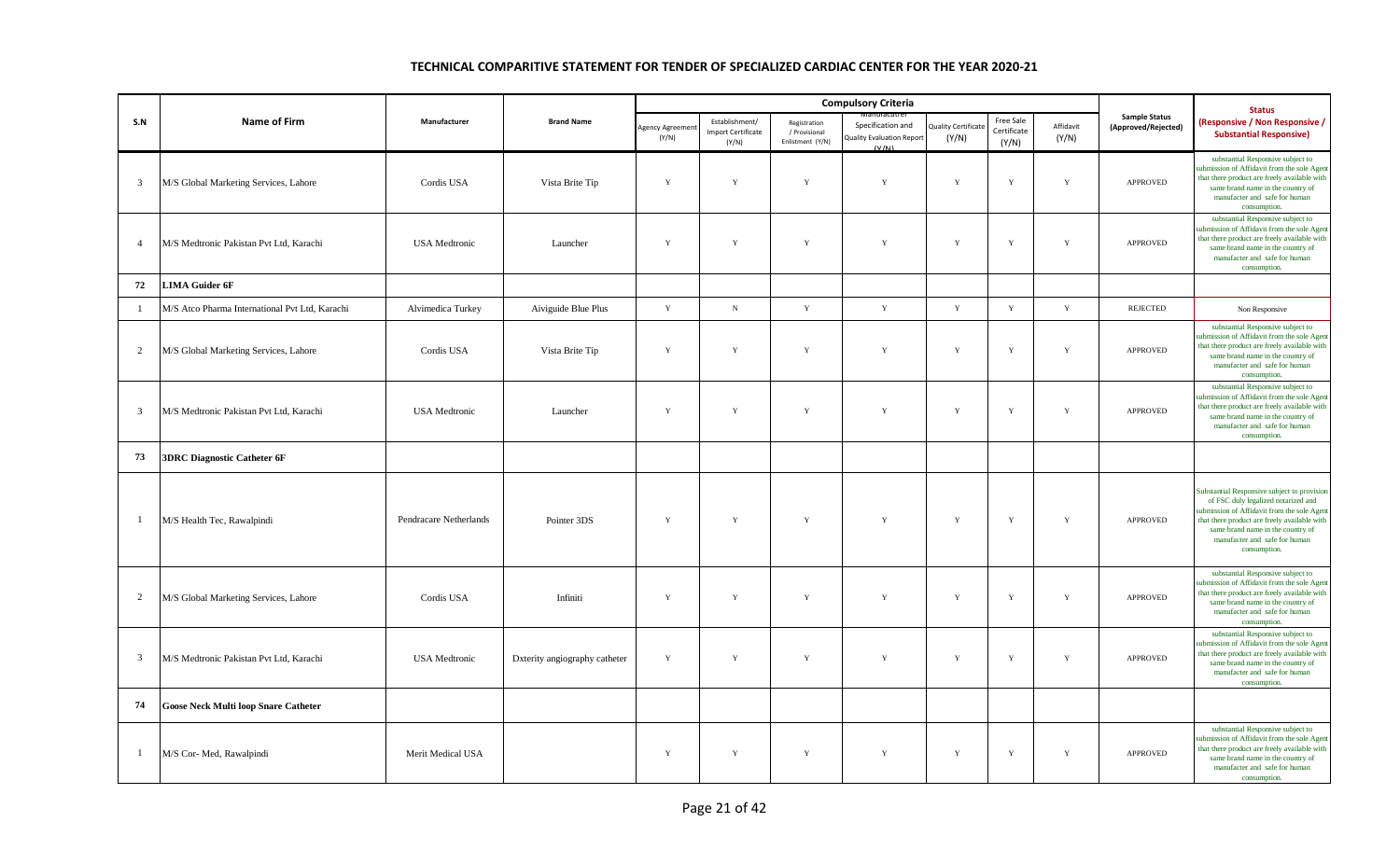|                |                                                |                        |                               |                         |                                                      |                                                   | <b>Compulsory Criteria</b>                                     |                                    |                                   |                    |                                             | <b>Status</b>                                                                                                                                                                                                                                                           |
|----------------|------------------------------------------------|------------------------|-------------------------------|-------------------------|------------------------------------------------------|---------------------------------------------------|----------------------------------------------------------------|------------------------------------|-----------------------------------|--------------------|---------------------------------------------|-------------------------------------------------------------------------------------------------------------------------------------------------------------------------------------------------------------------------------------------------------------------------|
| S.N            | <b>Name of Firm</b>                            | Manufacturer           | <b>Brand Name</b>             | Agency Agreeme<br>(Y/N) | Establishment/<br><b>Import Certificate</b><br>(Y/N) | Registration<br>/ Provisional<br>Enlistment (Y/N) | Specification and<br><b>Quality Evaluation Report</b><br>(V/N) | <b>Quality Certificat</b><br>(Y/N) | Free Sale<br>Certificate<br>(Y/N) | Affidavit<br>(Y/N) | <b>Sample Status</b><br>(Approved/Rejected) | (Responsive / Non Responsive /<br><b>Substantial Responsive)</b>                                                                                                                                                                                                        |
| $\overline{3}$ | M/S Global Marketing Services, Lahore          | Cordis USA             | Vista Brite Tip               | Y                       | $\mathbf Y$                                          | $\mathbf Y$                                       | Y                                                              | Y                                  | $\mathbf Y$                       | Y                  | <b>APPROVED</b>                             | substantial Responsive subject to<br>submission of Affidavit from the sole Agent<br>that there product are freely available with<br>same brand name in the country of<br>manufacter and safe for human<br>consumption.                                                  |
| $\overline{4}$ | M/S Medtronic Pakistan Pvt Ltd, Karachi        | <b>USA</b> Medtronic   | Launcher                      | Y                       | Y                                                    | $\mathbf Y$                                       | $\mathbf Y$                                                    | $\mathbf Y$                        | $\mathbf Y$                       | Y                  | APPROVED                                    | substantial Responsive subject to<br>submission of Affidavit from the sole Agent<br>that there product are freely available with<br>same brand name in the country of<br>manufacter and safe for human<br>consumption.                                                  |
| 72             | <b>LIMA Guider 6F</b>                          |                        |                               |                         |                                                      |                                                   |                                                                |                                    |                                   |                    |                                             |                                                                                                                                                                                                                                                                         |
| -1             | M/S Atco Pharma International Pvt Ltd, Karachi | Alvimedica Turkey      | Aiviguide Blue Plus           | $\mathbf Y$             | $_{\rm N}$                                           | $\mathbf Y$                                       | $\mathbf Y$                                                    | $\mathbf Y$                        | $\mathbf Y$                       | $\mathbf Y$        | <b>REJECTED</b>                             | Non Responsive                                                                                                                                                                                                                                                          |
| 2              | M/S Global Marketing Services, Lahore          | Cordis USA             | Vista Brite Tip               | Y                       | Y                                                    | $\mathbf Y$                                       | $\mathbf Y$                                                    | $\mathbf Y$                        | Y                                 | $\mathbf Y$        | APPROVED                                    | substantial Responsive subject to<br>submission of Affidavit from the sole Agent<br>that there product are freely available with<br>same brand name in the country of<br>manufacter and safe for human<br>consumption.                                                  |
| $\overline{3}$ | M/S Medtronic Pakistan Pvt Ltd, Karachi        | <b>USA</b> Medtronic   | Launcher                      | Y                       | $\mathbf Y$                                          | $\mathbf Y$                                       | Y                                                              | $\mathbf Y$                        | $\mathbf Y$                       | Y                  | <b>APPROVED</b>                             | substantial Responsive subject to<br>submission of Affidavit from the sole Agent<br>that there product are freely available with<br>same brand name in the country of<br>manufacter and safe for human<br>consumption.                                                  |
| 73             | <b>3DRC Diagnostic Catheter 6F</b>             |                        |                               |                         |                                                      |                                                   |                                                                |                                    |                                   |                    |                                             |                                                                                                                                                                                                                                                                         |
| -1             | M/S Health Tec, Rawalpindi                     | Pendracare Netherlands | Pointer 3DS                   | Y                       | $\mathbf Y$                                          | Y                                                 | Y                                                              | Y                                  | $\mathbf Y$                       | Y                  | <b>APPROVED</b>                             | Substantial Responsive subject to provision<br>of FSC duly legalized notarized and<br>submission of Affidavit from the sole Agent<br>that there product are freely available with<br>same brand name in the country of<br>manufacter and safe for human<br>consumption. |
| 2              | M/S Global Marketing Services, Lahore          | Cordis USA             | Infiniti                      | $\mathbf Y$             | $\mathbf Y$                                          | $\mathbf Y$                                       | $\mathbf Y$                                                    | $\mathbf Y$                        | $\mathbf Y$                       | $\mathbf Y$        | APPROVED                                    | substantial Responsive subject to<br>submission of Affidavit from the sole Agent<br>that there product are freely available with<br>same brand name in the country of<br>manufacter and safe for human<br>consumption.                                                  |
| $\overline{3}$ | M/S Medtronic Pakistan Pvt Ltd, Karachi        | <b>USA</b> Medtronic   | Dxterity angiography catheter | Y                       | $\mathbf Y$                                          | $\mathbf Y$                                       | $\mathbf Y$                                                    | Y                                  | $\mathbf Y$                       | Y                  | APPROVED                                    | substantial Responsive subject to<br>submission of Affidavit from the sole Agen<br>that there product are freely available with<br>same brand name in the country of<br>manufacter and safe for human<br>consumption.                                                   |
| 74             | <b>Goose Neck Multi loop Snare Catheter</b>    |                        |                               |                         |                                                      |                                                   |                                                                |                                    |                                   |                    |                                             |                                                                                                                                                                                                                                                                         |
| -1             | M/S Cor- Med, Rawalpindi                       | Merit Medical USA      |                               | $\mathbf Y$             | $\mathbf Y$                                          | Y                                                 | $\mathbf Y$                                                    | $\mathbf Y$                        | $\mathbf Y$                       | $\mathbf Y$        | <b>APPROVED</b>                             | substantial Responsive subject to<br>submission of Affidavit from the sole Agent<br>that there product are freely available with<br>same brand name in the country of<br>manufacter and safe for human<br>consumption.                                                  |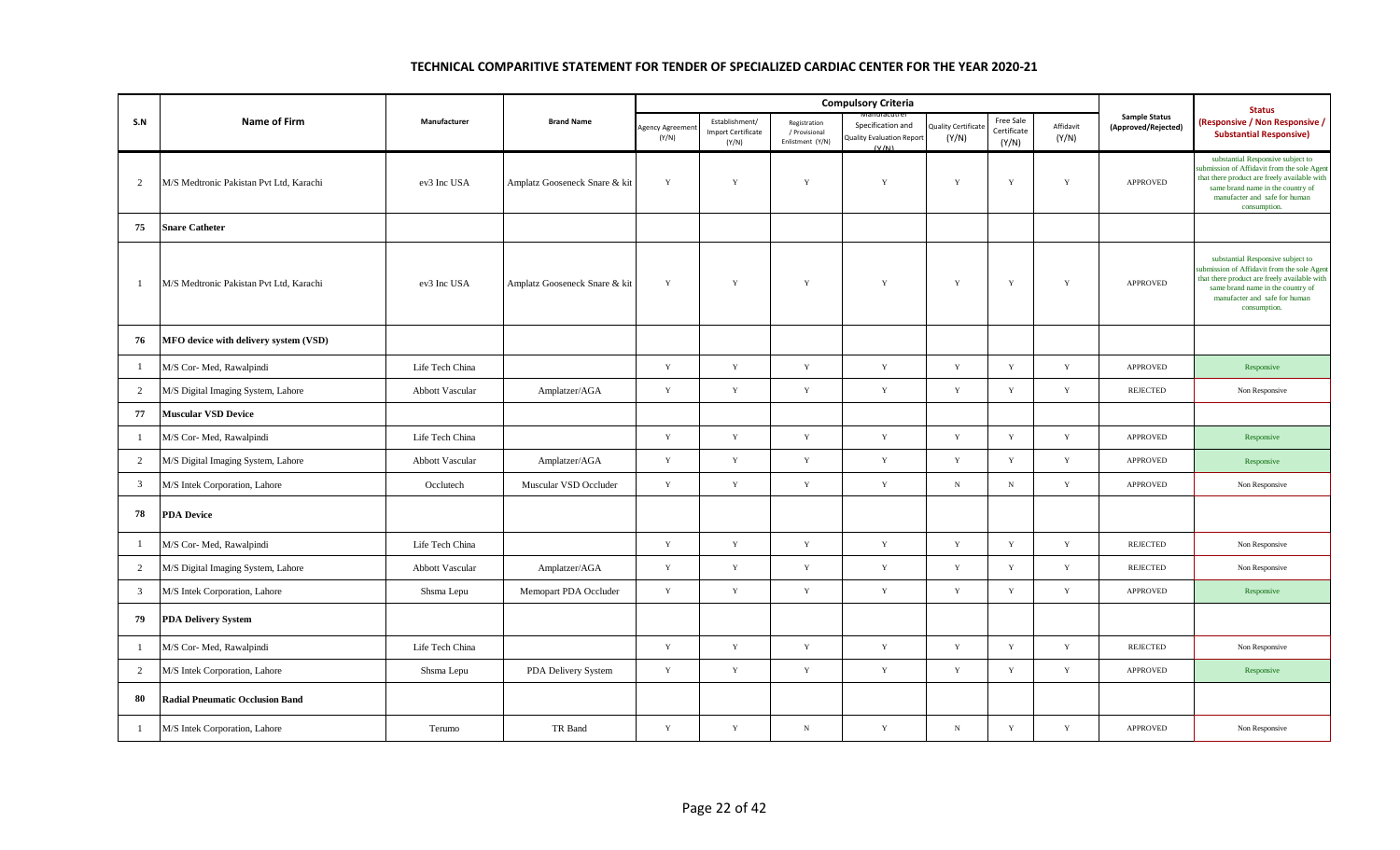|                |                                         |                 |                               |                          |                                                      |                                                   | <b>Compulsory Criteria</b>                                     |                                    |                                   |                    |                                             | <b>Status</b>                                                                                                                                                                                                          |
|----------------|-----------------------------------------|-----------------|-------------------------------|--------------------------|------------------------------------------------------|---------------------------------------------------|----------------------------------------------------------------|------------------------------------|-----------------------------------|--------------------|---------------------------------------------|------------------------------------------------------------------------------------------------------------------------------------------------------------------------------------------------------------------------|
| S.N            | <b>Name of Firm</b>                     | Manufacturer    | <b>Brand Name</b>             | Agency Agreemen<br>(Y/N) | Establishment/<br><b>Import Certificate</b><br>(Y/N) | Registration<br>/ Provisional<br>Enlistment (Y/N) | Specification and<br><b>Quality Evaluation Report</b><br>(V/N) | <b>Quality Certificat</b><br>(Y/N) | Free Sale<br>Certificate<br>(Y/N) | Affidavit<br>(Y/N) | <b>Sample Status</b><br>(Approved/Rejected) | <b>Responsive / Non Responsive /</b><br><b>Substantial Responsive)</b>                                                                                                                                                 |
| $\overline{2}$ | M/S Medtronic Pakistan Pvt Ltd, Karachi | ev3 Inc USA     | Amplatz Gooseneck Snare & kit | Y                        | Y                                                    | $\mathbf Y$                                       | Y                                                              | Y                                  | $\mathbf Y$                       | $\mathbf Y$        | APPROVED                                    | substantial Responsive subject to<br>ubmission of Affidavit from the sole Agent<br>that there product are freely available with<br>same brand name in the country of<br>manufacter and safe for human<br>consumption.  |
| 75             | <b>Snare Catheter</b>                   |                 |                               |                          |                                                      |                                                   |                                                                |                                    |                                   |                    |                                             |                                                                                                                                                                                                                        |
| $\mathbf{1}$   | M/S Medtronic Pakistan Pvt Ltd, Karachi | ev3 Inc USA     | Amplatz Gooseneck Snare & kit | Y                        | Y                                                    | $\mathbf Y$                                       | $\mathbf Y$                                                    | Y                                  | $\mathbf Y$                       | $\mathbf Y$        | <b>APPROVED</b>                             | substantial Responsive subject to<br>submission of Affidavit from the sole Agent<br>that there product are freely available with<br>same brand name in the country of<br>manufacter and safe for human<br>consumption. |
| 76             | MFO device with delivery system (VSD)   |                 |                               |                          |                                                      |                                                   |                                                                |                                    |                                   |                    |                                             |                                                                                                                                                                                                                        |
| $\mathbf{1}$   | M/S Cor- Med, Rawalpindi                | Life Tech China |                               | $\mathbf Y$              | $\mathbf Y$                                          | $\mathbf Y$                                       | $\mathbf Y$                                                    | Y                                  | $\mathbf Y$                       | $\mathbf Y$        | <b>APPROVED</b>                             | Responsive                                                                                                                                                                                                             |
| $\overline{2}$ | M/S Digital Imaging System, Lahore      | Abbott Vascular | Amplatzer/AGA                 | Y                        | $\mathbf Y$                                          | $\mathbf Y$                                       | $\mathbf Y$                                                    | $\mathbf Y$                        | $\mathbf Y$                       | $\mathbf Y$        | <b>REJECTED</b>                             | Non Responsive                                                                                                                                                                                                         |
| 77             | <b>Muscular VSD Device</b>              |                 |                               |                          |                                                      |                                                   |                                                                |                                    |                                   |                    |                                             |                                                                                                                                                                                                                        |
| $\mathbf{1}$   | M/S Cor- Med, Rawalpindi                | Life Tech China |                               | Y                        | $\mathbf Y$                                          | $\mathbf Y$                                       | $\mathbf Y$                                                    | $\mathbf Y$                        | $\mathbf Y$                       | $\mathbf Y$        | <b>APPROVED</b>                             | Responsive                                                                                                                                                                                                             |
| $\overline{2}$ | M/S Digital Imaging System, Lahore      | Abbott Vascular | Amplatzer/AGA                 | Y                        | $\mathbf Y$                                          | $\mathbf Y$                                       | $\mathbf Y$                                                    | $\mathbf Y$                        | $\mathbf Y$                       | $\mathbf Y$        | <b>APPROVED</b>                             | Responsive                                                                                                                                                                                                             |
| $\overline{3}$ | M/S Intek Corporation, Lahore           | Occlutech       | Muscular VSD Occluder         | Y                        | $\mathbf Y$                                          | $\mathbf Y$                                       | $\mathbf Y$                                                    | ${\bf N}$                          | $_{\rm N}$                        | $\mathbf Y$        | <b>APPROVED</b>                             | Non Responsive                                                                                                                                                                                                         |
| 78             | <b>PDA Device</b>                       |                 |                               |                          |                                                      |                                                   |                                                                |                                    |                                   |                    |                                             |                                                                                                                                                                                                                        |
| $\mathbf{1}$   | M/S Cor- Med, Rawalpindi                | Life Tech China |                               | Y                        | $\mathbf Y$                                          | $\mathbf Y$                                       | $\mathbf Y$                                                    | Y                                  | $\mathbf Y$                       | $\mathbf Y$        | <b>REJECTED</b>                             | Non Responsive                                                                                                                                                                                                         |
| $\overline{2}$ | M/S Digital Imaging System, Lahore      | Abbott Vascular | Amplatzer/AGA                 | Y                        | $\mathbf Y$                                          | $\mathbf Y$                                       | Y                                                              | Y                                  | $\mathbf Y$                       | $\mathbf Y$        | <b>REJECTED</b>                             | Non Responsive                                                                                                                                                                                                         |
| $\mathbf{3}$   | M/S Intek Corporation, Lahore           | Shsma Lepu      | Memopart PDA Occluder         | $\mathbf Y$              | $\mathbf Y$                                          | $\mathbf Y$                                       | $\mathbf Y$                                                    | $\mathbf Y$                        | $\mathbf Y$                       | $\mathbf Y$        | APPROVED                                    | Responsive                                                                                                                                                                                                             |
| 79             | <b>PDA Delivery System</b>              |                 |                               |                          |                                                      |                                                   |                                                                |                                    |                                   |                    |                                             |                                                                                                                                                                                                                        |
| $\mathbf{1}$   | M/S Cor- Med, Rawalpindi                | Life Tech China |                               | Y                        | Y                                                    | $\mathbf Y$                                       | $\mathbf Y$                                                    | Y                                  | Y                                 | $\mathbf Y$        | <b>REJECTED</b>                             | Non Responsive                                                                                                                                                                                                         |
| $\overline{2}$ | M/S Intek Corporation, Lahore           | Shsma Lepu      | PDA Delivery System           | $\mathbf Y$              | $\mathbf Y$                                          | $\mathbf Y$                                       | $\mathbf Y$                                                    | $\mathbf Y$                        | $\mathbf Y$                       | $\mathbf Y$        | <b>APPROVED</b>                             | Responsive                                                                                                                                                                                                             |
| 80             | <b>Radial Pneumatic Occlusion Band</b>  |                 |                               |                          |                                                      |                                                   |                                                                |                                    |                                   |                    |                                             |                                                                                                                                                                                                                        |
| $\mathbf{1}$   | M/S Intek Corporation, Lahore           | Terumo          | TR Band                       | $\mathbf Y$              | $\mathbf Y$                                          | ${\rm N}$                                         | $\mathbf Y$                                                    | $\mathbf N$                        | $\mathbf Y$                       | $\mathbf Y$        | APPROVED                                    | Non Responsive                                                                                                                                                                                                         |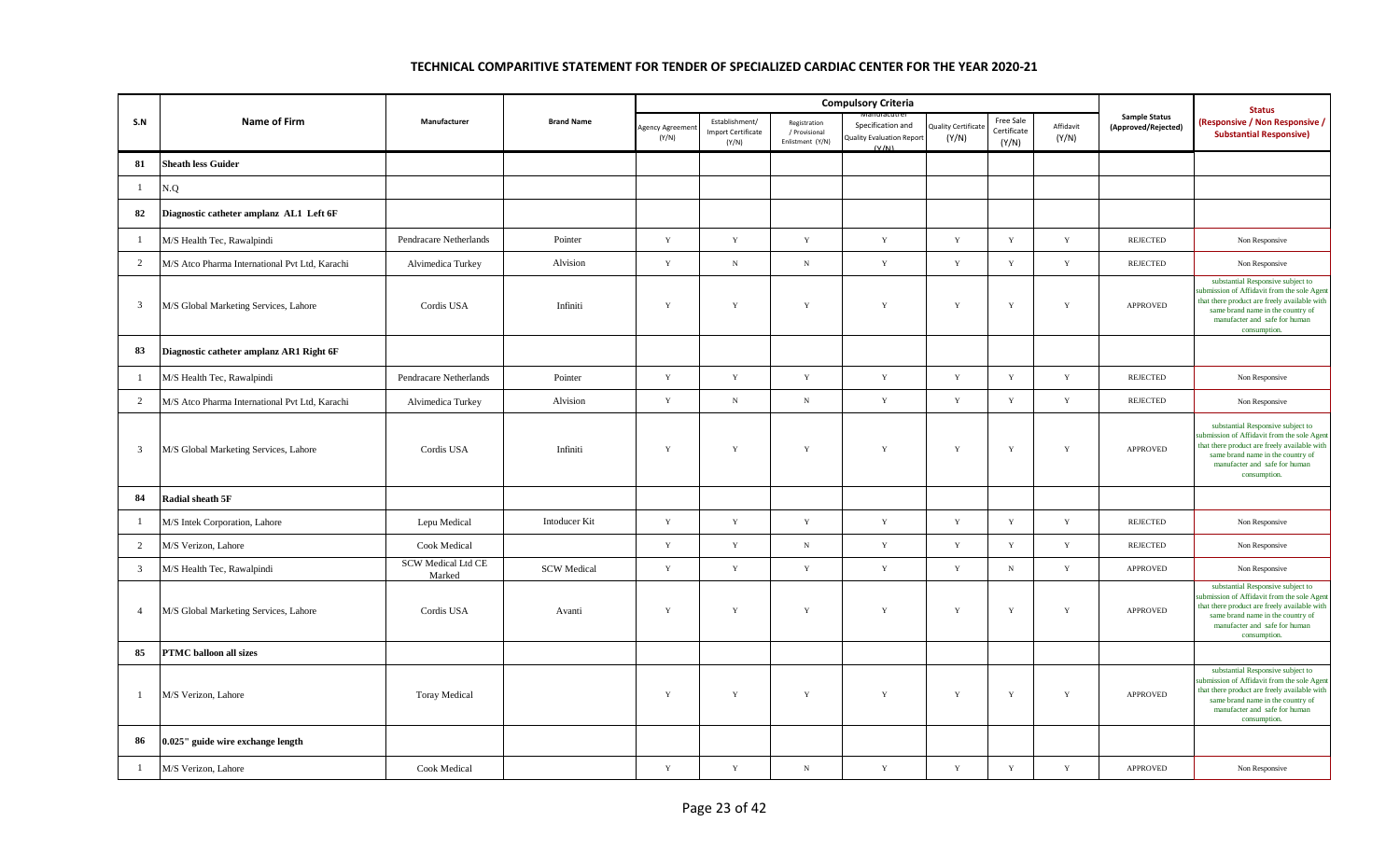|                |                                                |                              |                      |                          |                                                      |                                                   | <b>Compulsory Criteria</b>                                     |                                    |                                   |                    |                                             | <b>Status</b>                                                                                                                                                                                                          |
|----------------|------------------------------------------------|------------------------------|----------------------|--------------------------|------------------------------------------------------|---------------------------------------------------|----------------------------------------------------------------|------------------------------------|-----------------------------------|--------------------|---------------------------------------------|------------------------------------------------------------------------------------------------------------------------------------------------------------------------------------------------------------------------|
| S.N            | <b>Name of Firm</b>                            | Manufacturer                 | <b>Brand Name</b>    | Agency Agreemer<br>(Y/N) | Establishment/<br><b>Import Certificate</b><br>(Y/N) | Registration<br>/ Provisional<br>Enlistment (Y/N) | Specification and<br><b>Quality Evaluation Report</b><br>(V/M) | <b>Quality Certificat</b><br>(Y/N) | Free Sale<br>Certificate<br>(Y/N) | Affidavit<br>(Y/N) | <b>Sample Status</b><br>(Approved/Rejected) | (Responsive / Non Responsive /<br><b>Substantial Responsive)</b>                                                                                                                                                       |
| 81             | <b>Sheath less Guider</b>                      |                              |                      |                          |                                                      |                                                   |                                                                |                                    |                                   |                    |                                             |                                                                                                                                                                                                                        |
| $\mathbf{1}$   | N.Q                                            |                              |                      |                          |                                                      |                                                   |                                                                |                                    |                                   |                    |                                             |                                                                                                                                                                                                                        |
| 82             | Diagnostic catheter amplanz AL1 Left 6F        |                              |                      |                          |                                                      |                                                   |                                                                |                                    |                                   |                    |                                             |                                                                                                                                                                                                                        |
| $\mathbf{1}$   | M/S Health Tec, Rawalpindi                     | Pendracare Netherlands       | Pointer              | Y                        | Y                                                    | $\mathbf Y$                                       | $\mathbf Y$                                                    | Y                                  | $\mathbf Y$                       | $\mathbf Y$        | <b>REJECTED</b>                             | Non Responsive                                                                                                                                                                                                         |
| $\overline{2}$ | M/S Atco Pharma International Pvt Ltd, Karachi | Alvimedica Turkey            | Alvision             | $\mathbf Y$              | $_{\rm N}$                                           | $\,$ N                                            | $\mathbf Y$                                                    | $\mathbf Y$                        | $\mathbf Y$                       | $\mathbf Y$        | <b>REJECTED</b>                             | Non Responsive                                                                                                                                                                                                         |
| $\mathbf{3}$   | M/S Global Marketing Services, Lahore          | Cordis USA                   | Infiniti             | Y                        | Y                                                    | $\mathbf Y$                                       | $\mathbf{Y}$                                                   | Y                                  | $\mathbf Y$                       | $\mathbf Y$        | <b>APPROVED</b>                             | substantial Responsive subject to<br>ubmission of Affidavit from the sole Agen<br>that there product are freely available with<br>same brand name in the country of<br>manufacter and safe for human<br>consumption.   |
| 83             | Diagnostic catheter amplanz AR1 Right 6F       |                              |                      |                          |                                                      |                                                   |                                                                |                                    |                                   |                    |                                             |                                                                                                                                                                                                                        |
| $\mathbf{1}$   | M/S Health Tec, Rawalpindi                     | Pendracare Netherlands       | Pointer              | Y                        | Y                                                    | Y                                                 | $\mathbf Y$                                                    | Y                                  | $\mathbf Y$                       | Y                  | <b>REJECTED</b>                             | Non Responsive                                                                                                                                                                                                         |
| $\overline{2}$ | M/S Atco Pharma International Pvt Ltd, Karachi | Alvimedica Turkey            | Alvision             | $\mathbf Y$              | $\mathbf N$                                          | $\, {\bf N}$                                      | $\mathbf Y$                                                    | $\mathbf Y$                        | $\mathbf Y$                       | $\mathbf Y$        | <b>REJECTED</b>                             | Non Responsive                                                                                                                                                                                                         |
| $\overline{3}$ | M/S Global Marketing Services, Lahore          | Cordis USA                   | Infiniti             | Y                        | Y                                                    | $\mathbf Y$                                       | $\mathbf Y$                                                    | $\mathbf Y$                        | $\mathbf Y$                       | $\mathbf Y$        | <b>APPROVED</b>                             | substantial Responsive subject to<br>submission of Affidavit from the sole Agent<br>that there product are freely available with<br>same brand name in the country of<br>manufacter and safe for human<br>consumption. |
| 84             | Radial sheath 5F                               |                              |                      |                          |                                                      |                                                   |                                                                |                                    |                                   |                    |                                             |                                                                                                                                                                                                                        |
| -1             | M/S Intek Corporation, Lahore                  | Lepu Medical                 | <b>Intoducer Kit</b> | Y                        | Y                                                    | Y                                                 | Y                                                              | Y                                  | $\mathbf Y$                       | Y                  | <b>REJECTED</b>                             | Non Responsive                                                                                                                                                                                                         |
| $\overline{2}$ | M/S Verizon, Lahore                            | Cook Medical                 |                      | Y                        | $\mathbf Y$                                          | ${\bf N}$                                         | $\mathbf Y$                                                    | Y                                  | $\mathbf Y$                       | $\mathbf Y$        | <b>REJECTED</b>                             | Non Responsive                                                                                                                                                                                                         |
| $\mathbf{3}$   | M/S Health Tec, Rawalpindi                     | SCW Medical Ltd CE<br>Marked | <b>SCW Medical</b>   | $\mathbf Y$              | $\mathbf Y$                                          | $\mathbf Y$                                       | $\mathbf Y$                                                    | $\mathbf Y$                        | $_{\rm N}$                        | $\mathbf Y$        | APPROVED                                    | Non Responsive                                                                                                                                                                                                         |
| $\overline{4}$ | M/S Global Marketing Services, Lahore          | Cordis USA                   | Avanti               | Y                        | Y                                                    | $\mathbf Y$                                       | Y                                                              | $\mathbf Y$                        | $\mathbf Y$                       | $\mathbf Y$        | <b>APPROVED</b>                             | substantial Responsive subject to<br>submission of Affidavit from the sole Agent<br>that there product are freely available with<br>same brand name in the country of<br>manufacter and safe for human<br>consumption. |
| 85             | <b>PTMC</b> balloon all sizes                  |                              |                      |                          |                                                      |                                                   |                                                                |                                    |                                   |                    |                                             |                                                                                                                                                                                                                        |
| -1             | M/S Verizon, Lahore                            | <b>Toray Medical</b>         |                      | $\mathbf Y$              | Y                                                    | $\mathbf Y$                                       | Y                                                              | Y                                  | $\mathbf Y$                       | $\mathbf Y$        | <b>APPROVED</b>                             | substantial Responsive subject to<br>submission of Affidavit from the sole Agen<br>that there product are freely available with<br>same brand name in the country of<br>manufacter and safe for human<br>consumption.  |
| 86             | 0.025" guide wire exchange length              |                              |                      |                          |                                                      |                                                   |                                                                |                                    |                                   |                    |                                             |                                                                                                                                                                                                                        |
| $\mathbf{1}$   | M/S Verizon, Lahore                            | Cook Medical                 |                      | $\mathbf Y$              | $\mathbf Y$                                          | $_{\rm N}$                                        | $\mathbf Y$                                                    | $\mathbf Y$                        | $\mathbf Y$                       | $\mathbf Y$        | <b>APPROVED</b>                             | Non Responsive                                                                                                                                                                                                         |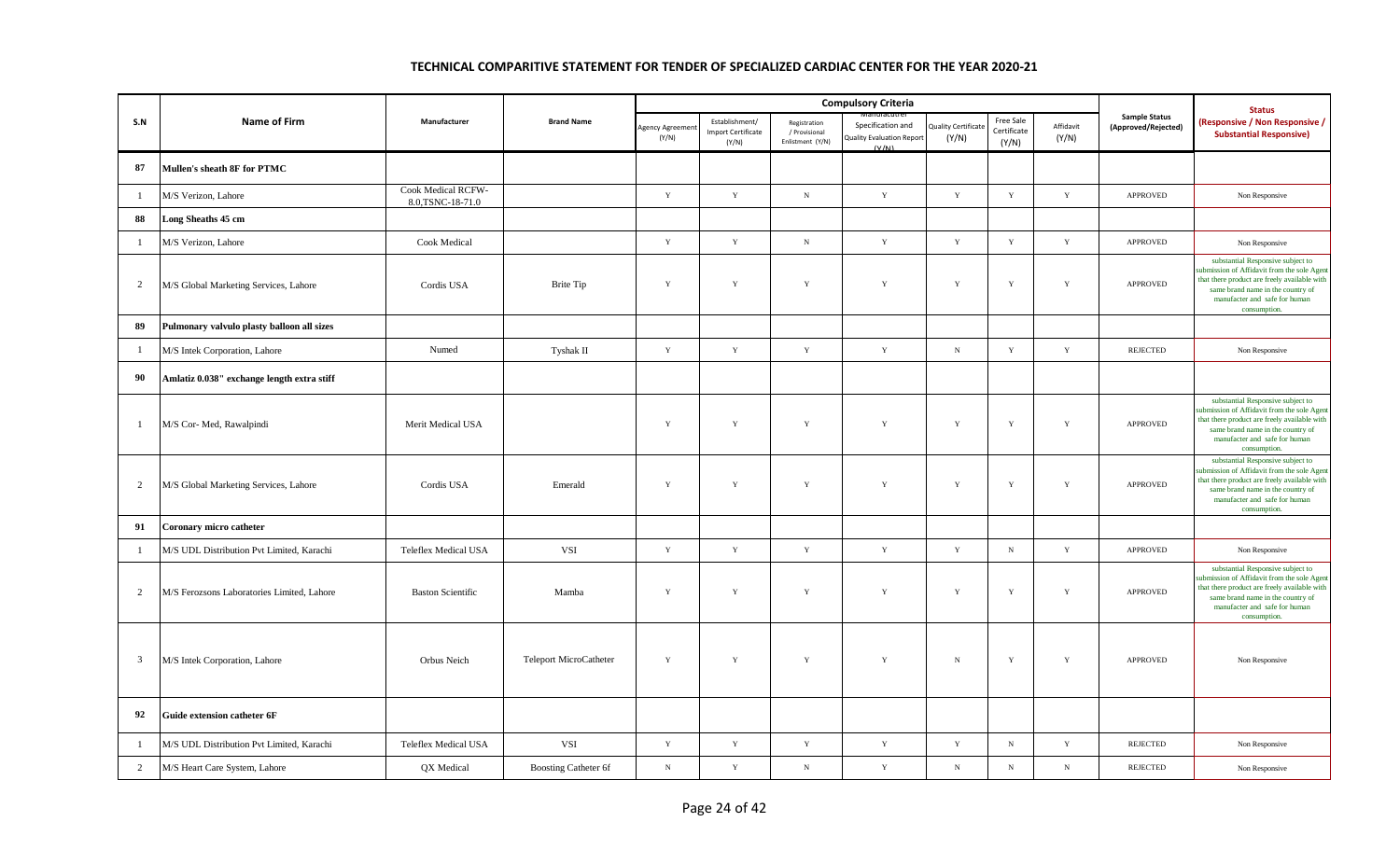|                |                                            |                                         |                        |                        |                                                      |                                                   | <b>Compulsory Criteria</b>                                     |                                    |                                   |                    |                                             | <b>Status</b>                                                                                                                                                                                                          |
|----------------|--------------------------------------------|-----------------------------------------|------------------------|------------------------|------------------------------------------------------|---------------------------------------------------|----------------------------------------------------------------|------------------------------------|-----------------------------------|--------------------|---------------------------------------------|------------------------------------------------------------------------------------------------------------------------------------------------------------------------------------------------------------------------|
| S.N            | Name of Firm                               | Manufacturer                            | <b>Brand Name</b>      | Agency Agreem<br>(Y/N) | Establishment/<br><b>Import Certificate</b><br>(Y/N) | Registration<br>/ Provisional<br>Enlistment (Y/N) | Specification and<br><b>Quality Evaluation Report</b><br>(V/M) | <b>Quality Certificat</b><br>(Y/N) | Free Sale<br>Certificate<br>(Y/N) | Affidavit<br>(Y/N) | <b>Sample Status</b><br>(Approved/Rejected) | <b>Responsive / Non Responsive /</b><br><b>Substantial Responsive)</b>                                                                                                                                                 |
| 87             | Mullen's sheath 8F for PTMC                |                                         |                        |                        |                                                      |                                                   |                                                                |                                    |                                   |                    |                                             |                                                                                                                                                                                                                        |
| $\overline{1}$ | M/S Verizon, Lahore                        | Cook Medical RCFW-<br>8.0, TSNC-18-71.0 |                        | $\mathbf Y$            | $\mathbf Y$                                          | ${\bf N}$                                         | $\mathbf Y$                                                    | $\mathbf Y$                        | $\mathbf Y$                       | $\mathbf Y$        | APPROVED                                    | Non Responsive                                                                                                                                                                                                         |
| 88             | Long Sheaths 45 cm                         |                                         |                        |                        |                                                      |                                                   |                                                                |                                    |                                   |                    |                                             |                                                                                                                                                                                                                        |
| -1             | M/S Verizon, Lahore                        | Cook Medical                            |                        | Y                      | $\mathbf Y$                                          | $\,$ N $\,$                                       | $\mathbf Y$                                                    | $\mathbf Y$                        | $\mathbf Y$                       | $\mathbf Y$        | APPROVED                                    | Non Responsive                                                                                                                                                                                                         |
| 2              | M/S Global Marketing Services, Lahore      | Cordis USA                              | <b>Brite Tip</b>       | $\mathbf Y$            | $\mathbf Y$                                          | $\mathbf Y$                                       | $\mathbf Y$                                                    | Y                                  | $\mathbf Y$                       | $\mathbf Y$        | <b>APPROVED</b>                             | substantial Responsive subject to<br>submission of Affidavit from the sole Agent<br>that there product are freely available with<br>same brand name in the country of<br>manufacter and safe for human<br>consumption. |
| 89             | Pulmonary valvulo plasty balloon all sizes |                                         |                        |                        |                                                      |                                                   |                                                                |                                    |                                   |                    |                                             |                                                                                                                                                                                                                        |
| $\mathbf{1}$   | M/S Intek Corporation, Lahore              | Numed                                   | Tyshak II              | Y                      | Y                                                    | $\mathbf Y$                                       | Y                                                              | $\mathbf N$                        | $\mathbf Y$                       | Y                  | REJECTED                                    | Non Responsive                                                                                                                                                                                                         |
| 90             | Amlatiz 0.038" exchange length extra stiff |                                         |                        |                        |                                                      |                                                   |                                                                |                                    |                                   |                    |                                             |                                                                                                                                                                                                                        |
| -1             | M/S Cor- Med, Rawalpindi                   | Merit Medical USA                       |                        | $\mathbf Y$            | Y                                                    | $\mathbf Y$                                       | $\mathbf Y$                                                    | Y                                  | $\mathbf Y$                       | $\mathbf Y$        | APPROVED                                    | substantial Responsive subject to<br>submission of Affidavit from the sole Agen<br>that there product are freely available with<br>same brand name in the country of<br>manufacter and safe for human<br>consumption.  |
| $\overline{2}$ | M/S Global Marketing Services, Lahore      | Cordis USA                              | Emerald                | Y                      | Y                                                    | $\mathbf Y$                                       | $\mathbf Y$                                                    | Y                                  | $\mathbf Y$                       | Y                  | APPROVED                                    | substantial Responsive subject to<br>submission of Affidavit from the sole Agent<br>that there product are freely available with<br>same brand name in the country of<br>manufacter and safe for human<br>consumption. |
| 91             | Coronary micro catheter                    |                                         |                        |                        |                                                      |                                                   |                                                                |                                    |                                   |                    |                                             |                                                                                                                                                                                                                        |
| $\overline{1}$ | M/S UDL Distribution Pvt Limited, Karachi  | <b>Teleflex Medical USA</b>             | VSI                    | $\mathbf Y$            | Y                                                    | $\mathbf Y$                                       | $\mathbf Y$                                                    | $\mathbf Y$                        | $_{\rm N}$                        | $\mathbf Y$        | <b>APPROVED</b>                             | Non Responsive                                                                                                                                                                                                         |
| 2              | M/S Ferozsons Laboratories Limited, Lahore | <b>Baston Scientific</b>                | Mamba                  | $\mathbf Y$            | $\mathbf Y$                                          | $\mathbf Y$                                       | $\mathbf Y$                                                    | $\mathbf Y$                        | $\mathbf Y$                       | $\mathbf Y$        | APPROVED                                    | substantial Responsive subject to<br>submission of Affidavit from the sole Agent<br>that there product are freely available with<br>same brand name in the country of<br>manufacter and safe for human<br>consumption. |
| $\overline{3}$ | M/S Intek Corporation, Lahore              | Orbus Neich                             | Teleport MicroCatheter | Y                      | Y                                                    | $\mathbf Y$                                       | $\mathbf Y$                                                    | $\mathbf N$                        | $\mathbf Y$                       | $\mathbf Y$        | <b>APPROVED</b>                             | Non Responsive                                                                                                                                                                                                         |
| 92             | <b>Guide extension catheter 6F</b>         |                                         |                        |                        |                                                      |                                                   |                                                                |                                    |                                   |                    |                                             |                                                                                                                                                                                                                        |
| $\overline{1}$ | M/S UDL Distribution Pvt Limited, Karachi  | <b>Teleflex Medical USA</b>             | VSI                    | $\mathbf Y$            | $\mathbf Y$                                          | $\mathbf Y$                                       | $\mathbf Y$                                                    | Y                                  | ${\bf N}$                         | $\mathbf Y$        | <b>REJECTED</b>                             | Non Responsive                                                                                                                                                                                                         |
| $\overline{2}$ | M/S Heart Care System, Lahore              | QX Medical                              | Boosting Catheter 6f   | $_{\rm N}$             | $\mathbf Y$                                          | $\, {\bf N}$                                      | $\mathbf Y$                                                    | ${\bf N}$                          | ${\bf N}$                         | $_{\rm N}$         | <b>REJECTED</b>                             | Non Responsive                                                                                                                                                                                                         |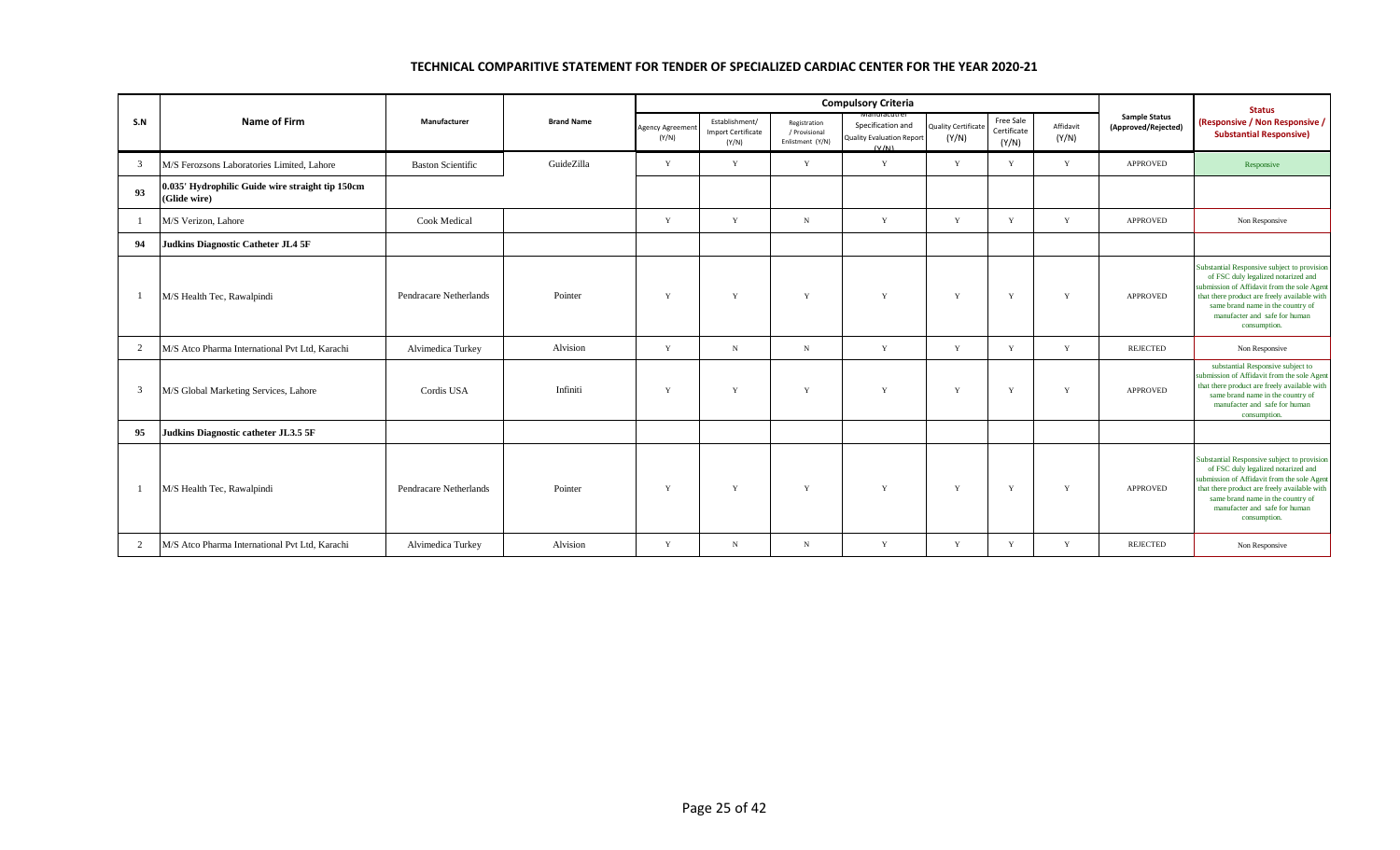|                |                                                                  |                          |                   |                          |                                                      |                                                   | <b>Compulsory Criteria</b>                                              |                                    |                                   |                    |                                             | <b>Status</b>                                                                                                                                                                                                                                                           |
|----------------|------------------------------------------------------------------|--------------------------|-------------------|--------------------------|------------------------------------------------------|---------------------------------------------------|-------------------------------------------------------------------------|------------------------------------|-----------------------------------|--------------------|---------------------------------------------|-------------------------------------------------------------------------------------------------------------------------------------------------------------------------------------------------------------------------------------------------------------------------|
| S.N            | Name of Firm                                                     | Manufacturer             | <b>Brand Name</b> | Agency Agreemen<br>(Y/N) | Establishment/<br><b>Import Certificate</b><br>(Y/N) | Registration<br>/ Provisional<br>Enlistment (Y/N) | vianuracutri<br>Specification and<br>Quality Evaluation Report<br>(V/N) | <b>Quality Certificat</b><br>(Y/N) | Free Sale<br>Certificate<br>(Y/N) | Affidavit<br>(Y/N) | <b>Sample Status</b><br>(Approved/Rejected) | (Responsive / Non Responsive /<br><b>Substantial Responsive)</b>                                                                                                                                                                                                        |
| 3              | M/S Ferozsons Laboratories Limited, Lahore                       | <b>Baston Scientific</b> | GuideZilla        | Y                        | Y                                                    | Y                                                 | Y                                                                       | Y                                  | Y                                 | Y                  | <b>APPROVED</b>                             | Responsive                                                                                                                                                                                                                                                              |
| 93             | 0.035' Hydrophilic Guide wire straight tip 150cm<br>(Glide wire) |                          |                   |                          |                                                      |                                                   |                                                                         |                                    |                                   |                    |                                             |                                                                                                                                                                                                                                                                         |
| -1             | M/S Verizon, Lahore                                              | <b>Cook Medical</b>      |                   | Y                        | Y                                                    | $_{\rm N}$                                        | Y                                                                       | Y                                  | Y                                 | Y                  | <b>APPROVED</b>                             | Non Responsive                                                                                                                                                                                                                                                          |
| 94             | <b>Judkins Diagnostic Catheter JL4 5F</b>                        |                          |                   |                          |                                                      |                                                   |                                                                         |                                    |                                   |                    |                                             |                                                                                                                                                                                                                                                                         |
| -1             | M/S Health Tec, Rawalpindi                                       | Pendracare Netherlands   | Pointer           | $\mathbf{v}$             | Y                                                    | $\mathbf{Y}$                                      | Y                                                                       | Y                                  | Y                                 | Y                  | <b>APPROVED</b>                             | Substantial Responsive subject to provision<br>of FSC duly legalized notarized and<br>submission of Affidavit from the sole Agent<br>that there product are freely available with<br>same brand name in the country of<br>manufacter and safe for human<br>consumption. |
| 2              | M/S Atco Pharma International Pvt Ltd, Karachi                   | Alvimedica Turkey        | Alvision          | Y                        | $_{\rm N}$                                           | N                                                 | Y                                                                       | Y                                  | Y                                 | Y                  | REJECTED                                    | Non Responsive                                                                                                                                                                                                                                                          |
| 3              | M/S Global Marketing Services, Lahore                            | Cordis USA               | Infiniti          | v                        | Y                                                    | $\mathbf{v}$                                      | Y                                                                       | $\mathbf{v}$                       | Y                                 | Y                  | <b>APPROVED</b>                             | substantial Responsive subject to<br>submission of Affidavit from the sole Agent<br>that there product are freely available with<br>same brand name in the country of<br>manufacter and safe for human<br>consumption.                                                  |
| 95             | Judkins Diagnostic catheter JL3.5 5F                             |                          |                   |                          |                                                      |                                                   |                                                                         |                                    |                                   |                    |                                             |                                                                                                                                                                                                                                                                         |
| $\overline{1}$ | M/S Health Tec, Rawalpindi                                       | Pendracare Netherlands   | Pointer           | $\mathbf{v}$             | Y                                                    | $\mathbf{Y}$                                      | Y                                                                       | Y                                  | Y                                 | Y                  | <b>APPROVED</b>                             | Substantial Responsive subject to provision<br>of FSC duly legalized notarized and<br>submission of Affidavit from the sole Agent<br>that there product are freely available with<br>same brand name in the country of<br>manufacter and safe for human<br>consumption. |
| $\overline{2}$ | M/S Atco Pharma International Pvt Ltd, Karachi                   | Alvimedica Turkey        | Alvision          | $\mathbf{v}$             | $_{\rm N}$                                           | $_{\rm N}$                                        | Y                                                                       | Y                                  | Y                                 | Y                  | REJECTED                                    | Non Responsive                                                                                                                                                                                                                                                          |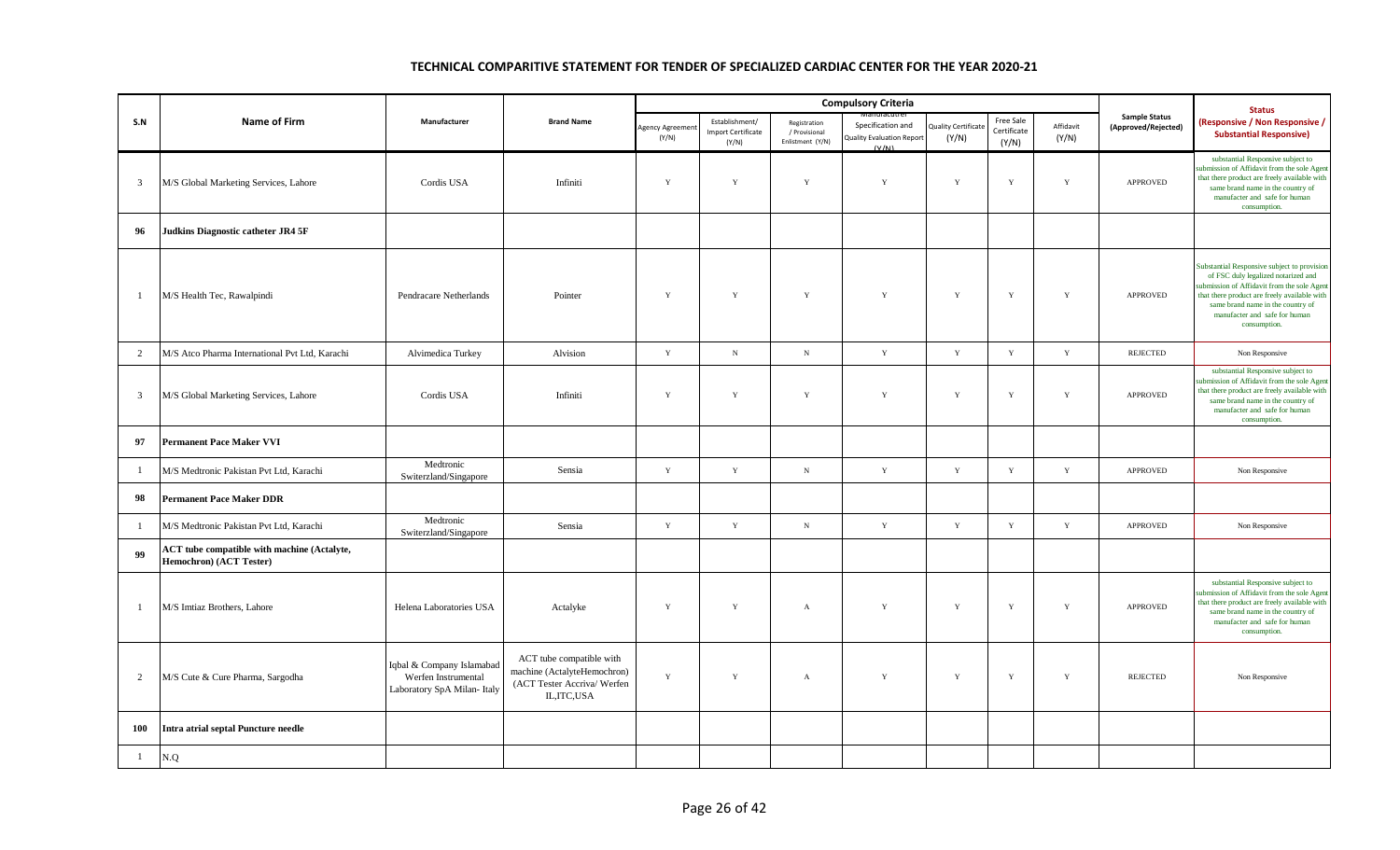|                         |                                                                               |                                                                                 |                                                                                                        |                        |                                                      |                                                   | <b>Compulsory Criteria</b>                                     |                                    |                                   |                    |                                             | <b>Status</b>                                                                                                                                                                                                                                                          |
|-------------------------|-------------------------------------------------------------------------------|---------------------------------------------------------------------------------|--------------------------------------------------------------------------------------------------------|------------------------|------------------------------------------------------|---------------------------------------------------|----------------------------------------------------------------|------------------------------------|-----------------------------------|--------------------|---------------------------------------------|------------------------------------------------------------------------------------------------------------------------------------------------------------------------------------------------------------------------------------------------------------------------|
| S.N                     | <b>Name of Firm</b>                                                           | Manufacturer                                                                    | <b>Brand Name</b>                                                                                      | Agency Agreem<br>(Y/N) | Establishment/<br><b>Import Certificate</b><br>(Y/N) | Registration<br>/ Provisional<br>Enlistment (Y/N) | Specification and<br><b>Quality Evaluation Report</b><br>(V/N) | <b>Luality Certificat</b><br>(Y/N) | Free Sale<br>Certificate<br>(Y/N) | Affidavit<br>(Y/N) | <b>Sample Status</b><br>(Approved/Rejected) | <b>Responsive / Non Responsive /</b><br><b>Substantial Responsive)</b>                                                                                                                                                                                                 |
| $\overline{\mathbf{3}}$ | M/S Global Marketing Services, Lahore                                         | Cordis USA                                                                      | Infiniti                                                                                               | $\mathbf Y$            | Y                                                    | $\mathbf Y$                                       | $\mathbf Y$                                                    | Y                                  | $\mathbf Y$                       | $\mathbf Y$        | <b>APPROVED</b>                             | substantial Responsive subject to<br>abmission of Affidavit from the sole Agent<br>that there product are freely available with<br>same brand name in the country of<br>manufacter and safe for human<br>consumption.                                                  |
| 96                      | Judkins Diagnostic catheter JR4 5F                                            |                                                                                 |                                                                                                        |                        |                                                      |                                                   |                                                                |                                    |                                   |                    |                                             |                                                                                                                                                                                                                                                                        |
| $\mathbf{1}$            | M/S Health Tec, Rawalpindi                                                    | Pendracare Netherlands                                                          | Pointer                                                                                                | $\mathbf Y$            | $\mathbf Y$                                          | $\mathbf Y$                                       | $\mathbf Y$                                                    | $\mathbf Y$                        | $\mathbf Y$                       | $\mathbf Y$        | APPROVED                                    | Substantial Responsive subject to provision<br>of FSC duly legalized notarized and<br>ubmission of Affidavit from the sole Agent<br>that there product are freely available with<br>same brand name in the country of<br>manufacter and safe for human<br>consumption. |
| 2                       | M/S Atco Pharma International Pvt Ltd, Karachi                                | Alvimedica Turkey                                                               | Alvision                                                                                               | $\mathbf Y$            | $_{\rm N}$                                           | ${\bf N}$                                         | $\mathbf Y$                                                    | $\mathbf Y$                        | $\mathbf Y$                       | $\mathbf Y$        | <b>REJECTED</b>                             | Non Responsive                                                                                                                                                                                                                                                         |
| $\overline{\mathbf{3}}$ | M/S Global Marketing Services, Lahore                                         | Cordis USA                                                                      | Infiniti                                                                                               | Y                      | Y                                                    | Y                                                 | Y                                                              | Y                                  | Y                                 | Y                  | <b>APPROVED</b>                             | substantial Responsive subject to<br>ubmission of Affidavit from the sole Agent<br>that there product are freely available with<br>same brand name in the country of<br>manufacter and safe for human<br>consumption.                                                  |
| 97                      | <b>Permanent Pace Maker VVI</b>                                               |                                                                                 |                                                                                                        |                        |                                                      |                                                   |                                                                |                                    |                                   |                    |                                             |                                                                                                                                                                                                                                                                        |
| 1                       | M/S Medtronic Pakistan Pvt Ltd, Karachi                                       | Medtronic<br>Switerzland/Singapore                                              | Sensia                                                                                                 | Y                      | $\mathbf Y$                                          | ${\bf N}$                                         | Y                                                              | $\mathbf Y$                        | $\mathbf Y$                       | $\mathbf Y$        | <b>APPROVED</b>                             | Non Responsive                                                                                                                                                                                                                                                         |
| 98                      | <b>Permanent Pace Maker DDR</b>                                               |                                                                                 |                                                                                                        |                        |                                                      |                                                   |                                                                |                                    |                                   |                    |                                             |                                                                                                                                                                                                                                                                        |
| -1                      | M/S Medtronic Pakistan Pvt Ltd, Karachi                                       | Medtronic<br>Switerzland/Singapore                                              | Sensia                                                                                                 | $\mathbf Y$            | $\mathbf Y$                                          | ${\bf N}$                                         | $\mathbf Y$                                                    | $\mathbf Y$                        | $\mathbf Y$                       | $\mathbf Y$        | APPROVED                                    | Non Responsive                                                                                                                                                                                                                                                         |
| 99                      | <b>ACT</b> tube compatible with machine (Actalyte,<br>Hemochron) (ACT Tester) |                                                                                 |                                                                                                        |                        |                                                      |                                                   |                                                                |                                    |                                   |                    |                                             |                                                                                                                                                                                                                                                                        |
| $\mathbf{1}$            | M/S Imtiaz Brothers, Lahore                                                   | Helena Laboratories USA                                                         | Actalyke                                                                                               | $\mathbf Y$            | $\mathbf Y$                                          | $\,$ A                                            | $\mathbf Y$                                                    | $\mathbf Y$                        | $\mathbf Y$                       | $\mathbf Y$        | <b>APPROVED</b>                             | substantial Responsive subject to<br>abmission of Affidavit from the sole Agent<br>that there product are freely available with<br>same brand name in the country of<br>manufacter and safe for human<br>consumption.                                                  |
| $\overline{2}$          | M/S Cute & Cure Pharma, Sargodha                                              | Iqbal & Company Islamabad<br>Werfen Instrumental<br>Laboratory SpA Milan- Italy | ACT tube compatible with<br>machine (ActalyteHemochron)<br>(ACT Tester Accriva/ Werfen<br>IL, ITC, USA | Y                      | $\mathbf Y$                                          | $\mathbf{A}$                                      | $\mathbf Y$                                                    | $\mathbf Y$                        | $\mathbf Y$                       | $\mathbf Y$        | <b>REJECTED</b>                             | Non Responsive                                                                                                                                                                                                                                                         |
| 100                     | <b>Intra atrial septal Puncture needle</b>                                    |                                                                                 |                                                                                                        |                        |                                                      |                                                   |                                                                |                                    |                                   |                    |                                             |                                                                                                                                                                                                                                                                        |
| $\mathbf{1}$            | N.Q                                                                           |                                                                                 |                                                                                                        |                        |                                                      |                                                   |                                                                |                                    |                                   |                    |                                             |                                                                                                                                                                                                                                                                        |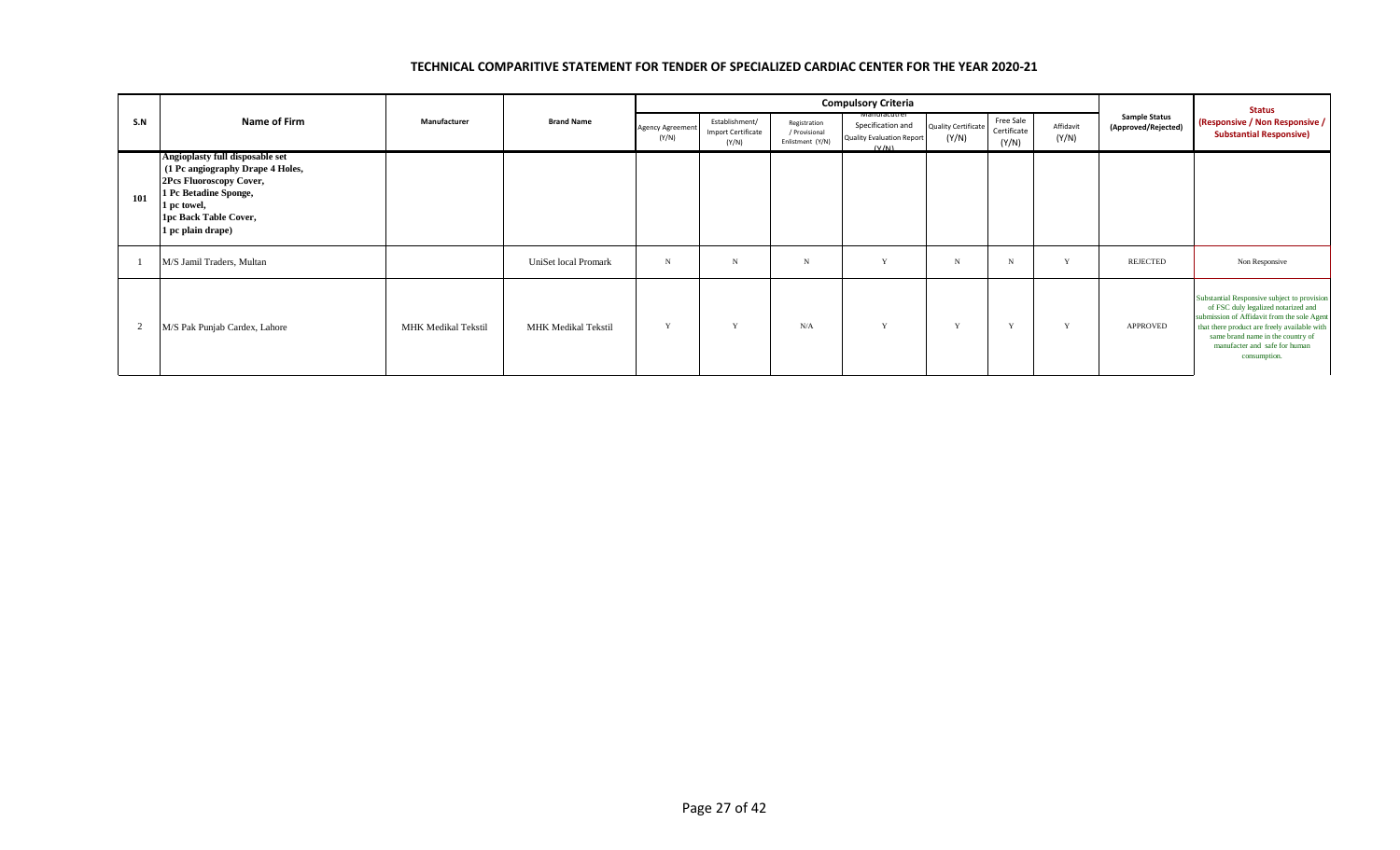|     |                                                                                                                                                                                      |                            |                      |                           |                                               |                                                   | <b>Compulsory Criteria</b>                                                            |                              |                                   |                    |                                             | <b>Status</b>                                                                                                                                                                                                                                                           |
|-----|--------------------------------------------------------------------------------------------------------------------------------------------------------------------------------------|----------------------------|----------------------|---------------------------|-----------------------------------------------|---------------------------------------------------|---------------------------------------------------------------------------------------|------------------------------|-----------------------------------|--------------------|---------------------------------------------|-------------------------------------------------------------------------------------------------------------------------------------------------------------------------------------------------------------------------------------------------------------------------|
| S.N | Name of Firm                                                                                                                                                                         | Manufacturer               | <b>Brand Name</b>    | Agency Agreement<br>(Y/N) | Establishment/<br>Import Certificate<br>(Y/N) | Registration<br>/ Provisional<br>Enlistment (Y/N) | <b>Manufacutrer</b><br>Specification and<br><b>Quality Evaluation Report</b><br>(V/N) | Quality Certificate<br>(Y/N) | Free Sale<br>Certificate<br>(Y/N) | Affidavit<br>(Y/N) | <b>Sample Status</b><br>(Approved/Rejected) | (Responsive / Non Responsive /<br><b>Substantial Responsive)</b>                                                                                                                                                                                                        |
| 101 | Angioplasty full disposable set<br>(1 Pc angiography Drape 4 Holes,<br>2Pcs Fluoroscopy Cover,<br>1 Pc Betadine Sponge,<br>1 pc towel,<br>1pc Back Table Cover,<br>1 pc plain drape) |                            |                      |                           |                                               |                                                   |                                                                                       |                              |                                   |                    |                                             |                                                                                                                                                                                                                                                                         |
|     | M/S Jamil Traders, Multan                                                                                                                                                            |                            | UniSet local Promark | N                         | N                                             | $_{\rm N}$                                        | $\mathbf{v}$                                                                          | N                            | N                                 | $\mathbf{v}$       | REJECTED                                    | Non Responsive                                                                                                                                                                                                                                                          |
|     | M/S Pak Punjab Cardex, Lahore                                                                                                                                                        | <b>MHK Medikal Tekstil</b> | MHK Medikal Tekstil  | $\mathbf{v}$              | v                                             | N/A                                               | v                                                                                     | $\mathbf{v}$                 | $\mathbf{v}$                      | Y                  | APPROVED                                    | Substantial Responsive subject to provision<br>of FSC duly legalized notarized and<br>submission of Affidavit from the sole Agent<br>that there product are freely available with<br>same brand name in the country of<br>manufacter and safe for human<br>consumption. |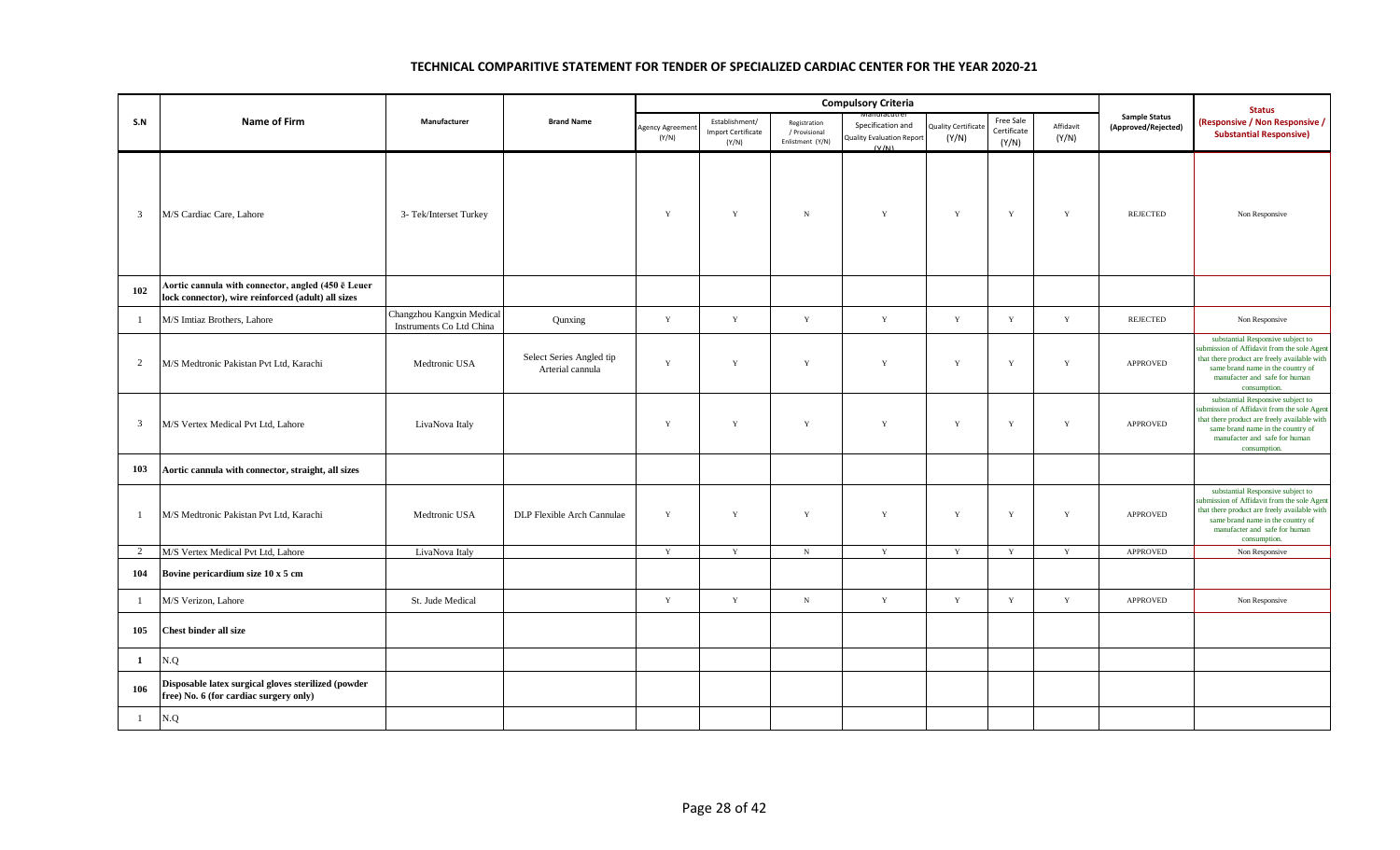|                |                                                                                                          |                                                       |                                              |                          |                                                      | <b>Compulsory Criteria</b>                        |                                                                |                                     |                                   |                    | <b>Status</b>                               |                                                                                                                                                                                                                        |
|----------------|----------------------------------------------------------------------------------------------------------|-------------------------------------------------------|----------------------------------------------|--------------------------|------------------------------------------------------|---------------------------------------------------|----------------------------------------------------------------|-------------------------------------|-----------------------------------|--------------------|---------------------------------------------|------------------------------------------------------------------------------------------------------------------------------------------------------------------------------------------------------------------------|
| S.N            | <b>Name of Firm</b>                                                                                      | Manufacturer                                          | <b>Brand Name</b>                            | Agency Agreemer<br>(Y/N) | Establishment/<br><b>Import Certificate</b><br>(Y/N) | Registration<br>/ Provisional<br>Enlistment (Y/N) | Specification and<br><b>Quality Evaluation Report</b><br>(V/M) | <b>Quality Certificate</b><br>(Y/N) | Free Sale<br>Certificate<br>(Y/N) | Affidavit<br>(Y/N) | <b>Sample Status</b><br>(Approved/Rejected) | (Responsive / Non Responsive /<br><b>Substantial Responsive)</b>                                                                                                                                                       |
| $\overline{3}$ | M/S Cardiac Care, Lahore                                                                                 | 3- Tek/Interset Turkey                                |                                              | $\mathbf Y$              | Y                                                    | ${\bf N}$                                         | Y                                                              | Y                                   | $\mathbf Y$                       | Y                  | <b>REJECTED</b>                             | Non Responsive                                                                                                                                                                                                         |
| 102            | Aortic cannula with connector, angled (450 ē Leuer<br>lock connector), wire reinforced (adult) all sizes |                                                       |                                              |                          |                                                      |                                                   |                                                                |                                     |                                   |                    |                                             |                                                                                                                                                                                                                        |
| -1             | M/S Imtiaz Brothers, Lahore                                                                              | Changzhou Kangxin Medical<br>Instruments Co Ltd China | Qunxing                                      | $\mathbf Y$              | $\mathbf Y$                                          | $\mathbf Y$                                       | $\mathbf Y$                                                    | $\mathbf Y$                         | $\mathbf Y$                       | Y                  | <b>REJECTED</b>                             | Non Responsive                                                                                                                                                                                                         |
| 2              | M/S Medtronic Pakistan Pvt Ltd, Karachi                                                                  | Medtronic USA                                         | Select Series Angled tip<br>Arterial cannula | $\mathbf Y$              | $\mathbf Y$                                          | $\mathbf Y$                                       | $\mathbf Y$                                                    | $\mathbf Y$                         | $\mathbf Y$                       | $\mathbf Y$        | APPROVED                                    | substantial Responsive subject to<br>submission of Affidavit from the sole Agent<br>that there product are freely available with<br>same brand name in the country of<br>manufacter and safe for human<br>consumption. |
| $\overline{3}$ | M/S Vertex Medical Pvt Ltd, Lahore                                                                       | LivaNova Italy                                        |                                              | $\mathbf Y$              | $\mathbf Y$                                          | $\mathbf Y$                                       | $\mathbf Y$                                                    | $\mathbf Y$                         | $\mathbf Y$                       | $\mathbf Y$        | APPROVED                                    | substantial Responsive subject to<br>submission of Affidavit from the sole Agent<br>that there product are freely available with<br>same brand name in the country of<br>manufacter and safe for human<br>consumption. |
| 103            | Aortic cannula with connector, straight, all sizes                                                       |                                                       |                                              |                          |                                                      |                                                   |                                                                |                                     |                                   |                    |                                             |                                                                                                                                                                                                                        |
|                | M/S Medtronic Pakistan Pvt Ltd, Karachi                                                                  | Medtronic USA                                         | DLP Flexible Arch Cannulae                   | Y                        | Y                                                    | $\mathbf Y$                                       | $\mathbf Y$                                                    | Y                                   | Y                                 | Y                  | APPROVED                                    | substantial Responsive subject to<br>submission of Affidavit from the sole Agen<br>that there product are freely available with<br>same brand name in the country of<br>manufacter and safe for human<br>consumption.  |
| 2              | M/S Vertex Medical Pvt Ltd, Lahore                                                                       | LivaNova Italy                                        |                                              | Y                        | $\mathbf Y$                                          | $\,$ N                                            | Y                                                              | $\mathbf Y$                         | $\mathbf Y$                       | $\mathbf Y$        | <b>APPROVED</b>                             | Non Responsive                                                                                                                                                                                                         |
| 104            | Bovine pericardium size 10 x 5 cm                                                                        |                                                       |                                              |                          |                                                      |                                                   |                                                                |                                     |                                   |                    |                                             |                                                                                                                                                                                                                        |
|                | M/S Verizon, Lahore                                                                                      | St. Jude Medical                                      |                                              | $\mathbf Y$              | $\mathbf Y$                                          | ${\bf N}$                                         | $\mathbf Y$                                                    | $\mathbf Y$                         | $\mathbf Y$                       | $\mathbf Y$        | APPROVED                                    | Non Responsive                                                                                                                                                                                                         |
| 105            | <b>Chest binder all size</b>                                                                             |                                                       |                                              |                          |                                                      |                                                   |                                                                |                                     |                                   |                    |                                             |                                                                                                                                                                                                                        |
| $\mathbf{1}$   | N.Q                                                                                                      |                                                       |                                              |                          |                                                      |                                                   |                                                                |                                     |                                   |                    |                                             |                                                                                                                                                                                                                        |
| 106            | Disposable latex surgical gloves sterilized (powder<br>free) No. 6 (for cardiac surgery only)            |                                                       |                                              |                          |                                                      |                                                   |                                                                |                                     |                                   |                    |                                             |                                                                                                                                                                                                                        |
| $\mathbf{1}$   | N.Q                                                                                                      |                                                       |                                              |                          |                                                      |                                                   |                                                                |                                     |                                   |                    |                                             |                                                                                                                                                                                                                        |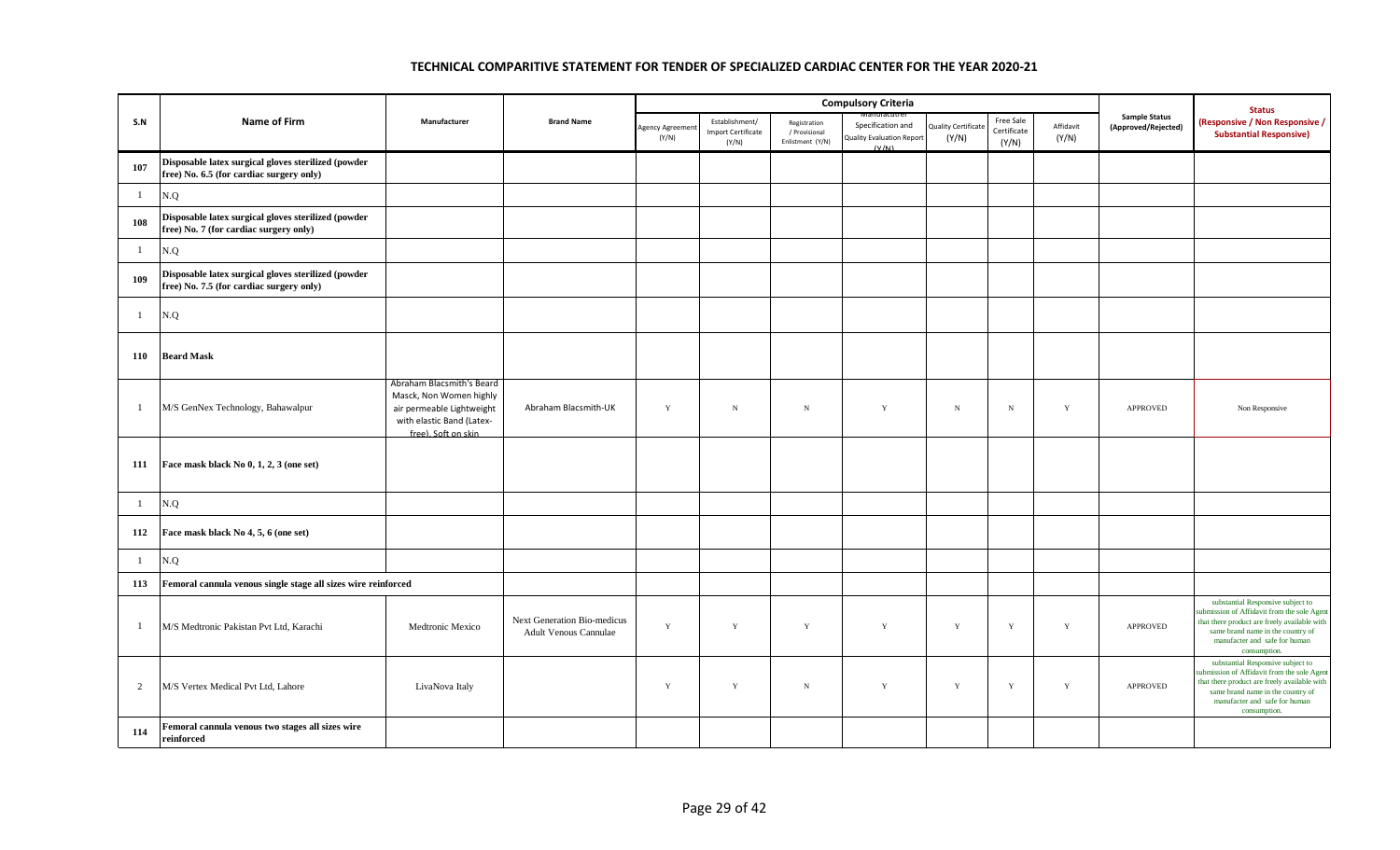|                |                                                                                                 |                                                                                                                                       |                                                             |                         |                                                      |                                                   | <b>Compulsory Criteria</b>                              |                              |                                   |                    |                                             | <b>Status</b>                                                                                                                                                                                                          |
|----------------|-------------------------------------------------------------------------------------------------|---------------------------------------------------------------------------------------------------------------------------------------|-------------------------------------------------------------|-------------------------|------------------------------------------------------|---------------------------------------------------|---------------------------------------------------------|------------------------------|-----------------------------------|--------------------|---------------------------------------------|------------------------------------------------------------------------------------------------------------------------------------------------------------------------------------------------------------------------|
| S.N            | Name of Firm                                                                                    | Manufacturer                                                                                                                          | <b>Brand Name</b>                                           | Agency Agreeme<br>(Y/N) | Establishment/<br><b>Import Certificate</b><br>(Y/N) | Registration<br>/ Provisional<br>Enlistment (Y/N) | Specification and<br>Quality Evaluation Report<br>(V/M) | luality Certificate<br>(Y/N) | Free Sale<br>Certificate<br>(Y/N) | Affidavit<br>(Y/N) | <b>Sample Status</b><br>(Approved/Rejected) | (Responsive / Non Responsive /<br><b>Substantial Responsive)</b>                                                                                                                                                       |
| 107            | Disposable latex surgical gloves sterilized (powder<br>free) No. 6.5 (for cardiac surgery only) |                                                                                                                                       |                                                             |                         |                                                      |                                                   |                                                         |                              |                                   |                    |                                             |                                                                                                                                                                                                                        |
| $\mathbf{1}$   | N.Q                                                                                             |                                                                                                                                       |                                                             |                         |                                                      |                                                   |                                                         |                              |                                   |                    |                                             |                                                                                                                                                                                                                        |
| 108            | Disposable latex surgical gloves sterilized (powder<br>free) No. 7 (for cardiac surgery only)   |                                                                                                                                       |                                                             |                         |                                                      |                                                   |                                                         |                              |                                   |                    |                                             |                                                                                                                                                                                                                        |
| $\mathbf{1}$   | N.Q                                                                                             |                                                                                                                                       |                                                             |                         |                                                      |                                                   |                                                         |                              |                                   |                    |                                             |                                                                                                                                                                                                                        |
| 109            | Disposable latex surgical gloves sterilized (powder<br>free) No. 7.5 (for cardiac surgery only) |                                                                                                                                       |                                                             |                         |                                                      |                                                   |                                                         |                              |                                   |                    |                                             |                                                                                                                                                                                                                        |
| $\mathbf{1}$   | N.Q                                                                                             |                                                                                                                                       |                                                             |                         |                                                      |                                                   |                                                         |                              |                                   |                    |                                             |                                                                                                                                                                                                                        |
| 110            | <b>Beard Mask</b>                                                                               |                                                                                                                                       |                                                             |                         |                                                      |                                                   |                                                         |                              |                                   |                    |                                             |                                                                                                                                                                                                                        |
| $\mathbf{1}$   | M/S GenNex Technology, Bahawalpur                                                               | Abraham Blacsmith's Beard<br>Masck, Non Women highly<br>air permeable Lightweight<br>with elastic Band (Latex-<br>free). Soft on skin | Abraham Blacsmith-UK                                        | $\mathbf Y$             | $_{\rm N}$                                           | ${\bf N}$                                         | Y                                                       | ${\bf N}$                    | $_{\rm N}$                        | $\mathbf Y$        | <b>APPROVED</b>                             | Non Responsive                                                                                                                                                                                                         |
| 111            | Face mask black No 0, 1, 2, 3 (one set)                                                         |                                                                                                                                       |                                                             |                         |                                                      |                                                   |                                                         |                              |                                   |                    |                                             |                                                                                                                                                                                                                        |
| $\mathbf{1}$   | N.Q                                                                                             |                                                                                                                                       |                                                             |                         |                                                      |                                                   |                                                         |                              |                                   |                    |                                             |                                                                                                                                                                                                                        |
| 112            | Face mask black No 4, 5, 6 (one set)                                                            |                                                                                                                                       |                                                             |                         |                                                      |                                                   |                                                         |                              |                                   |                    |                                             |                                                                                                                                                                                                                        |
| $\mathbf{1}$   | N.Q                                                                                             |                                                                                                                                       |                                                             |                         |                                                      |                                                   |                                                         |                              |                                   |                    |                                             |                                                                                                                                                                                                                        |
| 113            | Femoral cannula venous single stage all sizes wire reinforced                                   |                                                                                                                                       |                                                             |                         |                                                      |                                                   |                                                         |                              |                                   |                    |                                             |                                                                                                                                                                                                                        |
| $\mathbf{1}$   | M/S Medtronic Pakistan Pvt Ltd, Karachi                                                         | Medtronic Mexico                                                                                                                      | Next Generation Bio-medicus<br><b>Adult Venous Cannulae</b> | $\mathbf Y$             | $\mathbf Y$                                          | $\mathbf Y$                                       | $\mathbf Y$                                             | $\mathbf Y$                  | $\mathbf Y$                       | $\mathbf Y$        | APPROVED                                    | substantial Responsive subject to<br>submission of Affidavit from the sole Agent<br>that there product are freely available with<br>same brand name in the country of<br>manufacter and safe for human<br>consumption. |
| $\overline{2}$ | M/S Vertex Medical Pvt Ltd, Lahore                                                              | LivaNova Italy                                                                                                                        |                                                             | $\mathbf Y$             | Y                                                    | $_{\rm N}$                                        | $\mathbf Y$                                             | Y                            | Y                                 | $\mathbf Y$        | APPROVED                                    | substantial Responsive subject to<br>submission of Affidavit from the sole Agent<br>that there product are freely available with<br>same brand name in the country of<br>manufacter and safe for human<br>consumption. |
| 114            | Femoral cannula venous two stages all sizes wire<br>reinforced                                  |                                                                                                                                       |                                                             |                         |                                                      |                                                   |                                                         |                              |                                   |                    |                                             |                                                                                                                                                                                                                        |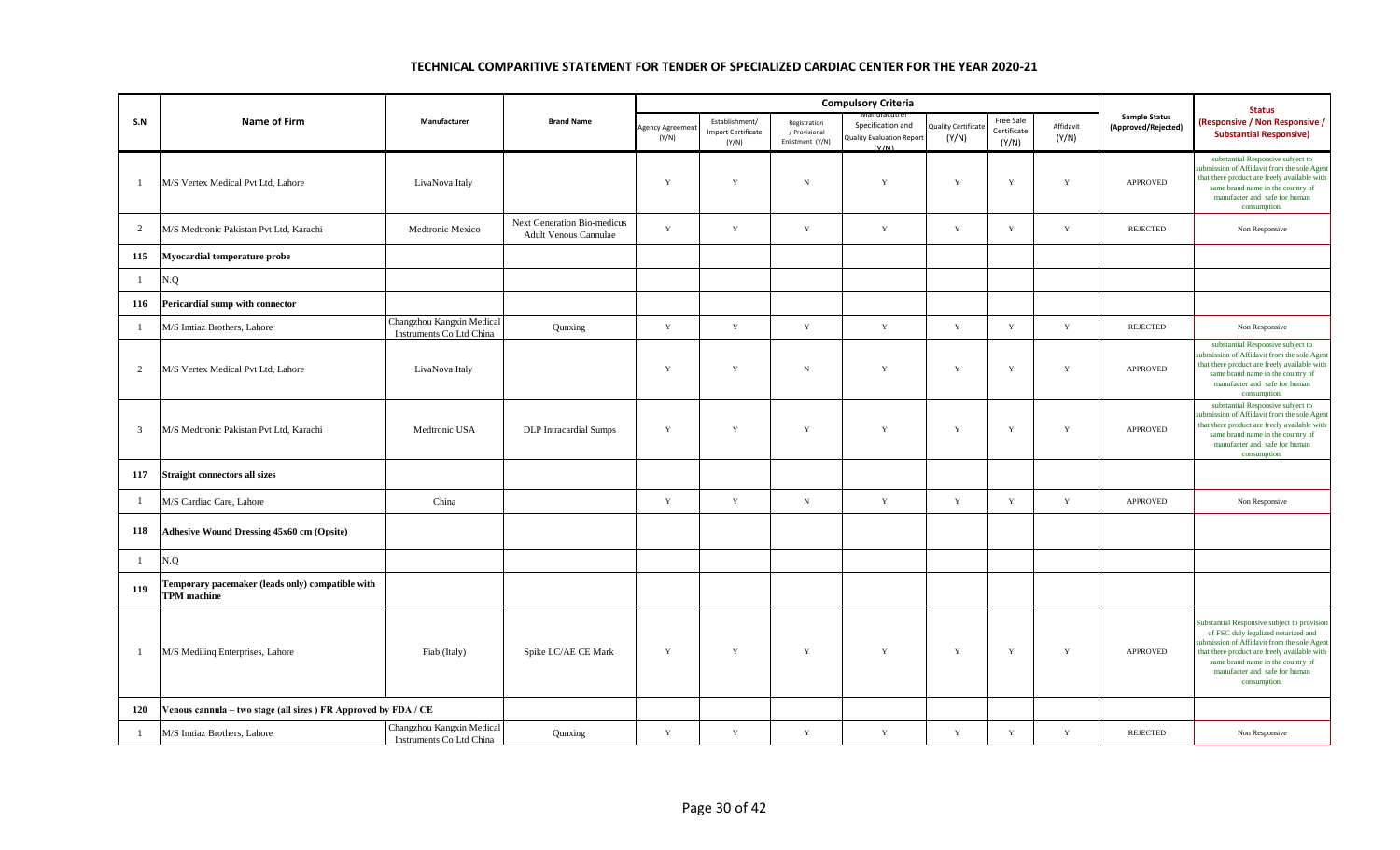|                |                                                                        |                                                       |                                                             |                          |                                                      |                                                   | <b>Compulsory Criteria</b>                                     |                                    |                                   |                    |                                             | <b>Status</b>                                                                                                                                                                                                                                                           |
|----------------|------------------------------------------------------------------------|-------------------------------------------------------|-------------------------------------------------------------|--------------------------|------------------------------------------------------|---------------------------------------------------|----------------------------------------------------------------|------------------------------------|-----------------------------------|--------------------|---------------------------------------------|-------------------------------------------------------------------------------------------------------------------------------------------------------------------------------------------------------------------------------------------------------------------------|
| S.N            | <b>Name of Firm</b>                                                    | Manufacturer                                          | <b>Brand Name</b>                                           | Agency Agreemen<br>(Y/N) | Establishment/<br><b>Import Certificate</b><br>(Y/N) | Registration<br>/ Provisional<br>Enlistment (Y/N) | Specification and<br><b>Quality Evaluation Report</b><br>(V/N) | <b>Quality Certificat</b><br>(Y/N) | Free Sale<br>Certificate<br>(Y/N) | Affidavit<br>(Y/N) | <b>Sample Status</b><br>(Approved/Rejected) | (Responsive / Non Responsive /<br><b>Substantial Responsive)</b>                                                                                                                                                                                                        |
| -1             | M/S Vertex Medical Pvt Ltd. Lahore                                     | LivaNova Italy                                        |                                                             | Y                        | Y                                                    | $_{\rm N}$                                        | $\mathbf Y$                                                    | Y                                  | Y                                 | $\mathbf Y$        | APPROVED                                    | substantial Responsive subject to<br>submission of Affidavit from the sole Agent<br>that there product are freely available with<br>same brand name in the country of<br>manufacter and safe for human<br>consumption.                                                  |
| 2              | M/S Medtronic Pakistan Pvt Ltd, Karachi                                | Medtronic Mexico                                      | Next Generation Bio-medicus<br><b>Adult Venous Cannulae</b> | $\mathbf Y$              | $\mathbf Y$                                          | $\mathbf Y$                                       | $\mathbf Y$                                                    | $\mathbf Y$                        | $\mathbf Y$                       | $\mathbf Y$        | <b>REJECTED</b>                             | Non Responsive                                                                                                                                                                                                                                                          |
| 115            | Myocardial temperature probe                                           |                                                       |                                                             |                          |                                                      |                                                   |                                                                |                                    |                                   |                    |                                             |                                                                                                                                                                                                                                                                         |
| -1             | N.Q                                                                    |                                                       |                                                             |                          |                                                      |                                                   |                                                                |                                    |                                   |                    |                                             |                                                                                                                                                                                                                                                                         |
| 116            | Pericardial sump with connector                                        |                                                       |                                                             |                          |                                                      |                                                   |                                                                |                                    |                                   |                    |                                             |                                                                                                                                                                                                                                                                         |
| -1             | M/S Imtiaz Brothers, Lahore                                            | Changzhou Kangxin Medical<br>Instruments Co Ltd China | Qunxing                                                     | $\mathbf Y$              | $\mathbf Y$                                          | $\mathbf Y$                                       | $\mathbf Y$                                                    | $\mathbf Y$                        | $\mathbf Y$                       | $\mathbf Y$        | <b>REJECTED</b>                             | Non Responsive                                                                                                                                                                                                                                                          |
| 2              | M/S Vertex Medical Pvt Ltd, Lahore                                     | LivaNova Italy                                        |                                                             | Y                        | Y                                                    | $_{\rm N}$                                        | Y                                                              | Y                                  | Y                                 | Y                  | APPROVED                                    | substantial Responsive subject to<br>submission of Affidavit from the sole Agent<br>that there product are freely available with<br>same brand name in the country of<br>manufacter and safe for human<br>consumption.                                                  |
| $\overline{3}$ | M/S Medtronic Pakistan Pvt Ltd, Karachi                                | Medtronic USA                                         | <b>DLP</b> Intracardial Sumps                               | $\mathbf Y$              | $\mathbf Y$                                          | $\mathbf Y$                                       | $\mathbf Y$                                                    | $\mathbf Y$                        | $\mathbf Y$                       | $\mathbf Y$        | APPROVED                                    | substantial Responsive subject to<br>submission of Affidavit from the sole Agent<br>that there product are freely available with<br>same brand name in the country of<br>manufacter and safe for human<br>consumption.                                                  |
| 117            | <b>Straight connectors all sizes</b>                                   |                                                       |                                                             |                          |                                                      |                                                   |                                                                |                                    |                                   |                    |                                             |                                                                                                                                                                                                                                                                         |
| -1             | M/S Cardiac Care, Lahore                                               | China                                                 |                                                             | $\mathbf Y$              | $\mathbf Y$                                          | $\, {\bf N}$                                      | $\mathbf Y$                                                    | $\mathbf Y$                        | $\mathbf Y$                       | $\mathbf Y$        | APPROVED                                    | Non Responsive                                                                                                                                                                                                                                                          |
| 118            | <b>Adhesive Wound Dressing 45x60 cm (Opsite)</b>                       |                                                       |                                                             |                          |                                                      |                                                   |                                                                |                                    |                                   |                    |                                             |                                                                                                                                                                                                                                                                         |
| -1             | N.Q                                                                    |                                                       |                                                             |                          |                                                      |                                                   |                                                                |                                    |                                   |                    |                                             |                                                                                                                                                                                                                                                                         |
| 119            | Temporary pacemaker (leads only) compatible with<br><b>TPM</b> machine |                                                       |                                                             |                          |                                                      |                                                   |                                                                |                                    |                                   |                    |                                             |                                                                                                                                                                                                                                                                         |
| $\overline{1}$ | M/S Mediling Enterprises, Lahore                                       | Fiab (Italy)                                          | Spike LC/AE CE Mark                                         | $\mathbf Y$              | Y                                                    | $\mathbf Y$                                       | $\mathbf Y$                                                    | Y                                  | $\mathbf Y$                       | Y                  | APPROVED                                    | Substantial Responsive subject to provision<br>of FSC duly legalized notarized and<br>submission of Affidavit from the sole Agent<br>that there product are freely available with<br>same brand name in the country of<br>manufacter and safe for human<br>consumption. |
| 120            | Venous cannula - two stage (all sizes ) FR Approved by FDA / CE        |                                                       |                                                             |                          |                                                      |                                                   |                                                                |                                    |                                   |                    |                                             |                                                                                                                                                                                                                                                                         |
| -1             | M/S Imtiaz Brothers, Lahore                                            | Changzhou Kangxin Medical<br>Instruments Co Ltd China | Qunxing                                                     | $\mathbf Y$              | $\mathbf Y$                                          | $\mathbf Y$                                       | $\mathbf Y$                                                    | $\mathbf Y$                        | $\mathbf Y$                       | $\mathbf Y$        | <b>REJECTED</b>                             | Non Responsive                                                                                                                                                                                                                                                          |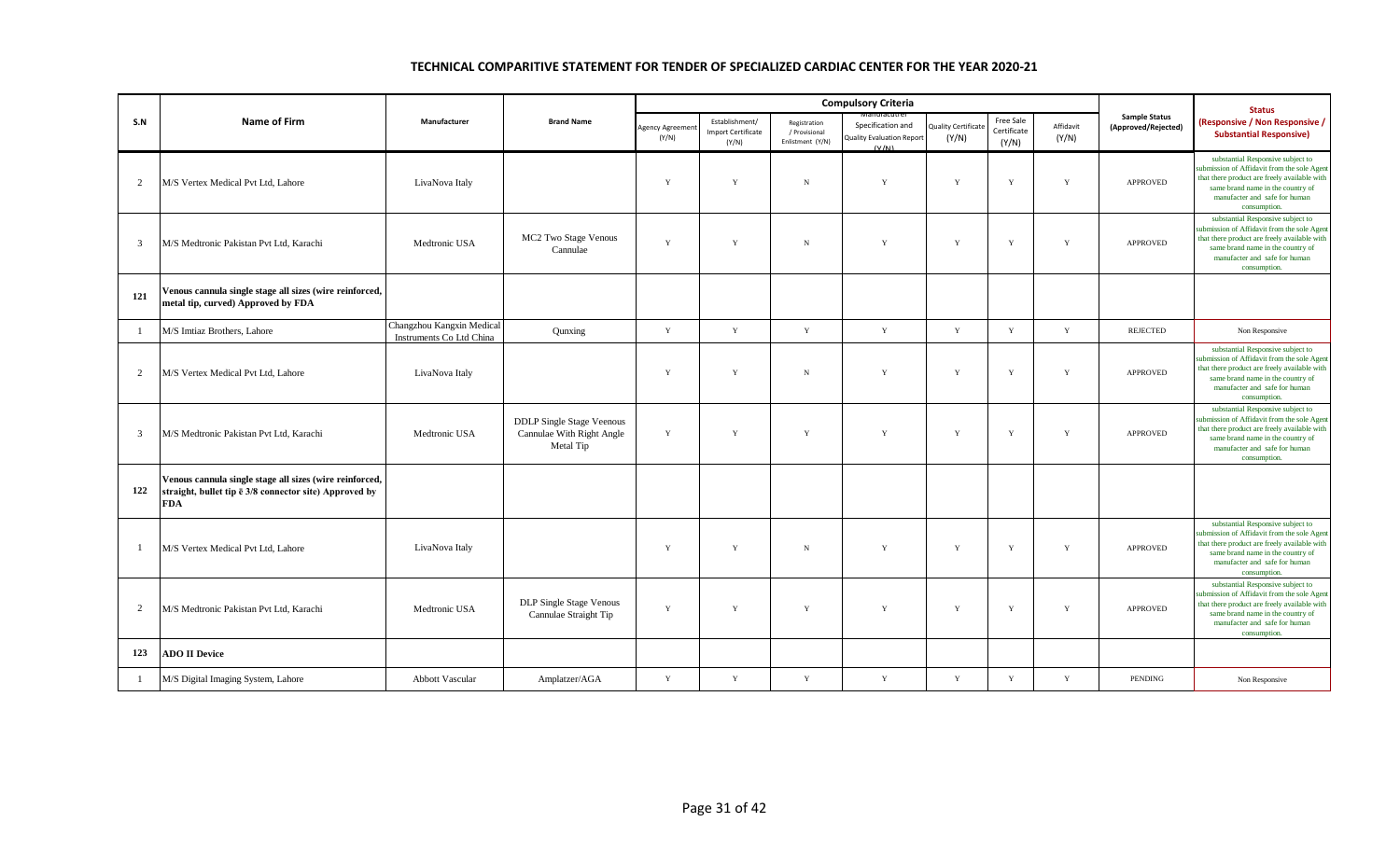|                |                                                                                                                                         |                                                       |                                                                            |                                |                                                      |                                                   | <b>Compulsory Criteria</b>                                     |                                     |                                   |                    |                                             | <b>Status</b>                                                                                                                                                                                                          |
|----------------|-----------------------------------------------------------------------------------------------------------------------------------------|-------------------------------------------------------|----------------------------------------------------------------------------|--------------------------------|------------------------------------------------------|---------------------------------------------------|----------------------------------------------------------------|-------------------------------------|-----------------------------------|--------------------|---------------------------------------------|------------------------------------------------------------------------------------------------------------------------------------------------------------------------------------------------------------------------|
| S.N            | <b>Name of Firm</b>                                                                                                                     | Manufacturer                                          | <b>Brand Name</b>                                                          | <b>Agency Agreeme</b><br>(Y/N) | Establishment/<br><b>Import Certificate</b><br>(Y/N) | Registration<br>/ Provisional<br>Enlistment (Y/N) | Specification and<br><b>Quality Evaluation Report</b><br>(V/N) | <b>Quality Certificate</b><br>(Y/N) | Free Sale<br>Certificate<br>(Y/N) | Affidavit<br>(Y/N) | <b>Sample Status</b><br>(Approved/Rejected) | (Responsive / Non Responsive /<br><b>Substantial Responsive)</b>                                                                                                                                                       |
| 2              | M/S Vertex Medical Pvt Ltd, Lahore                                                                                                      | LivaNova Italy                                        |                                                                            | Y                              | $\mathbf Y$                                          | $\,$ N                                            | $\mathbf Y$                                                    | Y                                   | $\mathbf Y$                       | Y                  | APPROVED                                    | substantial Responsive subject to<br>submission of Affidavit from the sole Agen<br>that there product are freely available with<br>same brand name in the country of<br>manufacter and safe for human<br>consumption.  |
| $\overline{3}$ | M/S Medtronic Pakistan Pvt Ltd. Karachi                                                                                                 | Medtronic USA                                         | MC2 Two Stage Venous<br>Cannulae                                           | Y                              | Y                                                    | $_{\rm N}$                                        | Y                                                              | Y                                   | Y                                 | Y                  | APPROVED                                    | substantial Responsive subject to<br>submission of Affidavit from the sole Agent<br>that there product are freely available with<br>same brand name in the country of<br>manufacter and safe for human<br>consumption. |
| 121            | Venous cannula single stage all sizes (wire reinforced,<br>metal tip, curved) Approved by FDA                                           |                                                       |                                                                            |                                |                                                      |                                                   |                                                                |                                     |                                   |                    |                                             |                                                                                                                                                                                                                        |
| $\overline{1}$ | M/S Imtiaz Brothers, Lahore                                                                                                             | Changzhou Kangxin Medical<br>Instruments Co Ltd China | Qunxing                                                                    | Y                              | $\mathbf Y$                                          | $\mathbf Y$                                       | Y                                                              | Y                                   | Y                                 | Y                  | <b>REJECTED</b>                             | Non Responsive                                                                                                                                                                                                         |
| 2              | M/S Vertex Medical Pvt Ltd. Lahore                                                                                                      | LivaNova Italy                                        |                                                                            | Y                              | $\mathbf Y$                                          | $\,$ N                                            | $\mathbf Y$                                                    | Y                                   | Y                                 | Y                  | <b>APPROVED</b>                             | substantial Responsive subject to<br>submission of Affidavit from the sole Agent<br>that there product are freely available with<br>same brand name in the country of<br>manufacter and safe for human<br>consumption. |
| 3              | M/S Medtronic Pakistan Pvt Ltd, Karachi                                                                                                 | Medtronic USA                                         | <b>DDLP</b> Single Stage Veenous<br>Cannulae With Right Angle<br>Metal Tip | $\mathbf Y$                    | $\mathbf Y$                                          | $\mathbf Y$                                       | $\mathbf Y$                                                    | $\mathbf Y$                         | $\mathbf Y$                       | Y                  | APPROVED                                    | substantial Responsive subject to<br>submission of Affidavit from the sole Agent<br>that there product are freely available with<br>same brand name in the country of<br>manufacter and safe for human<br>consumption. |
| 122            | Venous cannula single stage all sizes (wire reinforced,<br>straight, bullet tip $\bar{e}$ 3/8 connector site) Approved by<br><b>FDA</b> |                                                       |                                                                            |                                |                                                      |                                                   |                                                                |                                     |                                   |                    |                                             |                                                                                                                                                                                                                        |
| $\overline{1}$ | M/S Vertex Medical Pvt Ltd, Lahore                                                                                                      | LivaNova Italy                                        |                                                                            | Y                              | Y                                                    | $_{\rm N}$                                        | Y                                                              | Y                                   | Y                                 | Y                  | <b>APPROVED</b>                             | substantial Responsive subject to<br>submission of Affidavit from the sole Agent<br>that there product are freely available with<br>same brand name in the country of<br>manufacter and safe for human<br>consumption. |
| 2              | M/S Medtronic Pakistan Pvt Ltd. Karachi                                                                                                 | Medtronic USA                                         | DLP Single Stage Venous<br>Cannulae Straight Tip                           | Y                              | Y                                                    | Y                                                 | Y                                                              | Y                                   | Y                                 | Y                  | APPROVED                                    | substantial Responsive subject to<br>submission of Affidavit from the sole Agen<br>that there product are freely available with<br>same brand name in the country of<br>manufacter and safe for human<br>consumption.  |
| 123            | <b>ADO II Device</b>                                                                                                                    |                                                       |                                                                            |                                |                                                      |                                                   |                                                                |                                     |                                   |                    |                                             |                                                                                                                                                                                                                        |
|                | M/S Digital Imaging System, Lahore                                                                                                      | <b>Abbott Vascular</b>                                | Amplatzer/AGA                                                              | $\mathbf Y$                    | Y                                                    | $\mathbf{Y}$                                      | Y                                                              | Y                                   | Y                                 | Y                  | <b>PENDING</b>                              | Non Responsive                                                                                                                                                                                                         |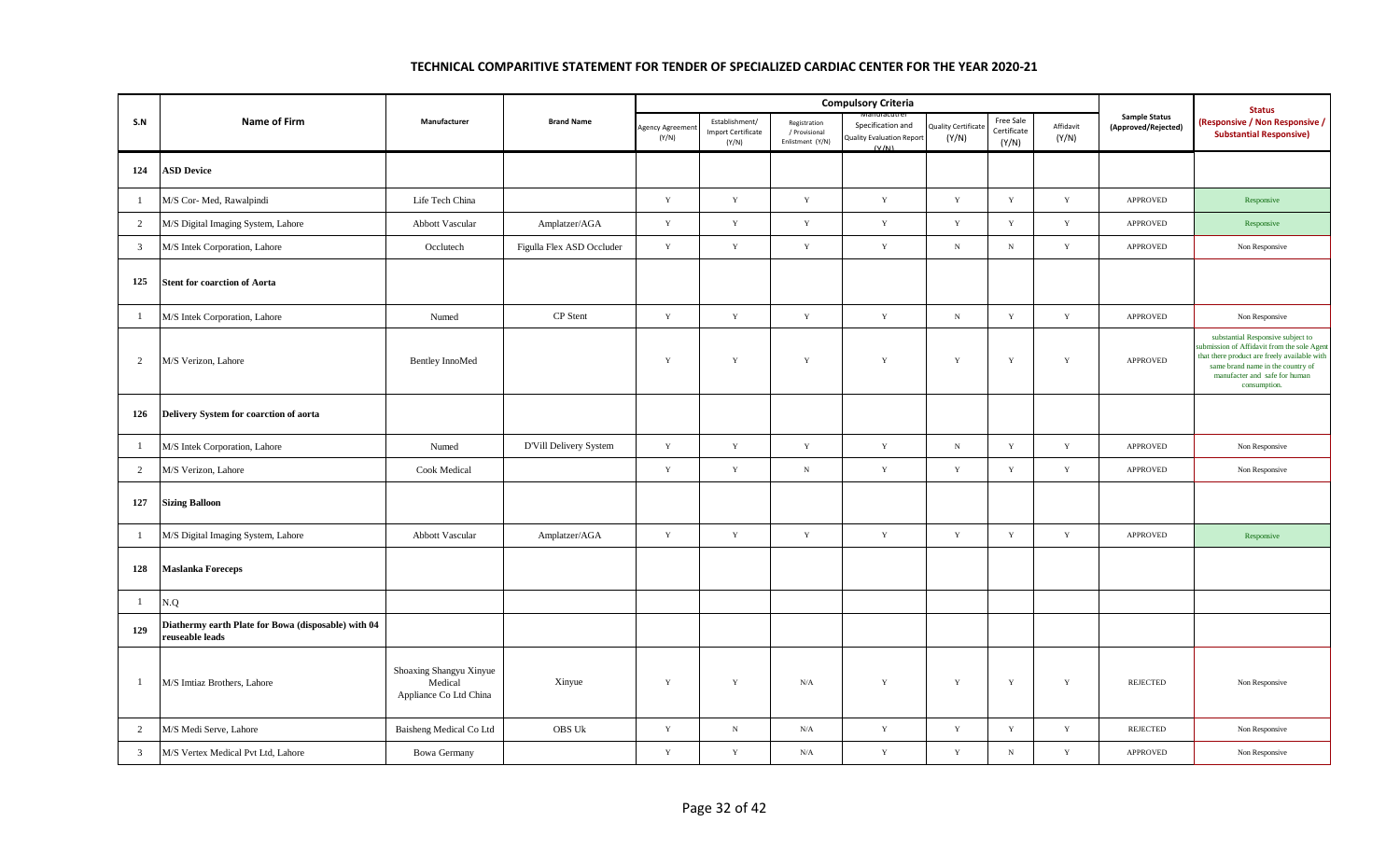|                |                                                                        |                                                              |                           |                         |                                                      |                                                   | <b>Compulsory Criteria</b>                              |                                     |                                   |                    |                                             | <b>Status</b>                                                                                                                                                                                                         |
|----------------|------------------------------------------------------------------------|--------------------------------------------------------------|---------------------------|-------------------------|------------------------------------------------------|---------------------------------------------------|---------------------------------------------------------|-------------------------------------|-----------------------------------|--------------------|---------------------------------------------|-----------------------------------------------------------------------------------------------------------------------------------------------------------------------------------------------------------------------|
| S.N            | Name of Firm                                                           | Manufacturer                                                 | <b>Brand Name</b>         | Agency Agreeme<br>(Y/N) | Establishment/<br><b>Import Certificate</b><br>(Y/N) | Registration<br>/ Provisional<br>Enlistment (Y/N) | Specification and<br>Quality Evaluation Report<br>(V/N) | <b>Quality Certificate</b><br>(Y/N) | Free Sale<br>Certificate<br>(Y/N) | Affidavit<br>(Y/N) | <b>Sample Status</b><br>(Approved/Rejected) | (Responsive / Non Responsive /<br><b>Substantial Responsive)</b>                                                                                                                                                      |
| 124            | <b>ASD Device</b>                                                      |                                                              |                           |                         |                                                      |                                                   |                                                         |                                     |                                   |                    |                                             |                                                                                                                                                                                                                       |
| $\mathbf{1}$   | M/S Cor- Med, Rawalpindi                                               | Life Tech China                                              |                           | $\mathbf Y$             | $\mathbf Y$                                          | $\mathbf Y$                                       | $\mathbf Y$                                             | $\mathbf Y$                         | $\mathbf Y$                       | $\mathbf Y$        | <b>APPROVED</b>                             | Responsive                                                                                                                                                                                                            |
| $\overline{2}$ | M/S Digital Imaging System, Lahore                                     | Abbott Vascular                                              | Amplatzer/AGA             | $\mathbf Y$             | $\mathbf Y$                                          | $\mathbf Y$                                       | $\mathbf Y$                                             | Y                                   | $\mathbf Y$                       | $\mathbf Y$        | <b>APPROVED</b>                             | Responsive                                                                                                                                                                                                            |
| $\overline{3}$ | M/S Intek Corporation, Lahore                                          | Occlutech                                                    | Figulla Flex ASD Occluder | $\mathbf Y$             | $\mathbf Y$                                          | $\mathbf Y$                                       | $\mathbf Y$                                             | ${\bf N}$                           | $\,$ N                            | $\mathbf Y$        | APPROVED                                    | Non Responsive                                                                                                                                                                                                        |
| 125            | <b>Stent for coarction of Aorta</b>                                    |                                                              |                           |                         |                                                      |                                                   |                                                         |                                     |                                   |                    |                                             |                                                                                                                                                                                                                       |
| $\mathbf{1}$   | M/S Intek Corporation, Lahore                                          | Numed                                                        | CP Stent                  | $\mathbf Y$             | $\mathbf Y$                                          | $\mathbf Y$                                       | Y                                                       | ${\bf N}$                           | $\mathbf Y$                       | $\mathbf Y$        | APPROVED                                    | Non Responsive                                                                                                                                                                                                        |
| $\overline{2}$ | M/S Verizon, Lahore                                                    | <b>Bentley InnoMed</b>                                       |                           | $\mathbf Y$             | $\mathbf Y$                                          | $\mathbf Y$                                       | $\mathbf Y$                                             | $\mathbf Y$                         | $\mathbf Y$                       | $\mathbf Y$        | <b>APPROVED</b>                             | substantial Responsive subject to<br>ubmission of Affidavit from the sole Agent<br>that there product are freely available with<br>same brand name in the country of<br>manufacter and safe for human<br>consumption. |
| 126            | Delivery System for coarction of aorta                                 |                                                              |                           |                         |                                                      |                                                   |                                                         |                                     |                                   |                    |                                             |                                                                                                                                                                                                                       |
| $\mathbf{1}$   | M/S Intek Corporation, Lahore                                          | Numed                                                        | D'Vill Delivery System    | $\mathbf Y$             | $\mathbf Y$                                          | $\mathbf Y$                                       | $\mathbf Y$                                             | ${\bf N}$                           | $\mathbf Y$                       | $\mathbf Y$        | APPROVED                                    | Non Responsive                                                                                                                                                                                                        |
| $\overline{2}$ | M/S Verizon, Lahore                                                    | Cook Medical                                                 |                           | $\mathbf Y$             | $\mathbf Y$                                          | ${\rm N}$                                         | $\mathbf Y$                                             | Y                                   | $\mathbf Y$                       | Y                  | <b>APPROVED</b>                             | Non Responsive                                                                                                                                                                                                        |
| 127            | <b>Sizing Balloon</b>                                                  |                                                              |                           |                         |                                                      |                                                   |                                                         |                                     |                                   |                    |                                             |                                                                                                                                                                                                                       |
| $\mathbf{1}$   | M/S Digital Imaging System, Lahore                                     | Abbott Vascular                                              | Amplatzer/AGA             | $\mathbf Y$             | $\mathbf Y$                                          | $\mathbf Y$                                       | $\mathbf Y$                                             | $\mathbf Y$                         | $\mathbf Y$                       | $\mathbf Y$        | APPROVED                                    | Responsive                                                                                                                                                                                                            |
| 128            | <b>Maslanka Foreceps</b>                                               |                                                              |                           |                         |                                                      |                                                   |                                                         |                                     |                                   |                    |                                             |                                                                                                                                                                                                                       |
| $\mathbf{1}$   | N.Q                                                                    |                                                              |                           |                         |                                                      |                                                   |                                                         |                                     |                                   |                    |                                             |                                                                                                                                                                                                                       |
| 129            | Diathermy earth Plate for Bowa (disposable) with 04<br>reuseable leads |                                                              |                           |                         |                                                      |                                                   |                                                         |                                     |                                   |                    |                                             |                                                                                                                                                                                                                       |
| $\mathbf{1}$   | M/S Imtiaz Brothers, Lahore                                            | Shoaxing Shangyu Xinyue<br>Medical<br>Appliance Co Ltd China | Xinyue                    | $\mathbf Y$             | Y                                                    | $\rm N/A$                                         | $\mathbf Y$                                             | $\mathbf Y$                         | $\mathbf Y$                       | $\mathbf Y$        | <b>REJECTED</b>                             | Non Responsive                                                                                                                                                                                                        |
| $\overline{2}$ | M/S Medi Serve, Lahore                                                 | Baisheng Medical Co Ltd                                      | <b>OBS Uk</b>             | $\mathbf Y$             | ${\bf N}$                                            | $\rm N/A$                                         | $\mathbf Y$                                             | $\mathbf Y$                         | $\mathbf Y$                       | $\mathbf Y$        | <b>REJECTED</b>                             | Non Responsive                                                                                                                                                                                                        |
| $\mathbf{3}$   | M/S Vertex Medical Pvt Ltd, Lahore                                     | <b>Bowa Germany</b>                                          |                           | $\mathbf Y$             | $\mathbf Y$                                          | $\rm N/A$                                         | $\mathbf Y$                                             | $\mathbf Y$                         | $\,$ N                            | $\mathbf Y$        | APPROVED                                    | Non Responsive                                                                                                                                                                                                        |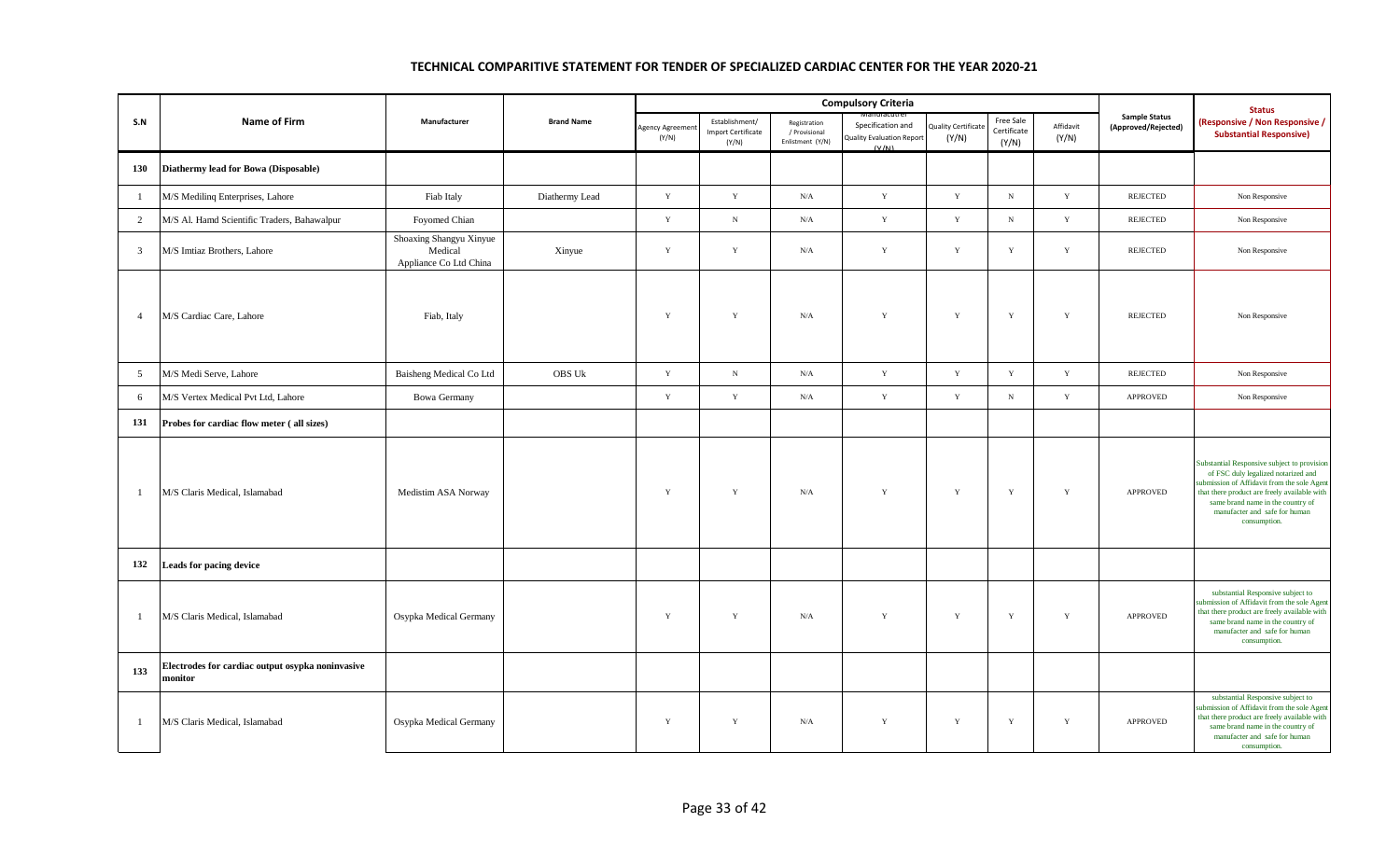|                |                                                             |                                                              |                   |                          |                                                      |                                                   | <b>Compulsory Criteria</b>                              |                                    |                                   |                    |                                             | <b>Status</b>                                                                                                                                                                                                                                                          |
|----------------|-------------------------------------------------------------|--------------------------------------------------------------|-------------------|--------------------------|------------------------------------------------------|---------------------------------------------------|---------------------------------------------------------|------------------------------------|-----------------------------------|--------------------|---------------------------------------------|------------------------------------------------------------------------------------------------------------------------------------------------------------------------------------------------------------------------------------------------------------------------|
| S.N            | <b>Name of Firm</b>                                         | Manufacturer                                                 | <b>Brand Name</b> | Agency Agreemer<br>(Y/N) | Establishment/<br><b>Import Certificate</b><br>(Y/N) | Registration<br>/ Provisional<br>Enlistment (Y/N) | Specification and<br>Quality Evaluation Report<br>(V/N) | <b>Quality Certificat</b><br>(Y/N) | Free Sale<br>Certificate<br>(Y/N) | Affidavit<br>(Y/N) | <b>Sample Status</b><br>(Approved/Rejected) | (Responsive / Non Responsive /<br><b>Substantial Responsive)</b>                                                                                                                                                                                                       |
| 130            | Diathermy lead for Bowa (Disposable)                        |                                                              |                   |                          |                                                      |                                                   |                                                         |                                    |                                   |                    |                                             |                                                                                                                                                                                                                                                                        |
| -1             | M/S Medilinq Enterprises, Lahore                            | Fiab Italy                                                   | Diathermy Lead    | $\mathbf Y$              | $\mathbf Y$                                          | $\rm N/A$                                         | $\mathbf Y$                                             | $\mathbf Y$                        | $\,$ N                            | $\mathbf Y$        | <b>REJECTED</b>                             | Non Responsive                                                                                                                                                                                                                                                         |
| $\overline{2}$ | M/S Al. Hamd Scientific Traders, Bahawalpur                 | Foyomed Chian                                                |                   | Y                        | N                                                    | N/A                                               | $\mathbf Y$                                             | Y                                  | $\mathbf N$                       | Y                  | <b>REJECTED</b>                             | Non Responsive                                                                                                                                                                                                                                                         |
| $\overline{3}$ | M/S Imtiaz Brothers, Lahore                                 | Shoaxing Shangyu Xinyue<br>Medical<br>Appliance Co Ltd China | Xinyue            | Y                        | $\mathbf Y$                                          | N/A                                               | $\mathbf Y$                                             | $\mathbf Y$                        | $\mathbf Y$                       | $\mathbf Y$        | <b>REJECTED</b>                             | Non Responsive                                                                                                                                                                                                                                                         |
| $\overline{4}$ | M/S Cardiac Care, Lahore                                    | Fiab, Italy                                                  |                   | Y                        | Y                                                    | $\rm N/A$                                         | $\mathbf Y$                                             | $\mathbf Y$                        | $\mathbf Y$                       | $\mathbf Y$        | REJECTED                                    | Non Responsive                                                                                                                                                                                                                                                         |
| 5              | M/S Medi Serve, Lahore                                      | Baisheng Medical Co Ltd                                      | OBS Uk            | $\mathbf Y$              | $_{\rm N}$                                           | $\rm N/A$                                         | $\mathbf Y$                                             | $\mathbf Y$                        | $\mathbf Y$                       | $\mathbf Y$        | REJECTED                                    | Non Responsive                                                                                                                                                                                                                                                         |
| 6              | M/S Vertex Medical Pvt Ltd, Lahore                          | <b>Bowa Germany</b>                                          |                   | Y                        | $\mathbf Y$                                          | $\rm N/A$                                         | $\mathbf Y$                                             | $\mathbf Y$                        | $\,$ N                            | $\mathbf Y$        | APPROVED                                    | Non Responsive                                                                                                                                                                                                                                                         |
| 131            | Probes for cardiac flow meter (all sizes)                   |                                                              |                   |                          |                                                      |                                                   |                                                         |                                    |                                   |                    |                                             |                                                                                                                                                                                                                                                                        |
|                | M/S Claris Medical, Islamabad                               | Medistim ASA Norway                                          |                   | Y                        | $\mathbf Y$                                          | N/A                                               | $\mathbf Y$                                             | $\mathbf Y$                        | $\mathbf Y$                       | $\mathbf Y$        | <b>APPROVED</b>                             | substantial Responsive subject to provision<br>of FSC duly legalized notarized and<br>abmission of Affidavit from the sole Agent<br>that there product are freely available with<br>same brand name in the country of<br>manufacter and safe for human<br>consumption. |
| 132            | Leads for pacing device                                     |                                                              |                   |                          |                                                      |                                                   |                                                         |                                    |                                   |                    |                                             |                                                                                                                                                                                                                                                                        |
| - 1            | M/S Claris Medical, Islamabad                               | Osypka Medical Germany                                       |                   | $\mathbf Y$              | $\mathbf Y$                                          | $\rm N/A$                                         | $\mathbf Y$                                             | $\mathbf Y$                        | $\mathbf Y$                       | $\mathbf Y$        | APPROVED                                    | substantial Responsive subject to<br>abmission of Affidavit from the sole Agent<br>that there product are freely available with<br>same brand name in the country of<br>manufacter and safe for human<br>consumption.                                                  |
| 133            | Electrodes for cardiac output osypka noninvasive<br>monitor |                                                              |                   |                          |                                                      |                                                   |                                                         |                                    |                                   |                    |                                             |                                                                                                                                                                                                                                                                        |
| $\overline{1}$ | M/S Claris Medical, Islamabad                               | Osypka Medical Germany                                       |                   | Y                        | $\mathbf Y$                                          | N/A                                               | $\mathbf Y$                                             | $\mathbf Y$                        | Y                                 | $\mathbf Y$        | <b>APPROVED</b>                             | substantial Responsive subject to<br>ubmission of Affidavit from the sole Agent<br>that there product are freely available with<br>same brand name in the country of<br>manufacter and safe for human<br>consumption.                                                  |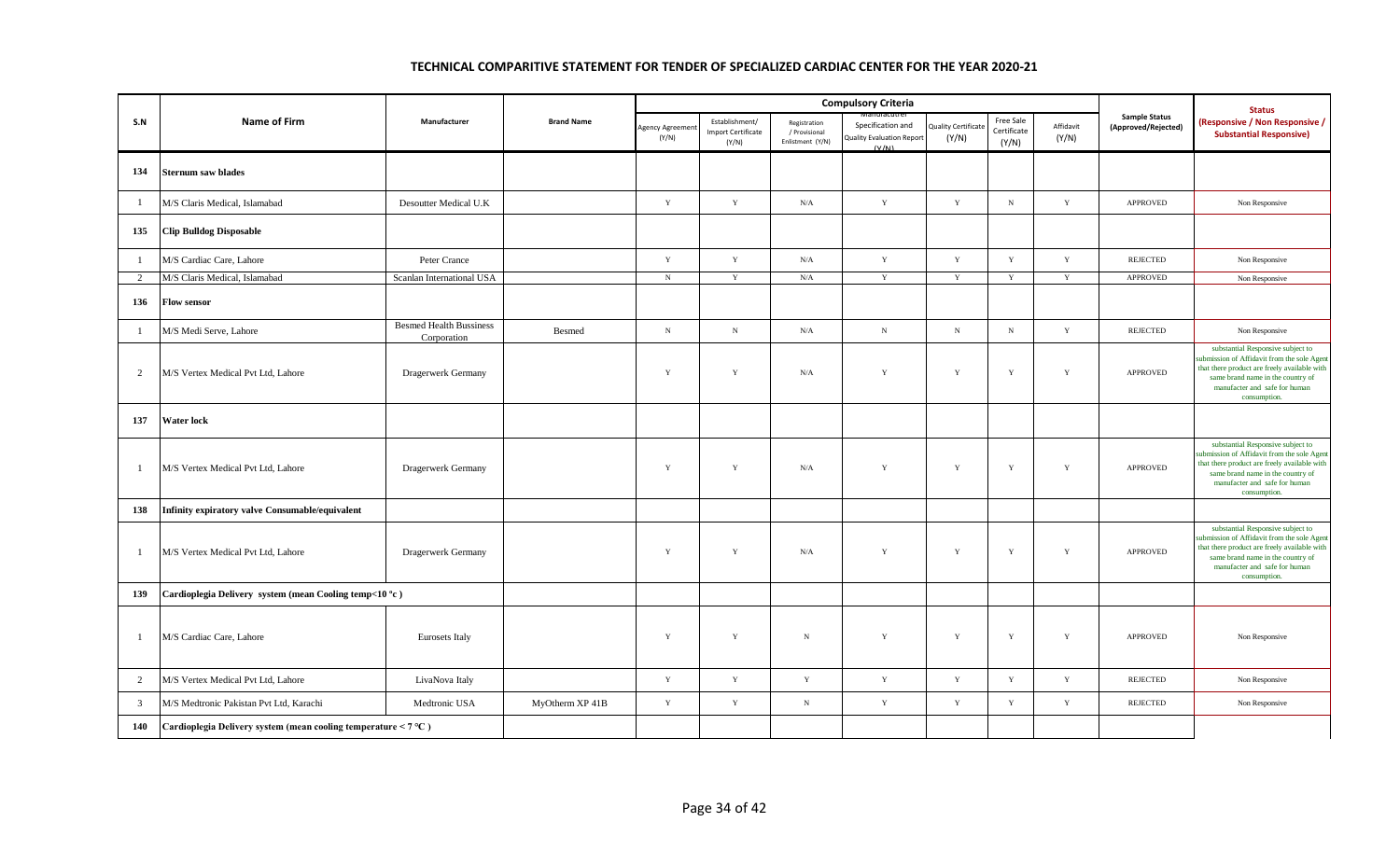|                |                                                                     |                                               |                   |                          |                                                      |                                                   | <b>Compulsory Criteria</b>                                     |                              |                                   |                    |                                             | <b>Status</b>                                                                                                                                                                                                          |
|----------------|---------------------------------------------------------------------|-----------------------------------------------|-------------------|--------------------------|------------------------------------------------------|---------------------------------------------------|----------------------------------------------------------------|------------------------------|-----------------------------------|--------------------|---------------------------------------------|------------------------------------------------------------------------------------------------------------------------------------------------------------------------------------------------------------------------|
| S.N            | Name of Firm                                                        | Manufacturer                                  | <b>Brand Name</b> | Agency Agreemer<br>(Y/N) | Establishment/<br><b>Import Certificate</b><br>(Y/N) | Registration<br>/ Provisional<br>Enlistment (Y/N) | Specification and<br><b>Quality Evaluation Report</b><br>(V/N) | Quality Certificate<br>(Y/N) | Free Sale<br>Certificate<br>(Y/N) | Affidavit<br>(Y/N) | <b>Sample Status</b><br>(Approved/Rejected) | (Responsive / Non Responsive /<br><b>Substantial Responsive)</b>                                                                                                                                                       |
| 134            | <b>Sternum saw blades</b>                                           |                                               |                   |                          |                                                      |                                                   |                                                                |                              |                                   |                    |                                             |                                                                                                                                                                                                                        |
| $\mathbf{1}$   | M/S Claris Medical, Islamabad                                       | Desoutter Medical U.K                         |                   | Y                        | $\mathbf Y$                                          | N/A                                               | $\mathbf Y$                                                    | $\mathbf Y$                  | ${\bf N}$                         | $\mathbf Y$        | APPROVED                                    | Non Responsive                                                                                                                                                                                                         |
| 135            | <b>Clip Bulldog Disposable</b>                                      |                                               |                   |                          |                                                      |                                                   |                                                                |                              |                                   |                    |                                             |                                                                                                                                                                                                                        |
| $\mathbf{1}$   | M/S Cardiac Care, Lahore                                            | Peter Crance                                  |                   | $\mathbf Y$              | $\mathbf Y$                                          | $\rm N/A$                                         | $\mathbf Y$                                                    | $\mathbf Y$                  | $\mathbf Y$                       | $\mathbf Y$        | <b>REJECTED</b>                             | Non Responsive                                                                                                                                                                                                         |
| 2              | M/S Claris Medical, Islamabad                                       | Scanlan International USA                     |                   | $\mathbf N$              | Y                                                    | N/A                                               | Y                                                              | Y                            | Y                                 | Y                  | <b>APPROVED</b>                             | Non Responsive                                                                                                                                                                                                         |
| 136            | <b>Flow sensor</b>                                                  |                                               |                   |                          |                                                      |                                                   |                                                                |                              |                                   |                    |                                             |                                                                                                                                                                                                                        |
| $\mathbf{1}$   | M/S Medi Serve, Lahore                                              | <b>Besmed Health Bussiness</b><br>Corporation | <b>Besmed</b>     | ${\bf N}$                | $_{\rm N}$                                           | $\rm N/A$                                         | ${\bf N}$                                                      | $\mathbf N$                  | ${\bf N}$                         | $\mathbf Y$        | <b>REJECTED</b>                             | Non Responsive                                                                                                                                                                                                         |
| $\overline{2}$ | M/S Vertex Medical Pvt Ltd, Lahore                                  | Dragerwerk Germany                            |                   | Y                        | Y                                                    | $\rm N/A$                                         | $\mathbf Y$                                                    | $\mathbf Y$                  | $\mathbf Y$                       | $\mathbf Y$        | <b>APPROVED</b>                             | substantial Responsive subject to<br>ubmission of Affidavit from the sole Agent<br>that there product are freely available with<br>same brand name in the country of<br>manufacter and safe for human<br>consumption.  |
| 137            | <b>Water lock</b>                                                   |                                               |                   |                          |                                                      |                                                   |                                                                |                              |                                   |                    |                                             |                                                                                                                                                                                                                        |
| $\mathbf{1}$   | M/S Vertex Medical Pvt Ltd, Lahore                                  | Dragerwerk Germany                            |                   | Y                        | $\mathbf Y$                                          | N/A                                               | $\mathbf Y$                                                    | Y                            | $\mathbf Y$                       | Y                  | <b>APPROVED</b>                             | substantial Responsive subject to<br>ubmission of Affidavit from the sole Agent<br>that there product are freely available with<br>same brand name in the country of<br>manufacter and safe for human<br>consumption.  |
| 138            | Infinity expiratory valve Consumable/equivalent                     |                                               |                   |                          |                                                      |                                                   |                                                                |                              |                                   |                    |                                             |                                                                                                                                                                                                                        |
| $\mathbf{1}$   | M/S Vertex Medical Pvt Ltd, Lahore                                  | Dragerwerk Germany                            |                   | Y                        | $\mathbf Y$                                          | N/A                                               | $\mathbf Y$                                                    | $\mathbf Y$                  | $\mathbf Y$                       | Y                  | APPROVED                                    | substantial Responsive subject to<br>submission of Affidavit from the sole Agent<br>that there product are freely available with<br>same brand name in the country of<br>manufacter and safe for human<br>consumption. |
| 139            | Cardioplegia Delivery system (mean Cooling temp<10 °c)              |                                               |                   |                          |                                                      |                                                   |                                                                |                              |                                   |                    |                                             |                                                                                                                                                                                                                        |
| $\mathbf{1}$   | M/S Cardiac Care, Lahore                                            | Eurosets Italy                                |                   | $\mathbf Y$              | $\mathbf Y$                                          | $_{\rm N}$                                        | $\mathbf Y$                                                    | $\mathbf Y$                  | $\mathbf Y$                       | $\mathbf Y$        | <b>APPROVED</b>                             | Non Responsive                                                                                                                                                                                                         |
| $\overline{2}$ | M/S Vertex Medical Pvt Ltd, Lahore                                  | LivaNova Italy                                |                   | Y                        | $\mathbf Y$                                          | $\mathbf Y$                                       | $\mathbf Y$                                                    | Y                            | $\mathbf Y$                       | Y                  | <b>REJECTED</b>                             | Non Responsive                                                                                                                                                                                                         |
| $\mathbf{3}$   | M/S Medtronic Pakistan Pvt Ltd, Karachi                             | Medtronic USA                                 | MyOtherm XP 41B   | Y                        | $\mathbf Y$                                          | $\,$ N                                            | $\mathbf Y$                                                    | $\mathbf Y$                  | $\mathbf Y$                       | $\mathbf Y$        | <b>REJECTED</b>                             | Non Responsive                                                                                                                                                                                                         |
| 140            | Cardioplegia Delivery system (mean cooling temperature $\leq 7$ °C) |                                               |                   |                          |                                                      |                                                   |                                                                |                              |                                   |                    |                                             |                                                                                                                                                                                                                        |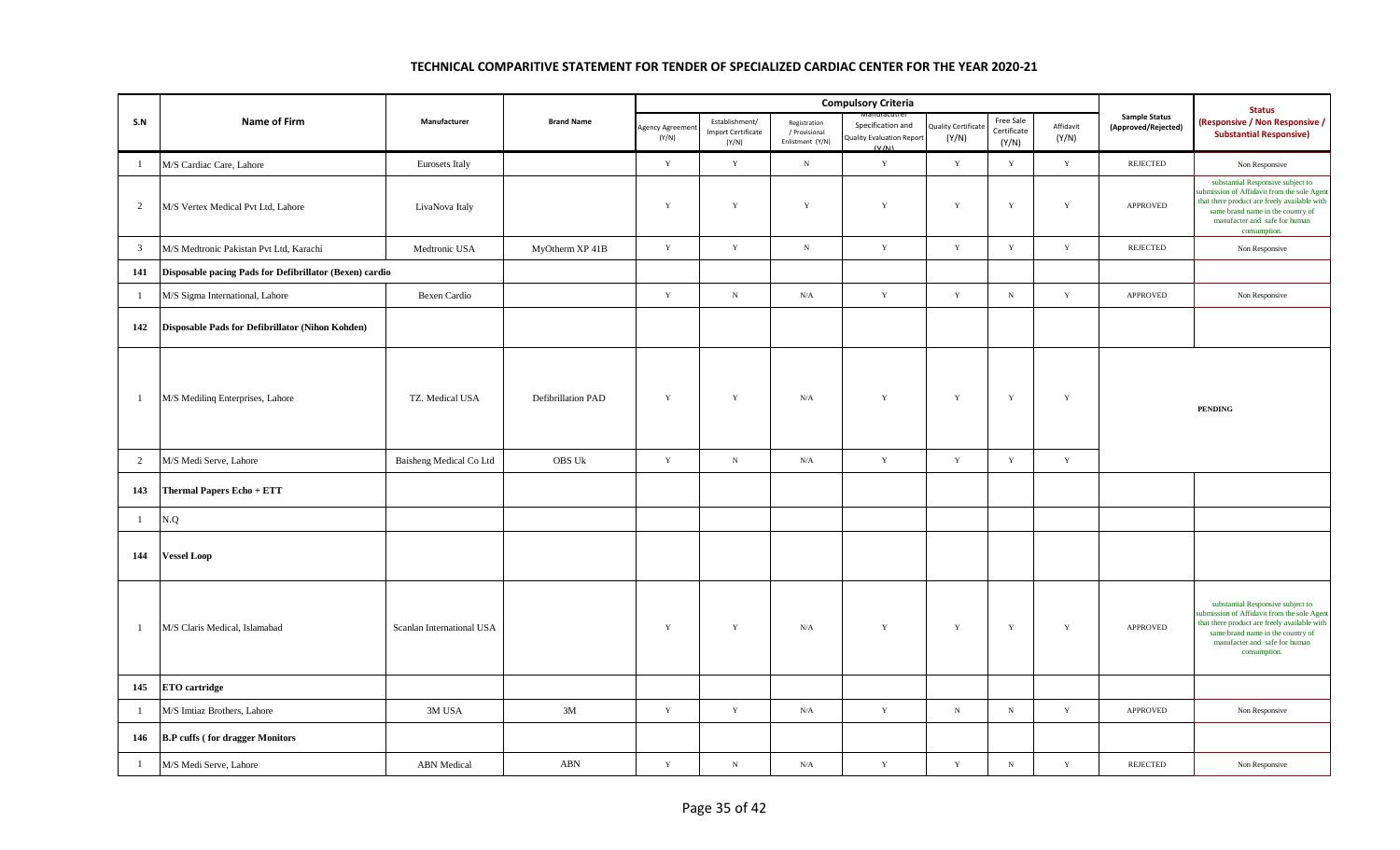|                |                                                         |                           |                    |                         |                                                      |                                                   | <b>Compulsory Criteria</b>                                     |                                    |                                   |                    |                                             | <b>Status</b>                                                                                                                                                                                                         |
|----------------|---------------------------------------------------------|---------------------------|--------------------|-------------------------|------------------------------------------------------|---------------------------------------------------|----------------------------------------------------------------|------------------------------------|-----------------------------------|--------------------|---------------------------------------------|-----------------------------------------------------------------------------------------------------------------------------------------------------------------------------------------------------------------------|
| S.N            | Name of Firm                                            | Manufacturer              | <b>Brand Name</b>  | Agency Agreeme<br>(Y/N) | Establishment/<br><b>Import Certificate</b><br>(Y/N) | Registration<br>/ Provisional<br>Enlistment (Y/N) | Specification and<br><b>Quality Evaluation Report</b><br>(V/N) | <b>Quality Certificat</b><br>(Y/N) | Free Sale<br>Certificate<br>(Y/N) | Affidavit<br>(Y/N) | <b>Sample Status</b><br>(Approved/Rejected) | (Responsive / Non Responsive /<br><b>Substantial Responsive)</b>                                                                                                                                                      |
| -1             | M/S Cardiac Care, Lahore                                | Eurosets Italy            |                    | $\mathbf Y$             | $\mathbf Y$                                          | $_{\rm N}$                                        | $\mathbf Y$                                                    | $\mathbf Y$                        | $\mathbf Y$                       | $\mathbf Y$        | <b>REJECTED</b>                             | Non Responsive                                                                                                                                                                                                        |
| $\overline{2}$ | M/S Vertex Medical Pvt Ltd, Lahore                      | LivaNova Italy            |                    | Y                       | $\mathbf Y$                                          | $\mathbf Y$                                       | $\mathbf Y$                                                    | $\mathbf Y$                        | $\mathbf Y$                       | $\mathbf Y$        | APPROVED                                    | substantial Responsive subject to<br>ubmission of Affidavit from the sole Agent<br>that there product are freely available with<br>same brand name in the country of<br>manufacter and safe for human<br>consumption. |
| $\overline{3}$ | M/S Medtronic Pakistan Pvt Ltd, Karachi                 | Medtronic USA             | MyOtherm XP 41B    | $\mathbf Y$             | $\mathbf Y$                                          | ${\bf N}$                                         | $\mathbf Y$                                                    | Y                                  | Y                                 | $\mathbf Y$        | <b>REJECTED</b>                             | Non Responsive                                                                                                                                                                                                        |
| 141            | Disposable pacing Pads for Defibrillator (Bexen) cardio |                           |                    |                         |                                                      |                                                   |                                                                |                                    |                                   |                    |                                             |                                                                                                                                                                                                                       |
| $\overline{1}$ | M/S Sigma International, Lahore                         | Bexen Cardio              |                    | $\mathbf Y$             | $_{\rm N}$                                           | $\rm N/A$                                         | $\mathbf Y$                                                    | $\mathbf Y$                        | $_{\rm N}$                        | $\mathbf Y$        | APPROVED                                    | Non Responsive                                                                                                                                                                                                        |
| 142            | Disposable Pads for Defibrillator (Nihon Kohden)        |                           |                    |                         |                                                      |                                                   |                                                                |                                    |                                   |                    |                                             |                                                                                                                                                                                                                       |
| $\mathbf{1}$   | M/S Medilinq Enterprises, Lahore                        | TZ. Medical USA           | Defibrillation PAD | $\mathbf Y$             | $\mathbf Y$                                          | $\rm N/A$                                         | $\mathbf Y$                                                    | $\mathbf Y$                        | $\mathbf Y$                       | $\mathbf Y$        |                                             | <b>PENDING</b>                                                                                                                                                                                                        |
| 2              | M/S Medi Serve, Lahore                                  | Baisheng Medical Co Ltd   | <b>OBS Uk</b>      | $\mathbf Y$             | $_{\rm N}$                                           | N/A                                               | $\mathbf Y$                                                    | $\mathbf Y$                        | $\mathbf Y$                       | $\mathbf Y$        |                                             |                                                                                                                                                                                                                       |
| 143            | <b>Thermal Papers Echo + ETT</b>                        |                           |                    |                         |                                                      |                                                   |                                                                |                                    |                                   |                    |                                             |                                                                                                                                                                                                                       |
| $\mathbf{1}$   | N.Q                                                     |                           |                    |                         |                                                      |                                                   |                                                                |                                    |                                   |                    |                                             |                                                                                                                                                                                                                       |
| 144            | <b>Vessel Loop</b>                                      |                           |                    |                         |                                                      |                                                   |                                                                |                                    |                                   |                    |                                             |                                                                                                                                                                                                                       |
| $\mathbf{1}$   | M/S Claris Medical, Islamabad                           | Scanlan International USA |                    | $\mathbf Y$             | Y                                                    | N/A                                               | $\mathbf Y$                                                    | $\mathbf Y$                        | $\mathbf Y$                       | $\mathbf Y$        | APPROVED                                    | substantial Responsive subject to<br>abmission of Affidavit from the sole Agent<br>that there product are freely available with<br>same brand name in the country of<br>manufacter and safe for human<br>consumption. |
| 145            | <b>ETO</b> cartridge                                    |                           |                    |                         |                                                      |                                                   |                                                                |                                    |                                   |                    |                                             |                                                                                                                                                                                                                       |
| $\mathbf{1}$   | M/S Imtiaz Brothers, Lahore                             | 3M USA                    | 3M                 | $\mathbf Y$             | $\mathbf Y$                                          | $\rm N/A$                                         | $\mathbf Y$                                                    | $\,$ N                             | ${\bf N}$                         | $\mathbf Y$        | APPROVED                                    | Non Responsive                                                                                                                                                                                                        |
| 146            | <b>B.P</b> cuffs (for dragger Monitors                  |                           |                    |                         |                                                      |                                                   |                                                                |                                    |                                   |                    |                                             |                                                                                                                                                                                                                       |
| $\overline{1}$ | M/S Medi Serve, Lahore                                  | <b>ABN</b> Medical        | ABN                | $\mathbf Y$             | $_{\rm N}$                                           | $\rm N/A$                                         | $\mathbf Y$                                                    | $\mathbf Y$                        | $_{\rm N}$                        | $\mathbf Y$        | <b>REJECTED</b>                             | Non Responsive                                                                                                                                                                                                        |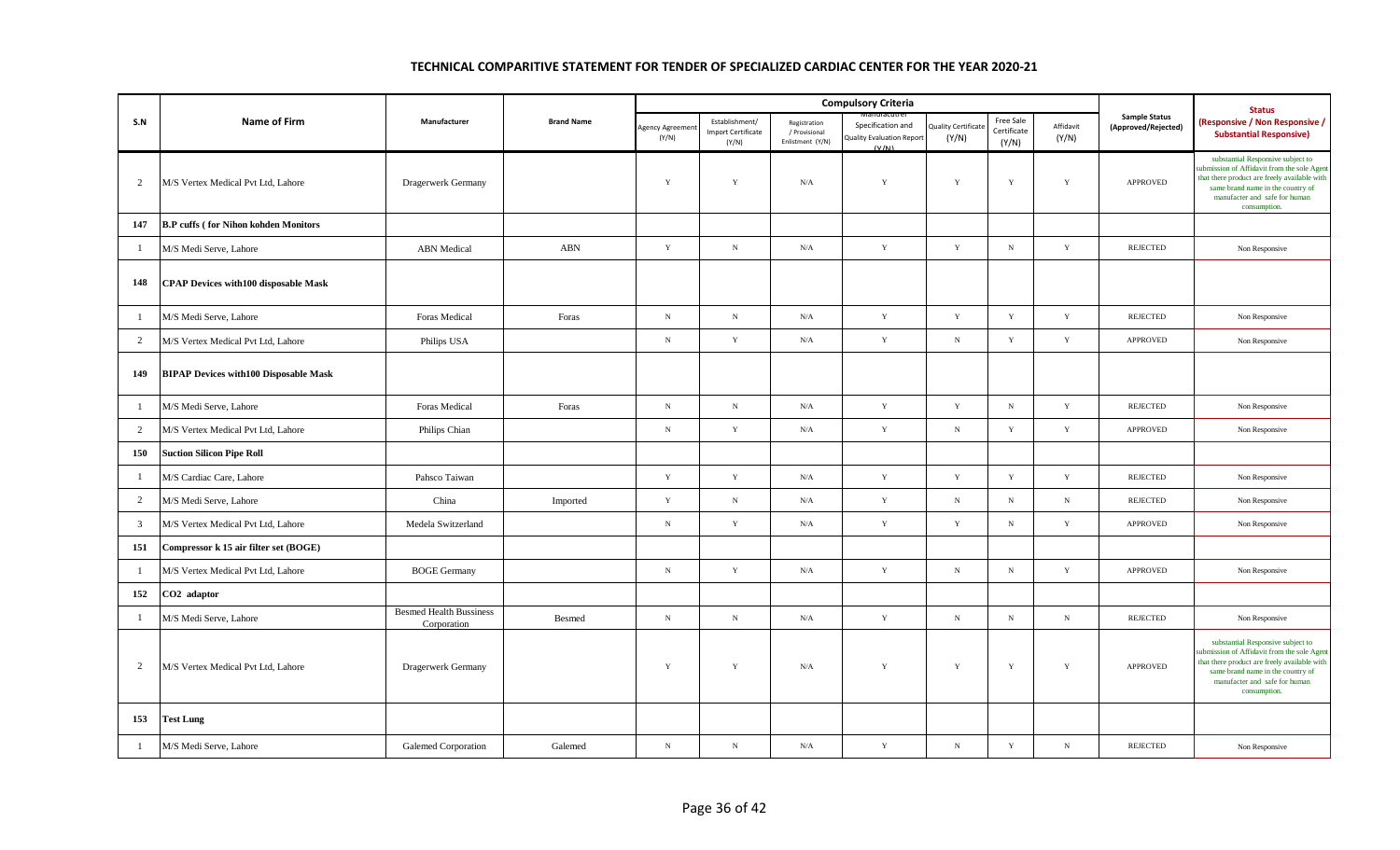|                |                                               |                                               |                   |                         |                                                      |                                                   | <b>Compulsory Criteria</b>                                    |                                    |                                   |                    |                                             | <b>Status</b>                                                                                                                                                                                                          |
|----------------|-----------------------------------------------|-----------------------------------------------|-------------------|-------------------------|------------------------------------------------------|---------------------------------------------------|---------------------------------------------------------------|------------------------------------|-----------------------------------|--------------------|---------------------------------------------|------------------------------------------------------------------------------------------------------------------------------------------------------------------------------------------------------------------------|
| S.N            | <b>Name of Firm</b>                           | Manufacturer                                  | <b>Brand Name</b> | Agency Agreeme<br>(Y/N) | Establishment/<br><b>Import Certificate</b><br>(Y/N) | Registration<br>/ Provisional<br>Enlistment (Y/N) | Specification and<br><b>Quality Evaluation Repor</b><br>(V/M) | <b>Quality Certificat</b><br>(Y/N) | Free Sale<br>Certificate<br>(Y/N) | Affidavit<br>(Y/N) | <b>Sample Status</b><br>(Approved/Rejected) | (Responsive / Non Responsive /<br><b>Substantial Responsive)</b>                                                                                                                                                       |
| 2              | M/S Vertex Medical Pvt Ltd, Lahore            | Dragerwerk Germany                            |                   | Y                       | Y                                                    | N/A                                               | $\mathbf Y$                                                   | $\mathbf Y$                        | $\mathbf Y$                       | Y                  | <b>APPROVED</b>                             | substantial Responsive subject to<br>ubmission of Affidavit from the sole Agen<br>that there product are freely available with<br>same brand name in the country of<br>manufacter and safe for human<br>consumption.   |
| 147            | <b>B.P</b> cuffs (for Nihon kohden Monitors   |                                               |                   |                         |                                                      |                                                   |                                                               |                                    |                                   |                    |                                             |                                                                                                                                                                                                                        |
| $\mathbf{1}$   | M/S Medi Serve, Lahore                        | <b>ABN</b> Medical                            | <b>ABN</b>        | $\mathbf Y$             | $_{\rm N}$                                           | $\rm N/A$                                         | $\mathbf Y$                                                   | $\mathbf Y$                        | $\, {\bf N} \,$                   | $\mathbf Y$        | <b>REJECTED</b>                             | Non Responsive                                                                                                                                                                                                         |
| 148            | <b>CPAP Devices with 100 disposable Mask</b>  |                                               |                   |                         |                                                      |                                                   |                                                               |                                    |                                   |                    |                                             |                                                                                                                                                                                                                        |
| $\mathbf{1}$   | M/S Medi Serve, Lahore                        | Foras Medical                                 | Foras             | $_{\rm N}$              | $_{\rm N}$                                           | $\rm N/A$                                         | $\mathbf Y$                                                   | $\mathbf Y$                        | $\mathbf Y$                       | $\mathbf Y$        | <b>REJECTED</b>                             | Non Responsive                                                                                                                                                                                                         |
| $\overline{2}$ | M/S Vertex Medical Pvt Ltd, Lahore            | Philips USA                                   |                   | $_{\rm N}$              | $\mathbf Y$                                          | N/A                                               | $\mathbf Y$                                                   | ${\bf N}$                          | $\mathbf Y$                       | $\mathbf Y$        | APPROVED                                    | Non Responsive                                                                                                                                                                                                         |
| 149            | <b>BIPAP Devices with 100 Disposable Mask</b> |                                               |                   |                         |                                                      |                                                   |                                                               |                                    |                                   |                    |                                             |                                                                                                                                                                                                                        |
| $\mathbf{1}$   | M/S Medi Serve, Lahore                        | Foras Medical                                 | Foras             | $\,$ N                  | ${\bf N}$                                            | $\rm N/A$                                         | $\mathbf Y$                                                   | $\mathbf Y$                        | ${\bf N}$                         | $\mathbf Y$        | <b>REJECTED</b>                             | Non Responsive                                                                                                                                                                                                         |
| 2              | M/S Vertex Medical Pvt Ltd, Lahore            | Philips Chian                                 |                   | $_{\rm N}$              | $\mathbf Y$                                          | $\rm N/A$                                         | $\mathbf Y$                                                   | $\mathbf N$                        | Y                                 | $\mathbf Y$        | <b>APPROVED</b>                             | Non Responsive                                                                                                                                                                                                         |
| 150            | <b>Suction Silicon Pipe Roll</b>              |                                               |                   |                         |                                                      |                                                   |                                                               |                                    |                                   |                    |                                             |                                                                                                                                                                                                                        |
| $\mathbf{1}$   | M/S Cardiac Care, Lahore                      | Pahsco Taiwan                                 |                   | Y                       | $\mathbf Y$                                          | $\rm N/A$                                         | $\mathbf Y$                                                   | Y                                  | $\mathbf Y$                       | $\mathbf Y$        | <b>REJECTED</b>                             | Non Responsive                                                                                                                                                                                                         |
| 2              | M/S Medi Serve, Lahore                        | China                                         | Imported          | $\mathbf Y$             | $_{\rm N}$                                           | $\rm N/A$                                         | $\mathbf Y$                                                   | ${\bf N}$                          | $\, {\rm N}$                      | $\,$ N             | <b>REJECTED</b>                             | Non Responsive                                                                                                                                                                                                         |
| $\mathbf{3}$   | M/S Vertex Medical Pvt Ltd, Lahore            | Medela Switzerland                            |                   | ${\bf N}$               | $\mathbf Y$                                          | $\rm N/A$                                         | $\mathbf Y$                                                   | $\mathbf Y$                        | $_{\rm N}$                        | $\mathbf Y$        | <b>APPROVED</b>                             | Non Responsive                                                                                                                                                                                                         |
| 151            | Compressor k 15 air filter set (BOGE)         |                                               |                   |                         |                                                      |                                                   |                                                               |                                    |                                   |                    |                                             |                                                                                                                                                                                                                        |
| $\mathbf{1}$   | M/S Vertex Medical Pvt Ltd, Lahore            | <b>BOGE Germany</b>                           |                   | ${\bf N}$               | $\mathbf Y$                                          | N/A                                               | $\mathbf Y$                                                   | ${\bf N}$                          | $_{\rm N}$                        | $\mathbf Y$        | APPROVED                                    | Non Responsive                                                                                                                                                                                                         |
| 152            | CO <sub>2</sub> adaptor                       |                                               |                   |                         |                                                      |                                                   |                                                               |                                    |                                   |                    |                                             |                                                                                                                                                                                                                        |
| $\mathbf{1}$   | M/S Medi Serve, Lahore                        | <b>Besmed Health Bussiness</b><br>Corporation | Besmed            | ${\bf N}$               | $_{\rm N}$                                           | $\rm N/A$                                         | $\mathbf Y$                                                   | ${\bf N}$                          | $\, {\bf N} \,$                   | ${\bf N}$          | <b>REJECTED</b>                             | Non Responsive                                                                                                                                                                                                         |
| $\overline{2}$ | M/S Vertex Medical Pvt Ltd, Lahore            | <b>Dragerwerk Germany</b>                     |                   | Y                       | $\mathbf Y$                                          | N/A                                               | $\mathbf Y$                                                   | $\mathbf Y$                        | $\mathbf Y$                       | $\mathbf Y$        | <b>APPROVED</b>                             | substantial Responsive subject to<br>submission of Affidavit from the sole Agent<br>that there product are freely available with<br>same brand name in the country of<br>manufacter and safe for human<br>consumption. |
| 153            | <b>Test Lung</b>                              |                                               |                   |                         |                                                      |                                                   |                                                               |                                    |                                   |                    |                                             |                                                                                                                                                                                                                        |
| $\mathbf{1}$   | M/S Medi Serve, Lahore                        | Galemed Corporation                           | Galemed           | ${\bf N}$               | ${\bf N}$                                            | $\rm N/A$                                         | $\mathbf Y$                                                   | ${\bf N}$                          | $\mathbf Y$                       | ${\bf N}$          | <b>REJECTED</b>                             | Non Responsive                                                                                                                                                                                                         |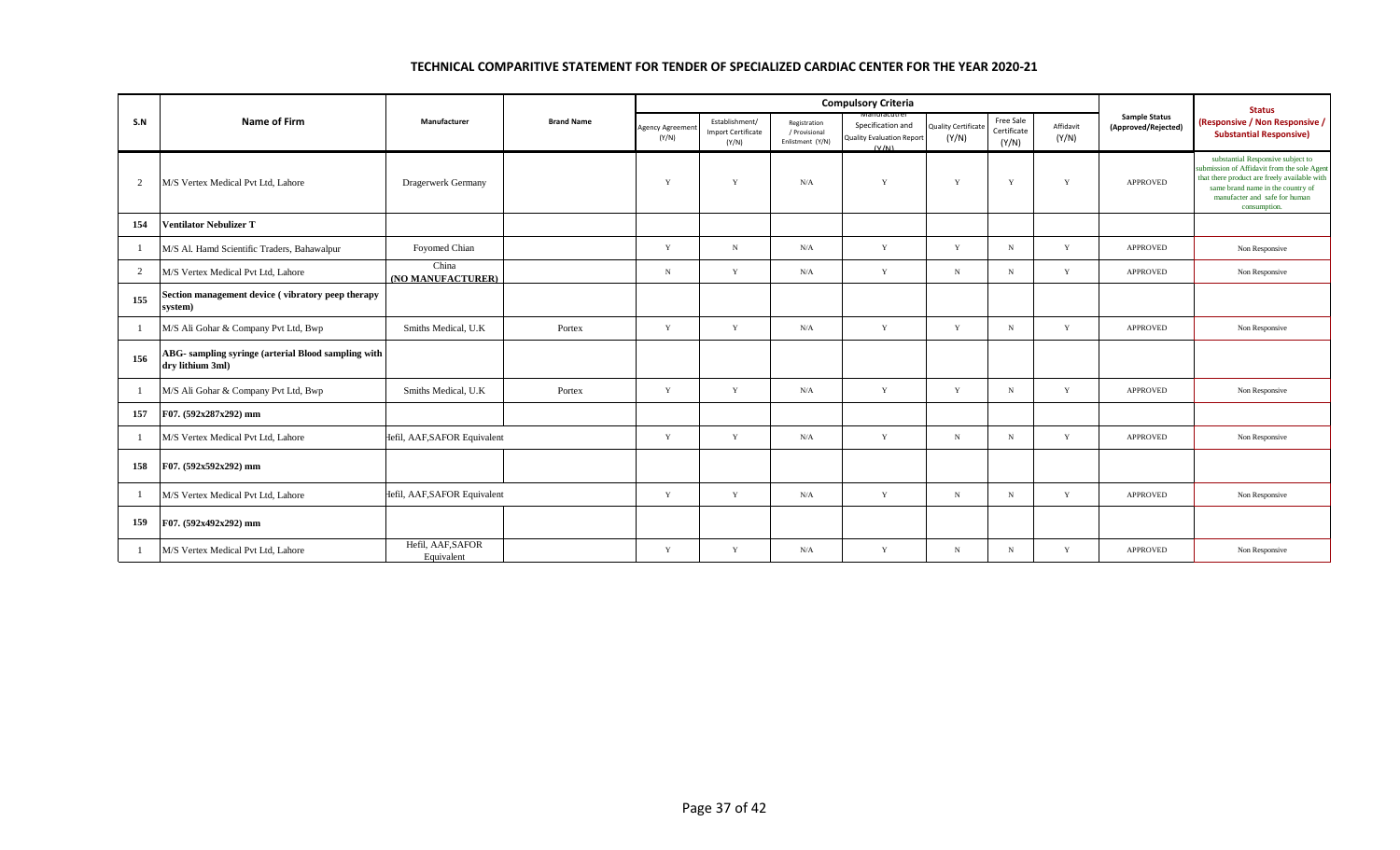|                |                                                                         |                                 | <b>Brand Name</b> |                         |                                                      | <b>Compulsory Criteria</b>                        |                                                                                  | <b>Status</b>                |                                   |                    |                                             |                                                                                                                                                                                                                        |
|----------------|-------------------------------------------------------------------------|---------------------------------|-------------------|-------------------------|------------------------------------------------------|---------------------------------------------------|----------------------------------------------------------------------------------|------------------------------|-----------------------------------|--------------------|---------------------------------------------|------------------------------------------------------------------------------------------------------------------------------------------------------------------------------------------------------------------------|
| S.N            | <b>Name of Firm</b>                                                     | Manufacturer                    |                   | Agency Agreeme<br>(Y/N) | Establishment/<br><b>Import Certificate</b><br>(Y/N) | Registration<br>/ Provisional<br>Enlistment (Y/N) | ivianuracutrer<br>Specification and<br><b>Quality Evaluation Report</b><br>(V/N) | Quality Certificate<br>(Y/N) | Free Sale<br>Certificate<br>(Y/N) | Affidavit<br>(Y/N) | <b>Sample Status</b><br>(Approved/Rejected) | (Responsive / Non Responsive /<br><b>Substantial Responsive)</b>                                                                                                                                                       |
| 2              | M/S Vertex Medical Pvt Ltd, Lahore                                      | Dragerwerk Germany              |                   | Y                       | Y                                                    | N/A                                               | Y                                                                                | Y                            | Y                                 | Y                  | <b>APPROVED</b>                             | substantial Responsive subject to<br>submission of Affidavit from the sole Agent<br>that there product are freely available with<br>same brand name in the country of<br>manufacter and safe for human<br>consumption. |
| 154            | <b>Ventilator Nebulizer T</b>                                           |                                 |                   |                         |                                                      |                                                   |                                                                                  |                              |                                   |                    |                                             |                                                                                                                                                                                                                        |
| -1             | M/S Al. Hamd Scientific Traders, Bahawalpur                             | Foyomed Chian                   |                   | Y                       | N                                                    | N/A                                               | Y                                                                                | Y                            | $\mathbf N$                       | Y                  | <b>APPROVED</b>                             | Non Responsive                                                                                                                                                                                                         |
| 2              | M/S Vertex Medical Pvt Ltd, Lahore                                      | China<br>(NO MANUFACTURER)      |                   | $\mathbf N$             | Y                                                    | N/A                                               | Y                                                                                | ${\bf N}$                    | $_{\rm N}$                        | Y                  | <b>APPROVED</b>                             | Non Responsive                                                                                                                                                                                                         |
| 155            | Section management device (vibratory peep therapy<br>system)            |                                 |                   |                         |                                                      |                                                   |                                                                                  |                              |                                   |                    |                                             |                                                                                                                                                                                                                        |
| -1             | M/S Ali Gohar & Company Pvt Ltd, Bwp                                    | Smiths Medical, U.K.            | Portex            | Y                       | Y                                                    | N/A                                               | Y                                                                                | Y                            | N                                 | Y                  | <b>APPROVED</b>                             | Non Responsive                                                                                                                                                                                                         |
| 156            | ABG- sampling syringe (arterial Blood sampling with<br>dry lithium 3ml) |                                 |                   |                         |                                                      |                                                   |                                                                                  |                              |                                   |                    |                                             |                                                                                                                                                                                                                        |
| -1             | M/S Ali Gohar & Company Pvt Ltd, Bwp                                    | Smiths Medical, U.K.            | Portex            | Y                       | Y                                                    | N/A                                               | Y                                                                                | Y                            | $_{\rm N}$                        | Y                  | <b>APPROVED</b>                             | Non Responsive                                                                                                                                                                                                         |
| 157            | F07. (592x287x292) mm                                                   |                                 |                   |                         |                                                      |                                                   |                                                                                  |                              |                                   |                    |                                             |                                                                                                                                                                                                                        |
| $\overline{1}$ | M/S Vertex Medical Pvt Ltd, Lahore                                      | Hefil, AAF, SAFOR Equivalent    |                   | Y                       | Y                                                    | N/A                                               | Y                                                                                | $\mathbf N$                  | N                                 | Y                  | <b>APPROVED</b>                             | Non Responsive                                                                                                                                                                                                         |
| 158            | F07. (592x592x292) mm                                                   |                                 |                   |                         |                                                      |                                                   |                                                                                  |                              |                                   |                    |                                             |                                                                                                                                                                                                                        |
| $\overline{1}$ | M/S Vertex Medical Pvt Ltd, Lahore                                      | Hefil, AAF, SAFOR Equivalent    |                   | Y                       | Y                                                    | N/A                                               | Y                                                                                | $\mathbf N$                  | N                                 | Y                  | <b>APPROVED</b>                             | Non Responsive                                                                                                                                                                                                         |
| 159            | F07. (592x492x292) mm                                                   |                                 |                   |                         |                                                      |                                                   |                                                                                  |                              |                                   |                    |                                             |                                                                                                                                                                                                                        |
| -1             | M/S Vertex Medical Pvt Ltd, Lahore                                      | Hefil, AAF, SAFOR<br>Equivalent |                   | Y                       | Y                                                    | N/A                                               | Y                                                                                | $\mathbf N$                  | N                                 | Y                  | <b>APPROVED</b>                             | Non Responsive                                                                                                                                                                                                         |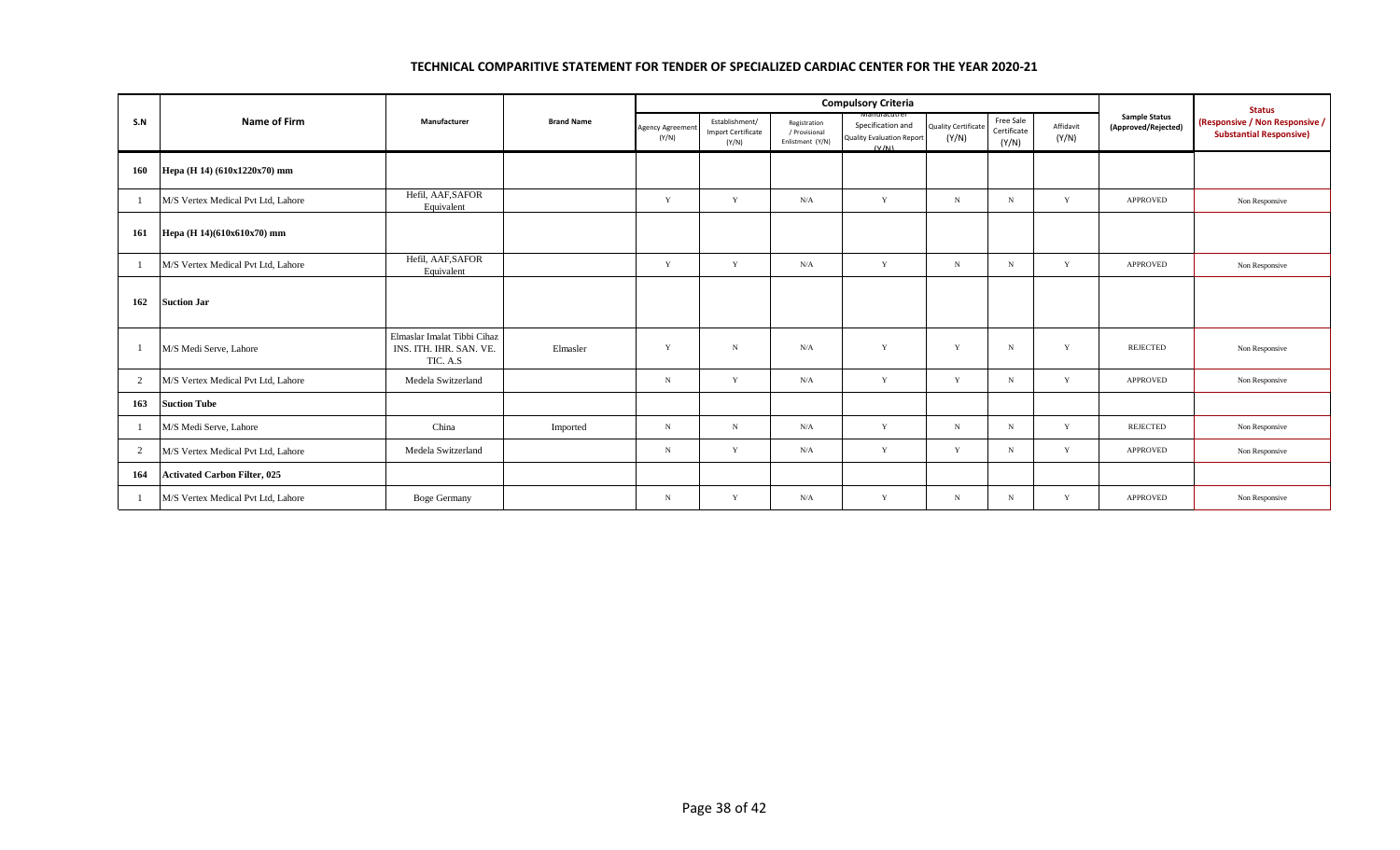|                |                                     |                                                                    | <b>Brand Name</b> |                                 |                                                      | <b>Compulsory Criteria</b>                        |                                                                               | <b>Status</b>                       |                                   |                    |                                             |                                                                  |
|----------------|-------------------------------------|--------------------------------------------------------------------|-------------------|---------------------------------|------------------------------------------------------|---------------------------------------------------|-------------------------------------------------------------------------------|-------------------------------------|-----------------------------------|--------------------|---------------------------------------------|------------------------------------------------------------------|
| S.N            | Name of Firm                        | Manufacturer                                                       |                   | <b>Agency Agreemen</b><br>(Y/N) | Establishment/<br><b>Import Certificate</b><br>(Y/N) | Registration<br>/ Provisional<br>Enlistment (Y/N) | vianuracutr<br>Specification and<br><b>Quality Evaluation Report</b><br>(V/M) | <b>Quality Certificate</b><br>(Y/N) | Free Sale<br>Certificate<br>(Y/N) | Affidavit<br>(Y/N) | <b>Sample Status</b><br>(Approved/Rejected) | (Responsive / Non Responsive /<br><b>Substantial Responsive)</b> |
| 160            | Hepa (H 14) (610x1220x70) mm        |                                                                    |                   |                                 |                                                      |                                                   |                                                                               |                                     |                                   |                    |                                             |                                                                  |
| -1             | M/S Vertex Medical Pvt Ltd, Lahore  | Hefil, AAF, SAFOR<br>Equivalent                                    |                   | Y                               | Y                                                    | N/A                                               | Y                                                                             | $_{\rm N}$                          | N                                 | Y                  | <b>APPROVED</b>                             | Non Responsive                                                   |
| 161            | Hepa (H 14)(610x610x70) mm          |                                                                    |                   |                                 |                                                      |                                                   |                                                                               |                                     |                                   |                    |                                             |                                                                  |
| -1             | M/S Vertex Medical Pvt Ltd, Lahore  | Hefil, AAF, SAFOR<br>Equivalent                                    |                   | Y                               | Y                                                    | N/A                                               | Y                                                                             | $_{\rm N}$                          | $_{\rm N}$                        | Y                  | <b>APPROVED</b>                             | Non Responsive                                                   |
| 162            | <b>Suction Jar</b>                  |                                                                    |                   |                                 |                                                      |                                                   |                                                                               |                                     |                                   |                    |                                             |                                                                  |
| $\overline{1}$ | M/S Medi Serve, Lahore              | Elmaslar Imalat Tibbi Cihaz<br>INS. ITH. IHR. SAN. VE.<br>TIC. A.S | Elmasler          | Y                               | N                                                    | N/A                                               | Y                                                                             | Y                                   | $\mathbf N$                       | Y                  | <b>REJECTED</b>                             | Non Responsive                                                   |
| 2              | M/S Vertex Medical Pvt Ltd, Lahore  | Medela Switzerland                                                 |                   | N                               | Y                                                    | N/A                                               | Y                                                                             | Y                                   | $_{\rm N}$                        | Y                  | <b>APPROVED</b>                             | Non Responsive                                                   |
| 163            | <b>Suction Tube</b>                 |                                                                    |                   |                                 |                                                      |                                                   |                                                                               |                                     |                                   |                    |                                             |                                                                  |
| -1             | M/S Medi Serve, Lahore              | China                                                              | Imported          | N                               | N                                                    | N/A                                               | Y                                                                             | $_{\rm N}$                          | N                                 | Y                  | REJECTED                                    | Non Responsive                                                   |
| $\overline{2}$ | M/S Vertex Medical Pvt Ltd, Lahore  | Medela Switzerland                                                 |                   | $_{\rm N}$                      | Y                                                    | N/A                                               | Y                                                                             | Y                                   | N                                 | $\mathbf Y$        | <b>APPROVED</b>                             | Non Responsive                                                   |
| 164            | <b>Activated Carbon Filter, 025</b> |                                                                    |                   |                                 |                                                      |                                                   |                                                                               |                                     |                                   |                    |                                             |                                                                  |
| $\overline{1}$ | M/S Vertex Medical Pvt Ltd, Lahore  | <b>Boge Germany</b>                                                |                   | $_{\rm N}$                      | Y                                                    | N/A                                               | $\mathbf{Y}$                                                                  | $_{\rm N}$                          | $_{\rm N}$                        | $\mathbf{Y}$       | <b>APPROVED</b>                             | Non Responsive                                                   |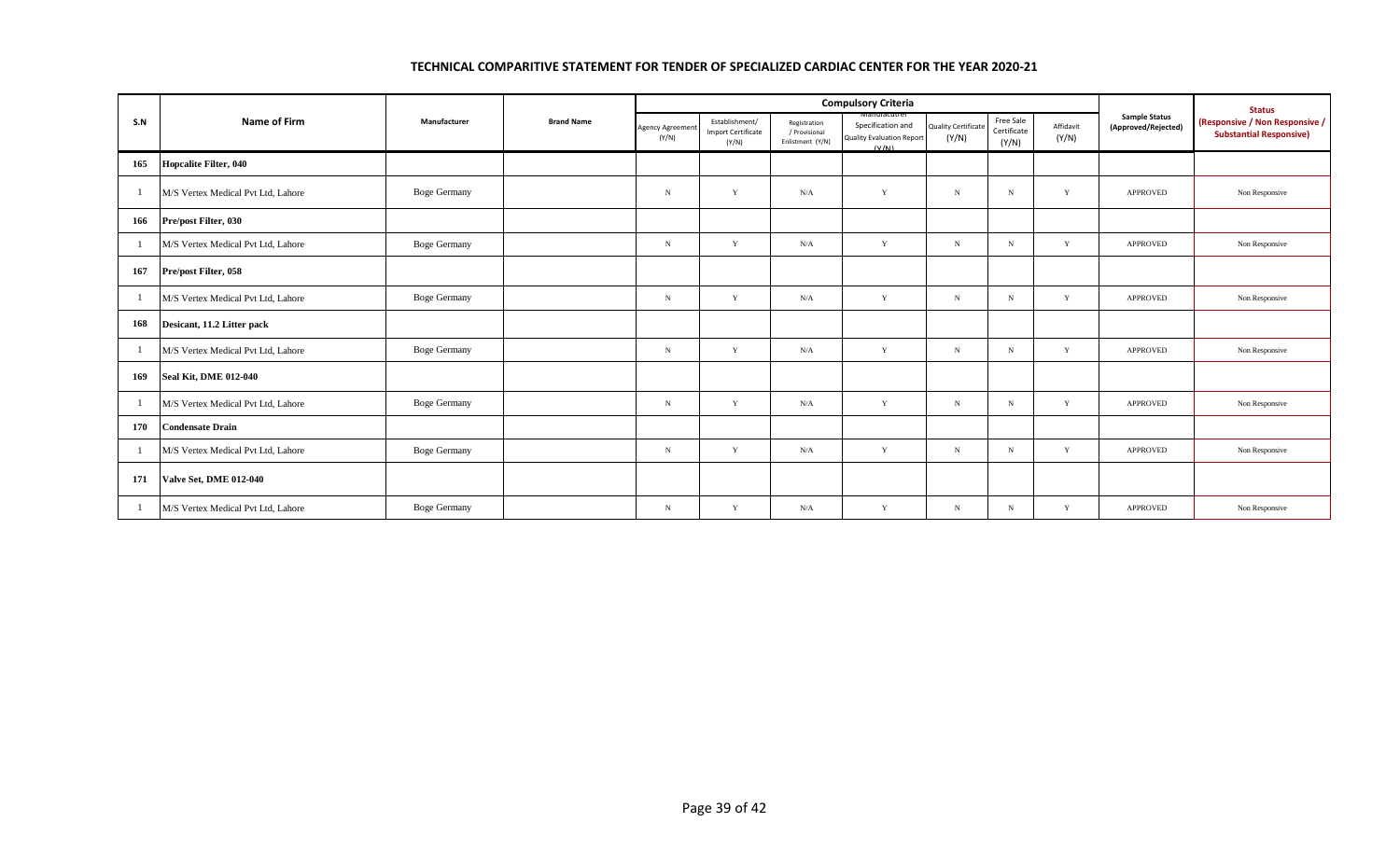|                | <b>Name of Firm</b>                |                     |                   |                          |                                                      | <b>Compulsory Criteria</b>                        |                                                                                | <b>Status</b>                       |                                   |                    |                                             |                                                                  |
|----------------|------------------------------------|---------------------|-------------------|--------------------------|------------------------------------------------------|---------------------------------------------------|--------------------------------------------------------------------------------|-------------------------------------|-----------------------------------|--------------------|---------------------------------------------|------------------------------------------------------------------|
| S.N            |                                    | Manufacturer        | <b>Brand Name</b> | Agency Agreemer<br>(Y/N) | Establishment/<br><b>Import Certificate</b><br>(Y/N) | Registration<br>/ Provisional<br>Enlistment (Y/N) | Manuracutrei<br>Specification and<br><b>Quality Evaluation Report</b><br>(V/N) | <b>Quality Certificate</b><br>(Y/N) | Free Sale<br>Certificate<br>(Y/N) | Affidavit<br>(Y/N) | <b>Sample Status</b><br>(Approved/Rejected) | (Responsive / Non Responsive /<br><b>Substantial Responsive)</b> |
| 165            | <b>Hopcalite Filter, 040</b>       |                     |                   |                          |                                                      |                                                   |                                                                                |                                     |                                   |                    |                                             |                                                                  |
| -1             | M/S Vertex Medical Pvt Ltd, Lahore | <b>Boge Germany</b> |                   | $\, {\bf N}$             | Y                                                    | N/A                                               | Y                                                                              | $\mathbf N$                         | $\mathbf N$                       | Y                  | APPROVED                                    | Non Responsive                                                   |
| 166            | Pre/post Filter, 030               |                     |                   |                          |                                                      |                                                   |                                                                                |                                     |                                   |                    |                                             |                                                                  |
| -1             | M/S Vertex Medical Pvt Ltd, Lahore | <b>Boge Germany</b> |                   | $_{\rm N}$               | Y                                                    | N/A                                               | Y                                                                              | $_{\rm N}$                          | $_{\rm N}$                        | Y                  | APPROVED                                    | Non Responsive                                                   |
| 167            | Pre/post Filter, 058               |                     |                   |                          |                                                      |                                                   |                                                                                |                                     |                                   |                    |                                             |                                                                  |
| $\overline{1}$ | M/S Vertex Medical Pvt Ltd, Lahore | <b>Boge Germany</b> |                   | $_{\rm N}$               | Y                                                    | N/A                                               | Y                                                                              | $\mathbf N$                         | $_{\rm N}$                        | Y                  | APPROVED                                    | Non Responsive                                                   |
| 168            | Desicant, 11.2 Litter pack         |                     |                   |                          |                                                      |                                                   |                                                                                |                                     |                                   |                    |                                             |                                                                  |
| -1             | M/S Vertex Medical Pvt Ltd, Lahore | <b>Boge Germany</b> |                   | $_{\rm N}$               | Y                                                    | N/A                                               | Y                                                                              | $_{\rm N}$                          | N                                 | Y                  | <b>APPROVED</b>                             | Non Responsive                                                   |
| 169            | <b>Seal Kit, DME 012-040</b>       |                     |                   |                          |                                                      |                                                   |                                                                                |                                     |                                   |                    |                                             |                                                                  |
| -1             | M/S Vertex Medical Pvt Ltd, Lahore | <b>Boge Germany</b> |                   | N                        | Y                                                    | N/A                                               | Y                                                                              | $\mathbf N$                         | $\mathbf N$                       | Y                  | APPROVED                                    | Non Responsive                                                   |
| 170            | <b>Condensate Drain</b>            |                     |                   |                          |                                                      |                                                   |                                                                                |                                     |                                   |                    |                                             |                                                                  |
| -1             | M/S Vertex Medical Pvt Ltd, Lahore | <b>Boge Germany</b> |                   | $_{\rm N}$               | Y                                                    | N/A                                               | Y                                                                              | $_{\rm N}$                          | N                                 | Y                  | <b>APPROVED</b>                             | Non Responsive                                                   |
| 171            | <b>Valve Set, DME 012-040</b>      |                     |                   |                          |                                                      |                                                   |                                                                                |                                     |                                   |                    |                                             |                                                                  |
| -1             | M/S Vertex Medical Pvt Ltd, Lahore | <b>Boge Germany</b> |                   | $_{\rm N}$               | Y                                                    | N/A                                               | Y                                                                              | $\mathbf N$                         | $_{\rm N}$                        | Y                  | APPROVED                                    | Non Responsive                                                   |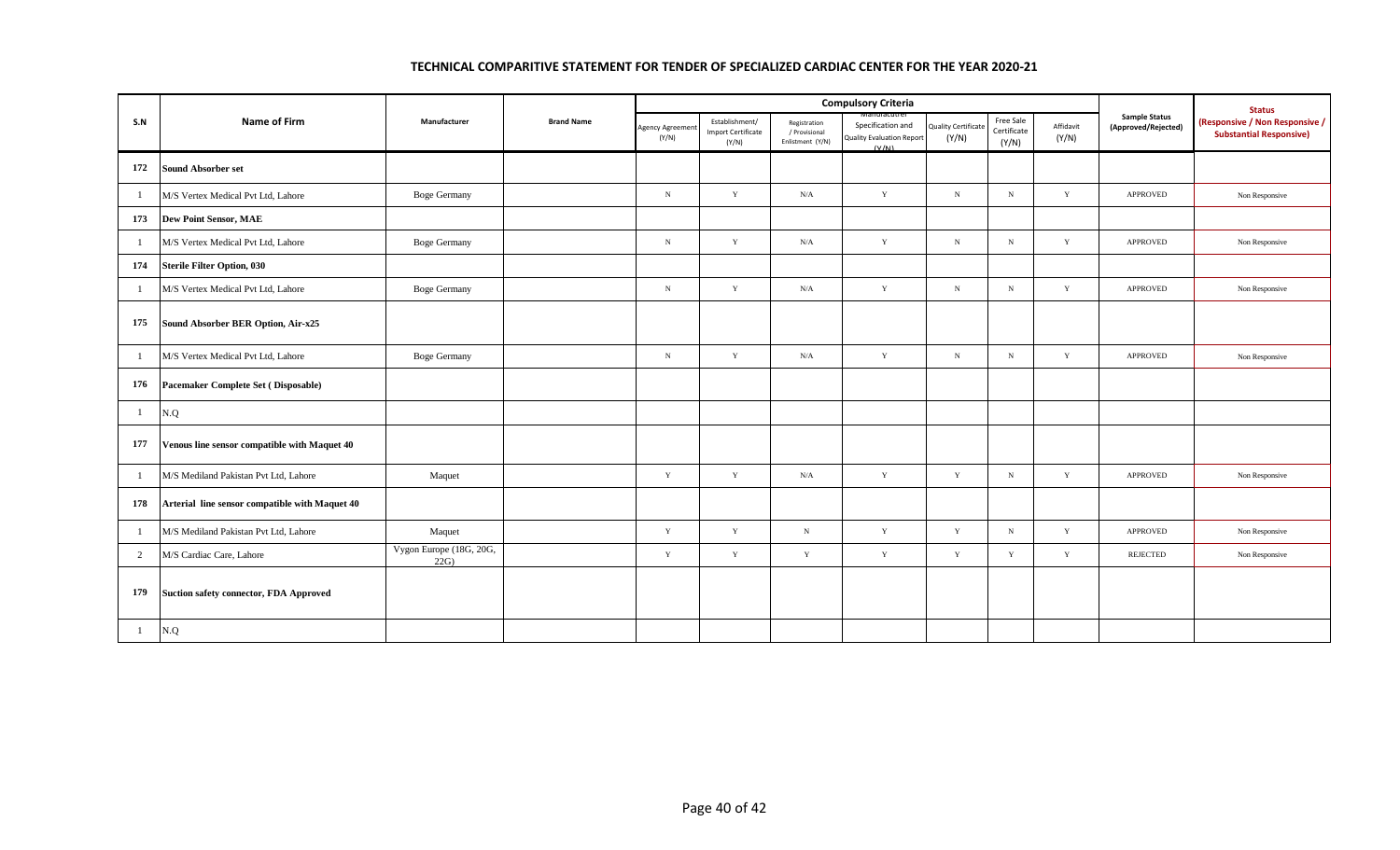|              |                                                |                                |                   |                          |                                                      | <b>Compulsory Criteria</b>                        |                                                                | <b>Status</b>                       |                                   |                    |                                             |                                                                  |
|--------------|------------------------------------------------|--------------------------------|-------------------|--------------------------|------------------------------------------------------|---------------------------------------------------|----------------------------------------------------------------|-------------------------------------|-----------------------------------|--------------------|---------------------------------------------|------------------------------------------------------------------|
| S.N          | <b>Name of Firm</b>                            | Manufacturer                   | <b>Brand Name</b> | Agency Agreemer<br>(Y/N) | Establishment/<br><b>Import Certificate</b><br>(Y/N) | Registration<br>/ Provisional<br>Enlistment (Y/N) | Specification and<br><b>Quality Evaluation Report</b><br>(V/N) | <b>Quality Certificate</b><br>(Y/N) | Free Sale<br>Certificate<br>(Y/N) | Affidavit<br>(Y/N) | <b>Sample Status</b><br>(Approved/Rejected) | (Responsive / Non Responsive /<br><b>Substantial Responsive)</b> |
| 172          | <b>Sound Absorber set</b>                      |                                |                   |                          |                                                      |                                                   |                                                                |                                     |                                   |                    |                                             |                                                                  |
| -1           | M/S Vertex Medical Pvt Ltd, Lahore             | <b>Boge Germany</b>            |                   | $_{\rm N}$               | Y                                                    | N/A                                               | Y                                                              | $_{\rm N}$                          | N                                 | Y                  | APPROVED                                    | Non Responsive                                                   |
| 173          | <b>Dew Point Sensor, MAE</b>                   |                                |                   |                          |                                                      |                                                   |                                                                |                                     |                                   |                    |                                             |                                                                  |
| $\mathbf{1}$ | M/S Vertex Medical Pvt Ltd, Lahore             | <b>Boge Germany</b>            |                   | $_{\rm N}$               | Y                                                    | N/A                                               | Y                                                              | $_{\rm N}$                          | N                                 | Y                  | <b>APPROVED</b>                             | Non Responsive                                                   |
| 174          | <b>Sterile Filter Option, 030</b>              |                                |                   |                          |                                                      |                                                   |                                                                |                                     |                                   |                    |                                             |                                                                  |
| -1           | M/S Vertex Medical Pvt Ltd, Lahore             | <b>Boge Germany</b>            |                   | $_{\rm N}$               | Y                                                    | N/A                                               | Y                                                              | $_{\rm N}$                          | N                                 | Y                  | <b>APPROVED</b>                             | Non Responsive                                                   |
| 175          | Sound Absorber BER Option, Air-x25             |                                |                   |                          |                                                      |                                                   |                                                                |                                     |                                   |                    |                                             |                                                                  |
| -1           | M/S Vertex Medical Pvt Ltd, Lahore             | <b>Boge Germany</b>            |                   | $_{\rm N}$               | Y                                                    | N/A                                               | Y                                                              | $_{\rm N}$                          | N                                 | Y                  | <b>APPROVED</b>                             | Non Responsive                                                   |
| 176          | Pacemaker Complete Set (Disposable)            |                                |                   |                          |                                                      |                                                   |                                                                |                                     |                                   |                    |                                             |                                                                  |
| $\mathbf{1}$ | N.Q                                            |                                |                   |                          |                                                      |                                                   |                                                                |                                     |                                   |                    |                                             |                                                                  |
| 177          | Venous line sensor compatible with Maquet 40   |                                |                   |                          |                                                      |                                                   |                                                                |                                     |                                   |                    |                                             |                                                                  |
| 1            | M/S Mediland Pakistan Pvt Ltd, Lahore          | Maquet                         |                   | $\mathbf Y$              | $\mathbf Y$                                          | N/A                                               | Y                                                              | Y                                   | ${\bf N}$                         | Y                  | APPROVED                                    | Non Responsive                                                   |
| 178          | Arterial line sensor compatible with Maquet 40 |                                |                   |                          |                                                      |                                                   |                                                                |                                     |                                   |                    |                                             |                                                                  |
| -1           | M/S Mediland Pakistan Pvt Ltd, Lahore          | Maquet                         |                   | $\mathbf Y$              | $\mathbf Y$                                          | $_{\rm N}$                                        | $\mathbf Y$                                                    | $\mathbf Y$                         | ${\bf N}$                         | $\mathbf Y$        | <b>APPROVED</b>                             | Non Responsive                                                   |
| 2            | M/S Cardiac Care, Lahore                       | Vygon Europe (18G, 20G,<br>22G |                   | $\mathbf Y$              | Y                                                    | $\mathbf Y$                                       | $\mathbf Y$                                                    | Y                                   | $\mathbf Y$                       | Y                  | REJECTED                                    | Non Responsive                                                   |
| 179          | Suction safety connector, FDA Approved         |                                |                   |                          |                                                      |                                                   |                                                                |                                     |                                   |                    |                                             |                                                                  |
| $\mathbf{1}$ | N.Q                                            |                                |                   |                          |                                                      |                                                   |                                                                |                                     |                                   |                    |                                             |                                                                  |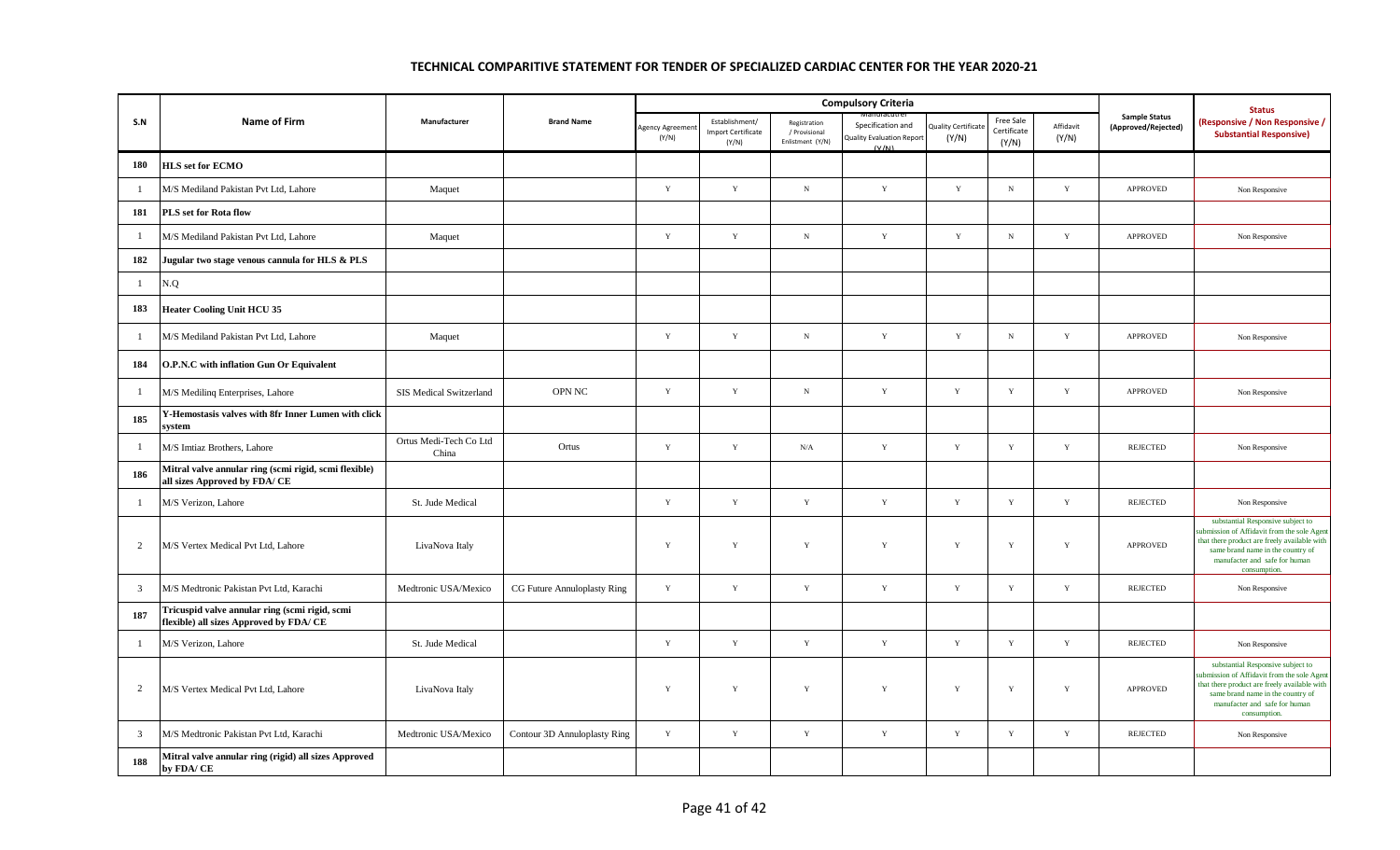|                |                                                                                           |                                 |                              |                         |                                               | <b>Compulsory Criteria</b>                        |                                                                | <b>Status</b>                      |                                   |                    |                                             |                                                                                                                                                                                                                      |
|----------------|-------------------------------------------------------------------------------------------|---------------------------------|------------------------------|-------------------------|-----------------------------------------------|---------------------------------------------------|----------------------------------------------------------------|------------------------------------|-----------------------------------|--------------------|---------------------------------------------|----------------------------------------------------------------------------------------------------------------------------------------------------------------------------------------------------------------------|
| S.N            | Name of Firm                                                                              | Manufacturer                    | <b>Brand Name</b>            | Agency Agreeme<br>(Y/N) | Establishment/<br>Import Certificate<br>(Y/N) | Registration<br>/ Provisional<br>Enlistment (Y/N) | Specification and<br><b>Quality Evaluation Report</b><br>(V/M) | <b>Quality Certificat</b><br>(Y/N) | Free Sale<br>Certificate<br>(Y/N) | Affidavit<br>(Y/N) | <b>Sample Status</b><br>(Approved/Rejected) | (Responsive / Non Responsive /<br><b>Substantial Responsive)</b>                                                                                                                                                     |
| 180            | <b>HLS set for ECMO</b>                                                                   |                                 |                              |                         |                                               |                                                   |                                                                |                                    |                                   |                    |                                             |                                                                                                                                                                                                                      |
| $\overline{1}$ | M/S Mediland Pakistan Pvt Ltd, Lahore                                                     | Maquet                          |                              | Y                       | $\mathbf Y$                                   | $_{\rm N}$                                        | $\mathbf Y$                                                    | Y                                  | $_{\rm N}$                        | $\mathbf Y$        | <b>APPROVED</b>                             | Non Responsive                                                                                                                                                                                                       |
| 181            | PLS set for Rota flow                                                                     |                                 |                              |                         |                                               |                                                   |                                                                |                                    |                                   |                    |                                             |                                                                                                                                                                                                                      |
| $\overline{1}$ | M/S Mediland Pakistan Pvt Ltd, Lahore                                                     | Maquet                          |                              | Y                       | $\mathbf Y$                                   | ${\bf N}$                                         | $\mathbf Y$                                                    | $\mathbf Y$                        | ${\bf N}$                         | $\mathbf Y$        | <b>APPROVED</b>                             | Non Responsive                                                                                                                                                                                                       |
| 182            | Jugular two stage venous cannula for HLS & PLS                                            |                                 |                              |                         |                                               |                                                   |                                                                |                                    |                                   |                    |                                             |                                                                                                                                                                                                                      |
| $\mathbf{1}$   | N.Q                                                                                       |                                 |                              |                         |                                               |                                                   |                                                                |                                    |                                   |                    |                                             |                                                                                                                                                                                                                      |
| 183            | <b>Heater Cooling Unit HCU 35</b>                                                         |                                 |                              |                         |                                               |                                                   |                                                                |                                    |                                   |                    |                                             |                                                                                                                                                                                                                      |
| $\mathbf{1}$   | M/S Mediland Pakistan Pvt Ltd, Lahore                                                     | Maquet                          |                              | Y                       | $\mathbf Y$                                   | ${\bf N}$                                         | $\mathbf Y$                                                    | Y                                  | $_{\rm N}$                        | $\mathbf Y$        | APPROVED                                    | Non Responsive                                                                                                                                                                                                       |
| 184            | O.P.N.C with inflation Gun Or Equivalent                                                  |                                 |                              |                         |                                               |                                                   |                                                                |                                    |                                   |                    |                                             |                                                                                                                                                                                                                      |
| $\mathbf{1}$   | M/S Mediling Enterprises, Lahore                                                          | SIS Medical Switzerland         | <b>OPN NC</b>                | $\mathbf Y$             | $\mathbf Y$                                   | $_{\rm N}$                                        | $\mathbf Y$                                                    | $\mathbf Y$                        | $\mathbf Y$                       | $\mathbf Y$        | APPROVED                                    | Non Responsive                                                                                                                                                                                                       |
| 185            | Y-Hemostasis valves with 8fr Inner Lumen with click<br>system                             |                                 |                              |                         |                                               |                                                   |                                                                |                                    |                                   |                    |                                             |                                                                                                                                                                                                                      |
| $\overline{1}$ | M/S Imtiaz Brothers, Lahore                                                               | Ortus Medi-Tech Co Ltd<br>China | Ortus                        | Y                       | $\mathbf Y$                                   | N/A                                               | $\mathbf Y$                                                    | Y                                  | $\mathbf Y$                       | $\mathbf Y$        | <b>REJECTED</b>                             | Non Responsive                                                                                                                                                                                                       |
| 186            | Mitral valve annular ring (scmi rigid, scmi flexible)<br>all sizes Approved by FDA/ CE    |                                 |                              |                         |                                               |                                                   |                                                                |                                    |                                   |                    |                                             |                                                                                                                                                                                                                      |
| -1             | M/S Verizon, Lahore                                                                       | St. Jude Medical                |                              | Y                       | $\mathbf Y$                                   | $\mathbf Y$                                       | $\mathbf Y$                                                    | $\mathbf Y$                        | $\mathbf Y$                       | $\mathbf Y$        | <b>REJECTED</b>                             | Non Responsive                                                                                                                                                                                                       |
| 2              | M/S Vertex Medical Pvt Ltd, Lahore                                                        | LivaNova Italy                  |                              | Y                       | $\mathbf Y$                                   | $\mathbf Y$                                       | $\mathbf Y$                                                    | $\mathbf Y$                        | $\mathbf Y$                       | $\mathbf Y$        | <b>APPROVED</b>                             | substantial Responsive subject to<br>ubmission of Affidavit from the sole Agen<br>that there product are freely available with<br>same brand name in the country of<br>manufacter and safe for human<br>consumption  |
| $\mathbf{3}$   | M/S Medtronic Pakistan Pvt Ltd, Karachi                                                   | Medtronic USA/Mexico            | CG Future Annuloplasty Ring  | $\mathbf Y$             | $\mathbf Y$                                   | $\mathbf Y$                                       | $\mathbf Y$                                                    | Y                                  | $\mathbf Y$                       | $\mathbf Y$        | <b>REJECTED</b>                             | Non Responsive                                                                                                                                                                                                       |
| 187            | Tricuspid valve annular ring (scmi rigid, scmi<br>flexible) all sizes Approved by FDA/ CE |                                 |                              |                         |                                               |                                                   |                                                                |                                    |                                   |                    |                                             |                                                                                                                                                                                                                      |
| -1             | M/S Verizon, Lahore                                                                       | St. Jude Medical                |                              | $\mathbf Y$             | $\mathbf Y$                                   | $\mathbf Y$                                       | $\mathbf Y$                                                    | $\mathbf Y$                        | $\mathbf Y$                       | $\mathbf Y$        | <b>REJECTED</b>                             | Non Responsive                                                                                                                                                                                                       |
| 2              | M/S Vertex Medical Pvt Ltd, Lahore                                                        | LivaNova Italy                  |                              | $\mathbf Y$             | $\mathbf Y$                                   | $\mathbf Y$                                       | Y                                                              | Y                                  | $\mathbf Y$                       | $\mathbf Y$        | <b>APPROVED</b>                             | substantial Responsive subject to<br>ubmission of Affidavit from the sole Agen<br>that there product are freely available with<br>same brand name in the country of<br>manufacter and safe for human<br>consumption. |
| $\mathbf{3}$   | M/S Medtronic Pakistan Pvt Ltd, Karachi                                                   | Medtronic USA/Mexico            | Contour 3D Annuloplasty Ring | Y                       | $\mathbf Y$                                   | $\mathbf Y$                                       | $\mathbf Y$                                                    | $\mathbf Y$                        | $\mathbf Y$                       | $\mathbf Y$        | <b>REJECTED</b>                             | Non Responsive                                                                                                                                                                                                       |
| 188            | Mitral valve annular ring (rigid) all sizes Approved<br>by FDA/CE                         |                                 |                              |                         |                                               |                                                   |                                                                |                                    |                                   |                    |                                             |                                                                                                                                                                                                                      |